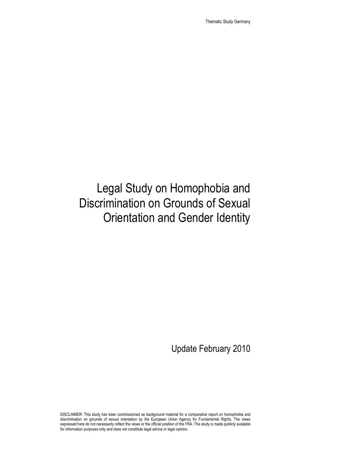Thematic Study Germany

# Legal Study on Homophobia and Discrimination on Grounds of Sexual Orientation and Gender Identity

Update February 2010

DISCLAIMER: This study has been commissioned as background material for a comparative report on homophobia and discrimination on grounds of sexual orientation by the European Union Agency for Fundamental Rights. The views expressed here do not necessarily reflect the views or the official position of the FRA. The study is made publicly available for information purposes only and does not constitute legal advice or legal opinion.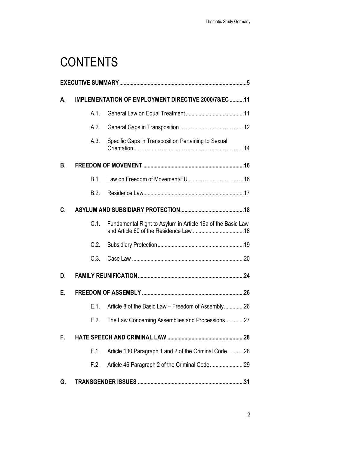# **CONTENTS**

| А. | IMPLEMENTATION OF EMPLOYMENT DIRECTIVE 2000/78/EC 11 |                                                             |  |  |  |
|----|------------------------------------------------------|-------------------------------------------------------------|--|--|--|
|    | A.1.                                                 |                                                             |  |  |  |
|    | A.2.                                                 |                                                             |  |  |  |
|    | A.3.                                                 | Specific Gaps in Transposition Pertaining to Sexual         |  |  |  |
| В. |                                                      |                                                             |  |  |  |
|    | B.1.                                                 |                                                             |  |  |  |
|    | B.2.                                                 |                                                             |  |  |  |
| C. |                                                      |                                                             |  |  |  |
|    | C.1.                                                 | Fundamental Right to Asylum in Article 16a of the Basic Law |  |  |  |
|    | C.2.                                                 |                                                             |  |  |  |
|    | C.3.                                                 |                                                             |  |  |  |
| D. |                                                      |                                                             |  |  |  |
| Е. |                                                      |                                                             |  |  |  |
|    | E.1.                                                 | Article 8 of the Basic Law - Freedom of Assembly26          |  |  |  |
|    | E.2.                                                 | The Law Concerning Assemblies and Processions27             |  |  |  |
| F. |                                                      |                                                             |  |  |  |
|    | F.1.                                                 | Article 130 Paragraph 1 and 2 of the Criminal Code 28       |  |  |  |
|    | F.2.                                                 |                                                             |  |  |  |
| G. |                                                      |                                                             |  |  |  |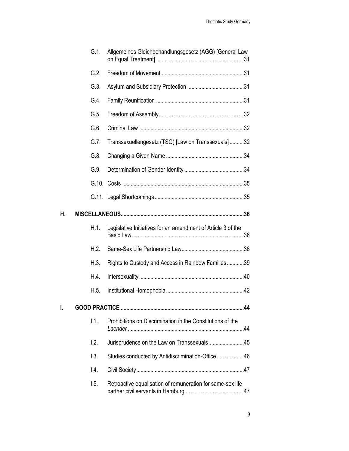|    | $G.1$ .         | Allgemeines Gleichbehandlungsgesetz (AGG) [General Law       |  |  |
|----|-----------------|--------------------------------------------------------------|--|--|
|    | G.2.            |                                                              |  |  |
|    | G.3.            |                                                              |  |  |
|    | G.4.            |                                                              |  |  |
|    | G.5.            |                                                              |  |  |
|    | G.6             |                                                              |  |  |
|    | G.7.            | Transsexuellengesetz (TSG) [Law on Transsexuals]32           |  |  |
|    | G.8.            |                                                              |  |  |
|    | G.9.            |                                                              |  |  |
|    |                 |                                                              |  |  |
|    |                 |                                                              |  |  |
| Η. |                 |                                                              |  |  |
|    | H.1.            | Legislative Initiatives for an amendment of Article 3 of the |  |  |
|    | H.2.            |                                                              |  |  |
|    | H.3.            | Rights to Custody and Access in Rainbow Families39           |  |  |
|    | H.4.            |                                                              |  |  |
|    | H.5.            |                                                              |  |  |
| I. |                 | .44                                                          |  |  |
|    | 1.1.            | Prohibitions on Discrimination in the Constitutions of the   |  |  |
|    | 1.2.            | Jurisprudence on the Law on Transsexuals45                   |  |  |
|    | 1.3.            | Studies conducted by Antidiscrimination-Office 46            |  |  |
|    | $\mathsf{I}4$ . |                                                              |  |  |
|    |                 |                                                              |  |  |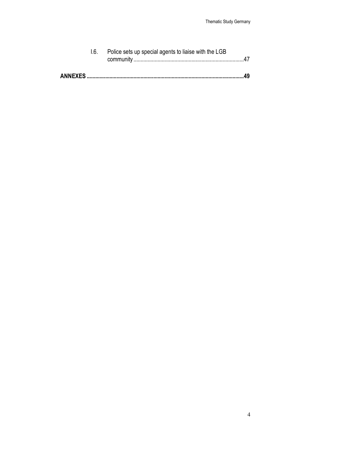| 1.6. Police sets up special agents to liaise with the LGB |  |
|-----------------------------------------------------------|--|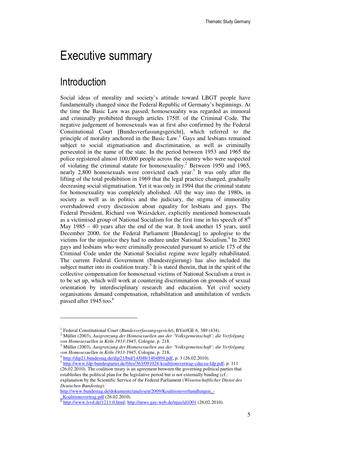## Executive summary

#### **Introduction**

 $\overline{a}$ 

Social ideas of morality and society's attitude toward LBGT people have fundamentally changed since the Federal Republic of Germany's beginnings. At the time the Basic Law was passed, homosexuality was regarded as immoral and criminally prohibited through articles 175ff. of the Criminal Code. The negative judgement of homosexuals was at first also confirmed by the Federal Constitutional Court [Bundesverfassungsgericht], which referred to the principle of morality anchored in the Basic Law.<sup>1</sup> Gays and lesbians remained subject to social stigmatisation and discrimination, as well as criminally persecuted in the name of the state. In the period between 1953 and 1965 the police registered almost 100,000 people across the country who were suspected of violating the criminal statute for homosexuality. 2 Between 1950 and 1965, nearly 2,800 homosexuals were convicted each year.<sup>3</sup> It was only after the lifting of the total prohibition in 1969 that the legal practice changed, gradually decreasing social stigmatisation. Yet it was only in 1994 that the criminal statute for homosexuality was completely abolished. All the way into the 1980s, in society as well as in politics and the judiciary, the stigma of immorality overshadowed every discussion about equality for lesbians and gays. The Federal President, Richard von Weizsäcker, explicitly mentioned homosexuals as a victimised group of National Socialism for the first time in his speech of  $8<sup>th</sup>$ May 1985 – 40 years after the end of the war. It took another 15 years, until December 2000, for the Federal Parliament [Bundestag] to apologise to the victims for the injustice they had to endure under National Socialism.<sup>4</sup> In 2002 gays and lesbians who were criminally prosecuted pursuant to article 175 of the Criminal Code under the National Socialist regime were legally rehabilitated. The current Federal Government (Bundesregierung) has also included the subject matter into its coalition treaty.<sup>5</sup> It is stated therein, that in the spirit of the collective compensation for homosexual victims of National Socialism a trust is to be set up, which will work at countering discrimination on grounds of sexual orientation by interdisciplinary research and education. Yet civil society organisations demand compensation, rehabilitation and annihilation of verdicts passed after 1945 too.<sup>6</sup>

4 http://dip21.bundestag.de/dip21/btd/14/048/1404894.pdf, p. 3 (26.02.2010).

http://www.bundestag.de/dokumente/analysen/2009/Koalitionsverhandlungen\_-\_Koalitionsvertrag.pdf (26.02.2010).

<sup>1</sup> Federal Constitutional Court (*Bundesverfassungsgericht*), BVerfGE 6, 389 (434).

<sup>2</sup> Müller (2003), *Ausgrenzung der Homosexuellen aus der 'Volksgemeinschaft': die Verfolgung von Homosexuellen in Köln 1933-1945*, Cologne, p. 218.

<sup>3</sup> Müller (2003), *Ausgrenzung der Homosexuellen aus der 'Volksgemeinschaft': die Verfolgung von Homosexuellen in Köln 1933-1945*, Cologne, p. 218.

<sup>&</sup>lt;sup>5</sup> http://www.fdp-bundespartei.de/files/363/091024-koalitionsvertrag-cducsu-fdp.pdf, p. 111 (26.02.2010). The coalition treaty is an agreement between the governing political parties that establishes the political plan for the legislative period but is not externally binding (cf.: explanation by the Scientific Service of the Federal Parliament (*Wissenschaftlicher Dienst des Deutschen Bundestag*):

 $^6$  http://www.lsvd.de/1211.0.html; http://news.gay-web.de/njus/id1001 (26.02.2010).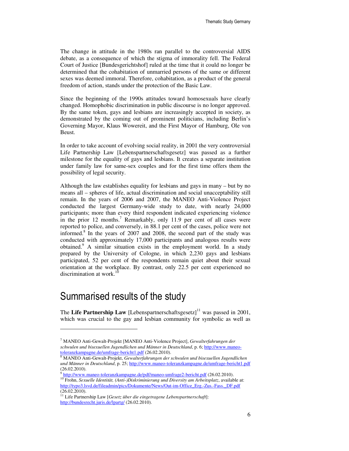The change in attitude in the 1980s ran parallel to the controversial AIDS debate, as a consequence of which the stigma of immorality fell. The Federal Court of Justice [Bundesgerichtshof] ruled at the time that it could no longer be determined that the cohabitation of unmarried persons of the same or different sexes was deemed immoral. Therefore, cohabitation, as a product of the general freedom of action, stands under the protection of the Basic Law.

Since the beginning of the 1990s attitudes toward homosexuals have clearly changed. Homophobic discrimination in public discourse is no longer approved. By the same token, gays and lesbians are increasingly accepted in society, as demonstrated by the coming out of prominent politicians, including Berlin's Governing Mayor, Klaus Wowereit, and the First Mayor of Hamburg, Ole von Beust.

In order to take account of evolving social reality, in 2001 the very controversial Life Partnership Law [Lebenspartnerschaftsgesetz] was passed as a further milestone for the equality of gays and lesbians. It creates a separate institution under family law for same-sex couples and for the first time offers them the possibility of legal security.

Although the law establishes equality for lesbians and gays in many – but by no means all – spheres of life, actual discrimination and social unacceptability still remain. In the years of 2006 and 2007, the MANEO Anti-Violence Project conducted the largest Germany-wide study to date, with nearly 24,000 participants; more than every third respondent indicated experiencing violence in the prior  $12 \text{ months}^7$  Remarkably, only  $11.9$  per cent of all cases were reported to police, and conversely, in 88.1 per cent of the cases, police were not informed.<sup>8</sup> In the years of  $2007$  and  $2008$ , the second part of the study was conducted with approximately 17,000 participants and analogous results were obtained.<sup>9</sup> A similar situation exists in the employment world. In a study prepared by the University of Cologne, in which 2,230 gays and lesbians participated, 52 per cent of the respondents remain quiet about their sexual orientation at the workplace. By contrast, only 22.5 per cent experienced no discrimination at work.<sup>10</sup>

#### Summarised results of the study

l

The **Life Partnership Law** [Lebenspartnerschaftsgesetz]<sup>11</sup> was passed in 2001, which was crucial to the gay and lesbian community for symbolic as well as

<sup>7</sup> MANEO Anti-Gewalt-Projekt [MANEO Anti-Violence Project], *Gewalterfahrungen der schwulen und bisexuellen Jugendlichen und Männer in Deutschland*, p. 6; http://www.maneot<u>oleranzkampagne.de/umfrage-bericht1.pdf</u> (26.02.2010).<br><sup>8</sup> MANEO Anti-Gewalt-Projekt, *Gewalterfahrungen der schwulen und bisexuellen Jugendlichen* 

*und Männer in Deutschland*, p. 25; http://www.maneo-toleranzkampagne.de/umfrage-bericht1.pdf (26.02.2010).

<sup>&</sup>lt;sup>9</sup> http://www.maneo-toleranzkampagne.de/pdf/maneo-umfrage2-bericht.pdf (26.02.2010).

<sup>&</sup>lt;sup>10</sup> Frohn, *Sexuelle Identität, (Anti-)Diskriminierung und Diversity am Arbeitsplatz*, available at: http://typo3.lsvd.de/fileadmin/pics/Dokumente/News/Out-im-Office\_Erg.-Zus.-Fass.\_DF.pdf (26.02.2010).

<sup>11</sup> Life Partnership Law [*Gesetz über die eingetragene Lebenspartnerschaft*]: http://bundesrecht.juris.de/lpartg/ (26.02.2010).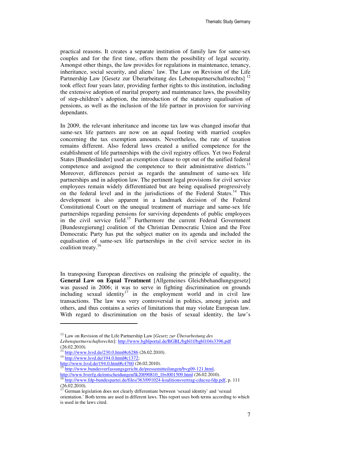practical reasons. It creates a separate institution of family law for same-sex couples and for the first time, offers them the possibility of legal security. Amongst other things, the law provides for regulations in maintenance, tenancy, inheritance, social security, and aliens' law. The Law on Revision of the Life Partnership Law [Gesetz zur Überarbeitung des Lebenspartnerschaftsrechts]<sup>12</sup> took effect four years later, providing further rights to this institution, including the extensive adoption of marital property and maintenance laws, the possibility of step-children's adoption, the introduction of the statutory equalisation of pensions, as well as the inclusion of the life partner in provision for surviving dependants.

In 2009, the relevant inheritance and income tax law was changed insofar that same-sex life partners are now on an equal footing with married couples concerning the tax exemption amounts. Nevertheless, the rate of taxation remains different. Also federal laws created a unified competence for the establishment of life partnerships with the civil registry offices. Yet two Federal States [Bundesländer] used an exemption clause to opt out of the unified federal competence and assigned the competence to their administrative districts.<sup>13</sup> Moreover, differences persist as regards the annulment of same-sex life partnerships and in adoption law. The pertinent legal provisions for civil service employees remain widely differentiated but are being equalised progressively on the federal level and in the jurisdictions of the Federal States.<sup>14</sup> This development is also apparent in a landmark decision of the Federal Constitutional Court on the unequal treatment of marriage and same-sex life partnerships regarding pensions for surviving dependents of public employees in the civil service field.<sup>15</sup> Furthermore the current Federal Government [Bundesregierung] coalition of the Christian Democratic Union and the Free Democratic Party has put the subject matter on its agenda and included the equalisation of same-sex life partnerships in the civil service sector in its coalition treaty.<sup>16</sup>

In transposing European directives on realising the principle of equality, the **General Law on Equal Treatment** [Allgemeines Gleichbehandlungsgesetz] was passed in 2006; it was to serve in fighting discrimination on grounds including sexual identity<sup>17</sup> in the employment world and in civil law transactions. The law was very controversial in politics, among jurists and others, and thus contains a series of limitations that may violate European law. With regard to discrimination on the basis of sexual identity, the law's

<sup>12</sup> Law on Revision of the Life Partnership Law [*Gesetz zur Überarbeitung des* 

*Lebenspartnerschaftsrechts*]: http://www.bgblportal.de/BGBL/bgbl1f/bgbl104s3396.pdf (26.02.2010).

 $^{13}$  http://www.lsvd.de/230.0.html#c6286 (26.02.2010).

 $^{14}$  http://www.lsvd.de/194.0.html#c1372;

http://www.lsvd.de/194.0.html#c4760 (26.02.2010).

<sup>&</sup>lt;sup>15</sup> http://www.bundesverfassungsgericht.de/pressemitteilungen/bvg09-121.html, http://www.bverfg.de/entscheidungen/lk20090810\_1bvl001509.html (26.02.2010).

<sup>&</sup>lt;sup>16</sup> http://www.fdp-bundespartei.de/files/363/091024-koalitionsvertrag-cducsu-fdp.pdf, p. 111 (26.02.2010).

 $17$  German legislation does not clearly differentiate between 'sexual identity' and 'sexual orientation.' Both terms are used in different laws. This report uses both terms according to which is used in the laws cited.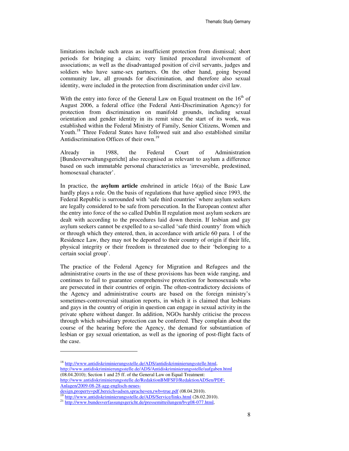limitations include such areas as insufficient protection from dismissal; short periods for bringing a claim; very limited procedural involvement of associations; as well as the disadvantaged position of civil servants, judges and soldiers who have same-sex partners. On the other hand, going beyond community law, all grounds for discrimination, and therefore also sexual identity, were included in the protection from discrimination under civil law.

With the entry into force of the General Law on Equal treatment on the  $16<sup>th</sup>$  of August 2006, a federal office (the Federal Anti-Discrimination Agency) for protection from discrimination on manifold grounds, including sexual orientation and gender identity in its remit since the start of its work, was established within the Federal Ministry of Family, Senior Citizens, Women and Youth.<sup>18</sup> Three Federal States have followed suit and also established similar Antidiscrimination Offices of their own.<sup>19</sup>

Already in 1988, the Federal Court of Administration [Bundesverwaltungsgericht] also recognised as relevant to asylum a difference based on such immutable personal characteristics as 'irreversible, predestined, homosexual character'.

In practice, the **asylum article** enshrined in article 16(a) of the Basic Law hardly plays a role. On the basis of regulations that have applied since 1993, the Federal Republic is surrounded with 'safe third countries' where asylum seekers are legally considered to be safe from persecution. In the European context after the entry into force of the so called Dublin II regulation most asylum seekers are dealt with according to the procedures laid down therein. If lesbian and gay asylum seekers cannot be expelled to a so-called 'safe third country' from which or through which they entered, then, in accordance with article 60 para. 1 of the Residence Law, they may not be deported to their country of origin if their life, physical integrity or their freedom is threatened due to their 'belonging to a certain social group'.

The practice of the Federal Agency for Migration and Refugees and the administrative courts in the use of these provisions has been wide ranging, and continues to fail to guarantee comprehensive protection for homosexuals who are persecuted in their countries of origin. The often-contradictory decisions of the Agency and administrative courts are based on the foreign ministry's sometimes-controversial situation reports, in which it is claimed that lesbians and gays in the country of origin in question can engage in sexual activity in the private sphere without danger. In addition, NGOs harshly criticise the process through which subsidiary protection can be conferred. They complain about the course of the hearing before the Agency, the demand for substantiation of lesbian or gay sexual orientation, as well as the ignoring of post-flight facts of the case.

<sup>&</sup>lt;sup>18</sup> http://www.antidiskriminierungsstelle.de/ADS/antidiskriminierungsstelle.html, http://www.antidiskriminierungsstelle.de/ADS/Antidiskriminierungsstelle/aufgaben.html  $(08.04.2010)$ ; Section 1 and 25 ff. of the General Law on Equal Treatment: http://www.antidiskriminierungsstelle.de/RedaktionBMFSFJ/RedaktionADSen/PDF-Anlagen/2009-08-28-agg-englisch-neues-

design,property=pdf,bereich=adsen,sprache=en,rwb=true.pdf (08.04.2010).

http://www.antidiskriminierungsstelle.de/ADS/Service/links.html (26.02.2010).

<sup>&</sup>lt;sup>21</sup> http://www.bundesverfassungsgericht.de/pressemitteilungen/bvg08-077.html,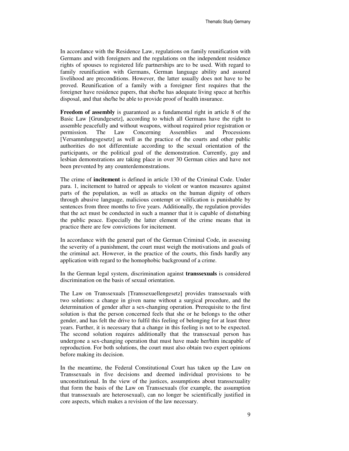Thematic Study Germany

In accordance with the Residence Law, regulations on family reunification with Germans and with foreigners and the regulations on the independent residence rights of spouses to registered life partnerships are to be used. With regard to family reunification with Germans, German language ability and assured livelihood are preconditions. However, the latter usually does not have to be proved. Reunification of a family with a foreigner first requires that the foreigner have residence papers, that she/he has adequate living space at her/his disposal, and that she/he be able to provide proof of health insurance.

**Freedom of assembly** is guaranteed as a fundamental right in article 8 of the Basic Law [Grundgesetz], according to which all Germans have the right to assemble peacefully and without weapons, without required prior registration or permission. The Law Concerning Assemblies and Processions [Versammlungsgesetz] as well as the practice of the courts and other public authorities do not differentiate according to the sexual orientation of the participants, or the political goal of the demonstration. Currently, gay and lesbian demonstrations are taking place in over 30 German cities and have not been prevented by any counterdemonstrations.

The crime of **incitement** is defined in article 130 of the Criminal Code. Under para. 1, incitement to hatred or appeals to violent or wanton measures against parts of the population, as well as attacks on the human dignity of others through abusive language, malicious contempt or vilification is punishable by sentences from three months to five years. Additionally, the regulation provides that the act must be conducted in such a manner that it is capable of disturbing the public peace. Especially the latter element of the crime means that in practice there are few convictions for incitement.

In accordance with the general part of the German Criminal Code, in assessing the severity of a punishment, the court must weigh the motivations and goals of the criminal act. However, in the practice of the courts, this finds hardly any application with regard to the homophobic background of a crime.

In the German legal system, discrimination against **transsexuals** is considered discrimination on the basis of sexual orientation.

The Law on Transsexuals [Transsexuellengesetz] provides transsexuals with two solutions: a change in given name without a surgical procedure, and the determination of gender after a sex-changing operation. Prerequisite to the first solution is that the person concerned feels that she or he belongs to the other gender, and has felt the drive to fulfil this feeling of belonging for at least three years. Further, it is necessary that a change in this feeling is not to be expected. The second solution requires additionally that the transsexual person has undergone a sex-changing operation that must have made her/him incapable of reproduction. For both solutions, the court must also obtain two expert opinions before making its decision.

In the meantime, the Federal Constitutional Court has taken up the Law on Transsexuals in five decisions and deemed individual provisions to be unconstitutional. In the view of the justices, assumptions about transsexuality that form the basis of the Law on Transsexuals (for example, the assumption that transsexuals are heterosexual), can no longer be scientifically justified in core aspects, which makes a revision of the law necessary.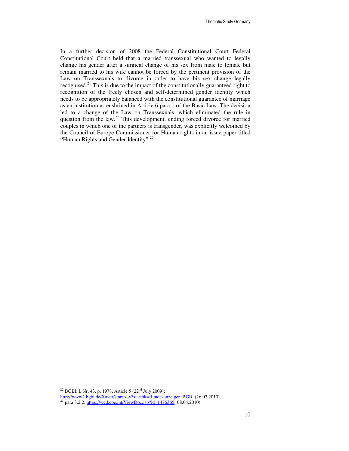Thematic Study Germany

In a further decision of 2008 the Federal Constitutional Court Federal Constitutional Court held that a married transsexual who wanted to legally change his gender after a surgical change of his sex from male to female but remain married to his wife cannot be forced by the pertinent provision of the Law on Transsexuals to divorce in order to have his sex change legally recognised.<sup>21</sup> This is due to the impact of the constitutionally guaranteed right to recognition of the freely chosen and self-determined gender identity which needs to be appropriately balanced with the constitutional guarantee of marriage as an institution as enshrined in Article 6 para 1 of the Basic Law. The decision led to a change of the Law on Transsexuals, which eliminated the rule in question from the law.<sup>22</sup> This development, ending forced divorce for married couples in which one of the partners is transgender, was explicitly welcomed by the Council of Europe Commissioner for Human rights in an issue paper titled "Human Rights and Gender Identity".<sup>23</sup>

<sup>&</sup>lt;sup>22</sup> BGBl. I, Nr. 43, p. 1978, Article 5 (22<sup>nd</sup> July 2009);

http://www2.bgbl.de/Xaver/start.xav?startbk=Bundesanzeiger\_BGBl (26.02.2010).

<sup>&</sup>lt;sup>23</sup> para 3.2.2: https://wcd.coe.int/ViewDoc.jsp?id=1476365 (08.04.2010).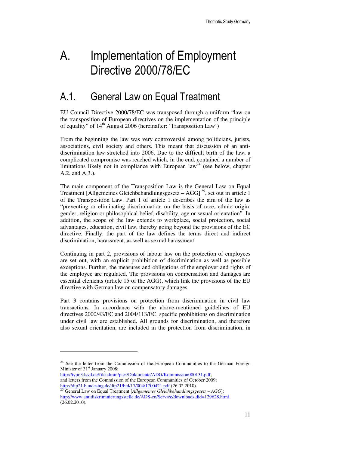# A. Implementation of Employment Directive 2000/78/EC

### A.1. General Law on Equal Treatment

EU Council Directive 2000/78/EC was transposed through a uniform "law on the transposition of European directives on the implementation of the principle of equality" of  $14<sup>th</sup>$  August 2006 (hereinafter: 'Transposition Law')

From the beginning the law was very controversial among politicians, jurists, associations, civil society and others. This meant that discussion of an antidiscrimination law stretched into 2006. Due to the difficult birth of the law, a complicated compromise was reached which, in the end, contained a number of limitations likely not in compliance with European  $law<sup>24</sup>$  (see below, chapter A.2. and A.3.).

The main component of the Transposition Law is the General Law on Equal Treatment [Allgemeines Gleichbehandlungsgesetz  $-$  AGG]<sup>25</sup>, set out in article 1 of the Transposition Law. Part 1 of article 1 describes the aim of the law as "preventing or eliminating discrimination on the basis of race, ethnic origin, gender, religion or philosophical belief, disability, age or sexual orientation". In addition, the scope of the law extends to workplace, social protection, social advantages, education, civil law, thereby going beyond the provisions of the EC directive. Finally, the part of the law defines the terms direct and indirect discrimination, harassment, as well as sexual harassment.

Continuing in part 2, provisions of labour law on the protection of employees are set out, with an explicit prohibition of discrimination as well as possible exceptions. Further, the measures and obligations of the employer and rights of the employee are regulated. The provisions on compensation and damages are essential elements (article 15 of the AGG), which link the provisions of the EU directive with German law on compensatory damages.

Part 3 contains provisions on protection from discrimination in civil law transactions. In accordance with the above-mentioned guidelines of EU directives 2000/43/EC and 2004/113/EC, specific prohibitions on discrimination under civil law are established. All grounds for discrimination, and therefore also sexual orientation, are included in the protection from discrimination, in

http://typo3.lsvd.de/fileadmin/pics/Dokumente/ADG/Kommission080131.pdf; and letters from the Commission of the European Communities of October 2009: http://dip21.bundestag.de/dip21/btd/17/004/1700421.pdf (26.02.2010).

<sup>&</sup>lt;sup>24</sup> See the letter from the Commission of the European Communities to the German Foreign Minister of 31<sup>st</sup> January 2008:

<sup>25</sup> General Law on Equal Treatment [*Allgemeines Gleichbehandlungsgesetz – AGG*]: http://www.antidiskriminierungsstelle.de/ADS-en/Service/downloads,did=129628.html (26.02.2010).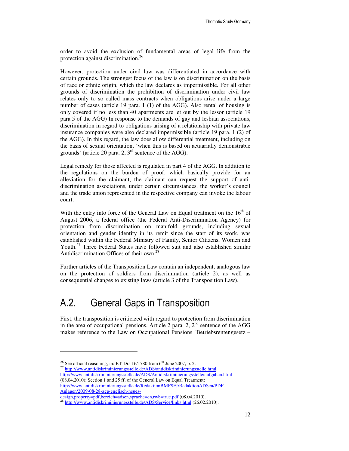order to avoid the exclusion of fundamental areas of legal life from the protection against discrimination.<sup>26</sup>

However, protection under civil law was differentiated in accordance with certain grounds. The strongest focus of the law is on discrimination on the basis of race or ethnic origin, which the law declares as impermissible. For all other grounds of discrimination the prohibition of discrimination under civil law relates only to so called mass contracts when obligations arise under a large number of cases (article 19 para. 1 (1) of the AGG). Also rental of housing is only covered if no less than 40 apartments are let out by the lessor (article 19 para 5 of the AGG) In response to the demands of gay and lesbian associations, discrimination in regard to obligations arising of a relationship with private law insurance companies were also declared impermissible (article 19 para. 1 (2) of the AGG). In this regard, the law does allow differential treatment, including on the basis of sexual orientation, 'when this is based on actuarially demonstrable grounds' (article 20 para. 2,  $3<sup>rd</sup>$  sentence of the AGG).

Legal remedy for those affected is regulated in part 4 of the AGG. In addition to the regulations on the burden of proof, which basically provide for an alleviation for the claimant, the claimant can request the support of antidiscrimination associations, under certain circumstances, the worker´s council and the trade union represented in the respective company can invoke the labour court.

With the entry into force of the General Law on Equal treatment on the  $16<sup>th</sup>$  of August 2006, a federal office (the Federal Anti-Discrimination Agency) for protection from discrimination on manifold grounds, including sexual orientation and gender identity in its remit since the start of its work, was established within the Federal Ministry of Family, Senior Citizens, Women and Youth.<sup>27</sup> Three Federal States have followed suit and also established similar Antidiscrimination Offices of their own.<sup>28</sup>

Further articles of the Transposition Law contain an independent, analogous law on the protection of soldiers from discrimination (article 2), as well as consequential changes to existing laws (article 3 of the Transposition Law).

### A.2. General Gaps in Transposition

First, the transposition is criticized with regard to protection from discrimination in the area of occupational pensions. Article 2 para. 2,  $2<sup>nd</sup>$  sentence of the AGG makes reference to the Law on Occupational Pensions [Betriebsrentengesetz –

l

design,property=pdf,bereich=adsen,sprache=en,rwb=true.pdf (08.04.2010).

<sup>&</sup>lt;sup>26</sup> See official reasoning, in: BT-Drs 16/1780 from  $6<sup>th</sup>$  June 2007, p. 2.

<sup>&</sup>lt;sup>27</sup> http://www.antidiskriminierungsstelle.de/ADS/antidiskriminierungsstelle.html, http://www.antidiskriminierungsstelle.de/ADS/Antidiskriminierungsstelle/aufgaben.html (08.04.2010); Section 1 and 25 ff. of the General Law on Equal Treatment: http://www.antidiskriminierungsstelle.de/RedaktionBMFSFJ/RedaktionADSen/PDF-Anlagen/2009-08-28-agg-englisch-neues-

<sup>&</sup>lt;sup>28</sup> http://www.antidiskriminierungsstelle.de/ADS/Service/links.html (26.02.2010).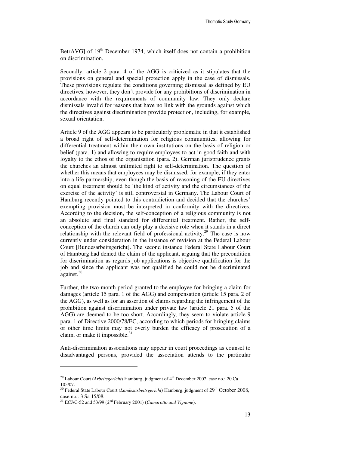BetrAVGI of  $19<sup>th</sup>$  December 1974, which itself does not contain a prohibition on discrimination.

Secondly, article 2 para. 4 of the AGG is criticized as it stipulates that the provisions on general and special protection apply in the case of dismissals. These provisions regulate the conditions governing dismissal as defined by EU directives, however, they don´t provide for any prohibitions of discrimination in accordance with the requirements of community law. They only declare dismissals invalid for reasons that have no link with the grounds against which the directives against discrimination provide protection, including, for example, sexual orientation.

Article 9 of the AGG appears to be particularly problematic in that it established a broad right of self-determination for religious communities, allowing for differential treatment within their own institutions on the basis of religion or belief (para. 1) and allowing to require employees to act in good faith and with loyalty to the ethos of the organisation (para. 2). German jurisprudence grants the churches an almost unlimited right to self-determination. The question of whether this means that employees may be dismissed, for example, if they enter into a life partnership, even though the basis of reasoning of the EU directives on equal treatment should be 'the kind of activity and the circumstances of the exercise of the activity´ is still controversial in Germany. The Labour Court of Hamburg recently pointed to this contradiction and decided that the churches' exempting provision must be interpreted in conformity with the directives. According to the decision, the self-conception of a religious community is not an absolute and final standard for differential treatment. Rather, the selfconception of the church can only play a decisive role when it stands in a direct relationship with the relevant field of professional activity.<sup>29</sup> The case is now currently under consideration in the instance of revision at the Federal Labour Court [Bundesarbeitsgericht]. The second instance Federal State Labour Court of Hamburg had denied the claim of the applicant, arguing that the precondition for discrimination as regards job applications is objective qualification for the job and since the applicant was not qualified he could not be discriminated against.<sup>30</sup>

Further, the two-month period granted to the employee for bringing a claim for damages (article 15 para. 1 of the AGG) and compensation (article 15 para. 2 of the AGG), as well as for an assertion of claims regarding the infringement of the prohibition against discrimination under private law (article 21 para. 5 of the AGG) are deemed to be too short. Accordingly, they seem to violate article 9 para. 1 of Directive 2000/78/EC, according to which periods for bringing claims or other time limits may not overly burden the efficacy of prosecution of a claim, or make it impossible. $31$ 

Anti-discrimination associations may appear in court proceedings as counsel to disadvantaged persons, provided the association attends to the particular

<sup>&</sup>lt;sup>29</sup> Labour Court (*Arbeitsgericht*) Hamburg, judgment of 4<sup>th</sup> December 2007. case no.: 20 Ca 105/07.

<sup>&</sup>lt;sup>30</sup> Federal State Labour Court (*Landesarbeitsgericht*) Hamburg, judgment of 29<sup>th</sup> October 2008, case no.: 3 Sa 15/08.

<sup>&</sup>lt;sup>31</sup> ECJ/C-52 and 53/99 (2<sup>nd</sup> February 2001) (*Camarotto and Vignone*).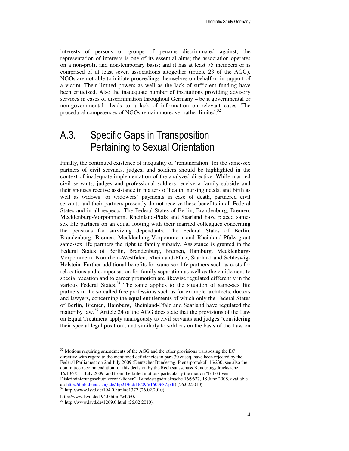interests of persons or groups of persons discriminated against; the representation of interests is one of its essential aims; the association operates on a non-profit and non-temporary basis; and it has at least 75 members or is comprised of at least seven associations altogether (article 23 of the AGG). NGOs are not able to initiate proceedings themselves on behalf or in support of a victim. Their limited powers as well as the lack of sufficient funding have been criticized. Also the inadequate number of institutions providing advisory services in cases of discrimination throughout Germany – be it governmental or non-governmental –leads to a lack of information on relevant cases. The procedural competences of NGOs remain moreover rather limited.<sup>32</sup>

### A.3. Specific Gaps in Transposition Pertaining to Sexual Orientation

Finally, the continued existence of inequality of 'remuneration' for the same-sex partners of civil servants, judges, and soldiers should be highlighted in the context of inadequate implementation of the analyzed directive. While married civil servants, judges and professional soldiers receive a family subsidy and their spouses receive assistance in matters of health, nursing needs, and birth as well as widows' or widowers' payments in case of death, partnered civil servants and their partners presently do not receive these benefits in all Federal States and in all respects. The Federal States of Berlin, Brandenburg, Bremen, Mecklenburg-Vorpommern, Rheinland-Pfalz and Saarland have placed samesex life partners on an equal footing with their married colleagues concerning the pensions for surviving dependants. The Federal States of Berlin, Brandenburg, Bremen, Mecklenburg-Vorpommern and Rheinland-Pfalz grant same-sex life partners the right to family subsidy. Assistance is granted in the Federal States of Berlin, Brandenburg, Bremen, Hamburg, Mecklenburg-Vorpommern, Nordrhein-Westfalen, Rheinland-Pfalz, Saarland and Schleswig-Holstein. Further additional benefits for same-sex life partners such as costs for relocations and compensation for family separation as well as the entitlement to special vacation and to career promotion are likewise regulated differently in the various Federal States. $34$  The same applies to the situation of same-sex life partners in the so called free professions such as for example architects, doctors and lawyers, concerning the equal entitlements of which only the Federal States of Berlin, Bremen, Hamburg, Rheinland-Pfalz and Saarland have regulated the matter by law.<sup>35</sup> Article 24 of the AGG does state that the provisions of the Law on Equal Treatment apply analogously to civil servants and judges 'considering their special legal position', and similarly to soldiers on the basis of the Law on

 $32$  Motions requiring amendments of the AGG and the other provisions transposing the EC directive with regard to the mentioned deficiencies in para 30 et seq. have been rejected by the Federal Parliament on 2nd July 2009 (Deutscher Bundestag, Plenarprotokoll 16/230; see also the committee recommendation for this decision by the Rechtsausschuss Bundestagsdrucksache 16/13675, 1 July 2009, and from the failed motions particularly the motion "Effektiven Diskriminierungsschutz verwirklichen", Bundestagsdrucksache 16/9637, 18 June 2008, available at: http://dipbt.bundestag.de/dip21/btd/16/096/1609637.pdf) (26.02.2010).

<sup>34</sup> http://www.lsvd.de/194.0.html#c1372 (26.02.2010).

http://www.lsvd.de/194.0.html#c4760.

<sup>35</sup> http://www.lsvd.de/1269.0.html (26.02.2010).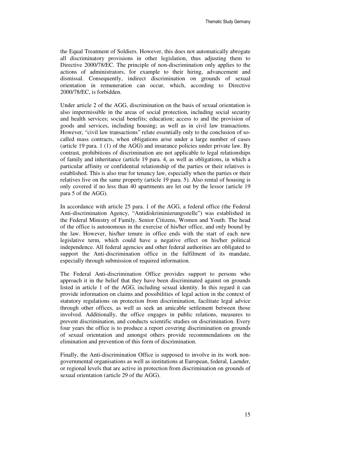the Equal Treatment of Soldiers. However, this does not automatically abrogate all discriminatory provisions in other legislation, thus adjusting them to Directive 2000/78/EC. The principle of non-discrimination only applies to the actions of administrators, for example to their hiring, advancement and dismissal. Consequently, indirect discrimination on grounds of sexual orientation in remuneration can occur, which, according to Directive 2000/78/EC, is forbidden.

Under article 2 of the AGG, discrimination on the basis of sexual orientation is also impermissible in the areas of social protection, including social security and health services; social benefits; education; access to and the provision of goods and services, including housing; as well as in civil law transactions. However, "civil law transactions" relate essentially only to the conclusion of socalled mass contracts, when obligations arise under a large number of cases (article 19 para. 1 (1) of the AGG) and insurance policies under private law. By contrast, prohibitions of discrimination are not applicable to legal relationships of family and inheritance (article 19 para. 4, as well as obligations, in which a particular affinity or confidential relationship of the parties or their relatives is established. This is also true for tenancy law, especially when the parties or their relatives live on the same property (article 19 para. 5). Also rental of housing is only covered if no less than 40 apartments are let out by the lessor (article 19 para 5 of the AGG).

In accordance with article 25 para. 1 of the AGG, a federal office (the Federal Anti-discrimination Agency, "Antidiskriminierungsstelle") was established in the Federal Ministry of Family, Senior Citizens, Women and Youth. The head of the office is autonomous in the exercise of his/her office, and only bound by the law. However, his/her tenure in office ends with the start of each new legislative term, which could have a negative effect on his/her political independence. All federal agencies and other federal authorities are obligated to support the Anti-discrimination office in the fulfilment of its mandate, especially through submission of required information.

The Federal Anti-discrimination Office provides support to persons who approach it in the belief that they have been discriminated against on grounds listed in article 1 of the AGG, including sexual identity. In this regard it can provide information on claims and possibilities of legal action in the context of statutory regulations on protection from discrimination, facilitate legal advice through other offices, as well as seek an amicable settlement between those involved. Additionally, the office engages in public relations, measures to prevent discrimination, and conducts scientific studies on discrimination. Every four years the office is to produce a report covering discrimination on grounds of sexual orientation and amongst others provide recommendations on the elimination and prevention of this form of discrimination.

Finally, the Anti-discrimination Office is supposed to involve in its work nongovernmental organisations as well as institutions at European, federal, Laender, or regional levels that are active in protection from discrimination on grounds of sexual orientation (article 29 of the AGG).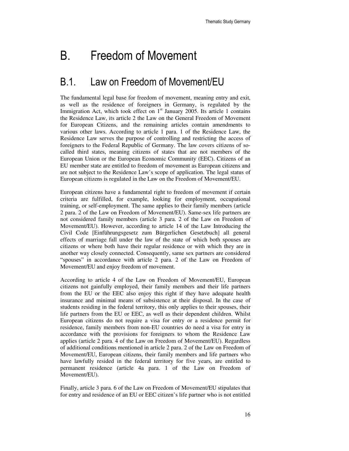## B. Freedom of Movement

#### B.1. Law on Freedom of Movement/EU

The fundamental legal base for freedom of movement, meaning entry and exit, as well as the residence of foreigners in Germany, is regulated by the Immigration Act, which took effect on  $1<sup>st</sup>$  January 2005. Its article 1 contains the Residence Law, its article 2 the Law on the General Freedom of Movement for European Citizens, and the remaining articles contain amendments to various other laws. According to article 1 para. 1 of the Residence Law, the Residence Law serves the purpose of controlling and restricting the access of foreigners to the Federal Republic of Germany. The law covers citizens of socalled third states, meaning citizens of states that are not members of the European Union or the European Economic Community (EEC). Citizens of an EU member state are entitled to freedom of movement as European citizens and are not subject to the Residence Law's scope of application. The legal status of European citizens is regulated in the Law on the Freedom of Movement/EU.

European citizens have a fundamental right to freedom of movement if certain criteria are fulfilled, for example, looking for employment, occupational training, or self-employment. The same applies to their family members (article 2 para. 2 of the Law on Freedom of Movement/EU). Same-sex life partners are not considered family members (article 3 para. 2 of the Law on Freedom of Movement/EU). However, according to article 14 of the Law Introducing the Civil Code [Einführungsgesetz zum Bürgerlichen Gesetzbuch] all general effects of marriage fall under the law of the state of which both spouses are citizens or where both have their regular residence or with which they are in another way closely connected. Consequently, same sex partners are considered "spouses" in accordance with article 2 para. 2 of the Law on Freedom of Movement/EU and enjoy freedom of movement.

According to article 4 of the Law on Freedom of Movement/EU, European citizens not gainfully employed, their family members and their life partners from the EU or the EEC also enjoy this right if they have adequate health insurance and minimal means of subsistence at their disposal. In the case of students residing in the federal territory, this only applies to their spouses, their life partners from the EU or EEC, as well as their dependent children. Whilst European citizens do not require a visa for entry or a residence permit for residence, family members from non-EU countries do need a visa for entry in accordance with the provisions for foreigners to whom the Residence Law applies (article 2 para. 4 of the Law on Freedom of Movement/EU). Regardless of additional conditions mentioned in article 2 para. 2 of the Law on Freedom of Movement/EU, European citizens, their family members and life partners who have lawfully resided in the federal territory for five years, are entitled to permanent residence (article 4a para. 1 of the Law on Freedom of Movement/EU).

Finally, article 3 para. 6 of the Law on Freedom of Movement/EU stipulates that for entry and residence of an EU or EEC citizen's life partner who is not entitled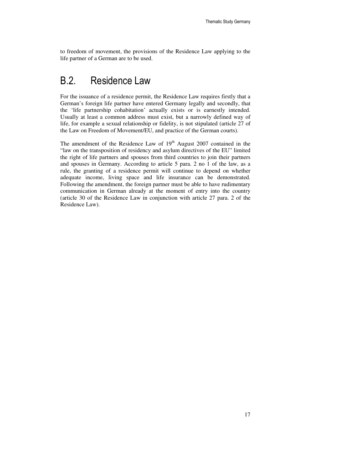to freedom of movement, the provisions of the Residence Law applying to the life partner of a German are to be used.

#### B.2. Residence Law

For the issuance of a residence permit, the Residence Law requires firstly that a German's foreign life partner have entered Germany legally and secondly, that the 'life partnership cohabitation' actually exists or is earnestly intended. Usually at least a common address must exist, but a narrowly defined way of life, for example a sexual relationship or fidelity, is not stipulated (article 27 of the Law on Freedom of Movement/EU, and practice of the German courts).

The amendment of the Residence Law of  $19<sup>th</sup>$  August 2007 contained in the "law on the transposition of residency and asylum directives of the EU" limited the right of life partners and spouses from third countries to join their partners and spouses in Germany. According to article 5 para. 2 no 1 of the law, as a rule, the granting of a residence permit will continue to depend on whether adequate income, living space and life insurance can be demonstrated. Following the amendment, the foreign partner must be able to have rudimentary communication in German already at the moment of entry into the country (article 30 of the Residence Law in conjunction with article 27 para. 2 of the Residence Law).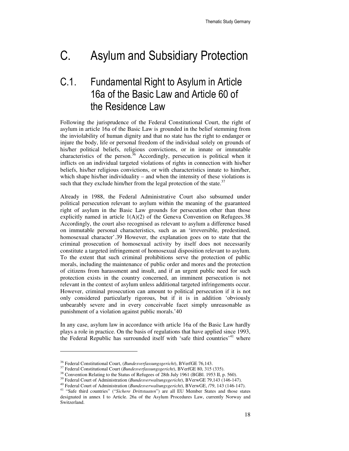# C. Asylum and Subsidiary Protection

## C.1. Fundamental Right to Asylum in Article 16a of the Basic Law and Article 60 of the Residence Law

Following the jurisprudence of the Federal Constitutional Court, the right of asylum in article 16a of the Basic Law is grounded in the belief stemming from the inviolability of human dignity and that no state has the right to endanger or injure the body, life or personal freedom of the individual solely on grounds of his/her political beliefs, religious convictions, or in innate or immutable characteristics of the person.<sup>36</sup> Accordingly, persecution is political when it inflicts on an individual targeted violations of rights in connection with his/her beliefs, his/her religious convictions, or with characteristics innate to him/her, which shape his/her individuality – and when the intensity of these violations is such that they exclude him/her from the legal protection of the state. $37$ 

Already in 1988, the Federal Administrative Court also subsumed under political persecution relevant to asylum within the meaning of the guaranteed right of asylum in the Basic Law grounds for persecution other than those explicitly named in article  $1(A)(2)$  of the Geneva Convention on Refugees. 38 Accordingly, the court also recognised as relevant to asylum a difference based on immutable personal characteristics, such as an 'irreversible, predestined, homosexual character'.39 However, the explanation goes on to state that the criminal prosecution of homosexual activity by itself does not necessarily constitute a targeted infringement of homosexual disposition relevant to asylum. To the extent that such criminal prohibitions serve the protection of public morals, including the maintenance of public order and mores and the protection of citizens from harassment and insult, and if an urgent public need for such protection exists in the country concerned, an imminent persecution is not relevant in the context of asylum unless additional targeted infringements occur. However, criminal prosecution can amount to political persecution if it is not only considered particularly rigorous, but if it is in addition 'obviously unbearably severe and in every conceivable facet simply unreasonable as punishment of a violation against public morals.'40

In any case, asylum law in accordance with article 16a of the Basic Law hardly plays a role in practice. On the basis of regulations that have applied since 1993, the Federal Republic has surrounded itself with 'safe third countries'<sup>41</sup> where

<sup>36</sup> Federal Constitutional Court, (*Bundesverfassungsgericht*), BVerfGE 76,143.

<sup>37</sup> Federal Constitutional Court (*Bundesverfassungsgericht*), BVerfGE 80, 315 (335).

<sup>&</sup>lt;sup>38</sup> Convention Relating to the Status of Refugees of 28th July 1961 (BGBl. 1953 II, p. 560).

<sup>39</sup> Federal Court of Administration (*Bundesverwaltungsgericht*), BVerwGE 79,143 (146-147).

<sup>40</sup> Federal Court of Administration (*Bundesverwaltungsgericht*), BVerwGE, /79, 143 (146-147).

<sup>41</sup> "Safe third countries" ("*Sichere Drittstaaten*") are all EU Member States and those states designated in annex I to Article. 26a of the Asylum Procedures Law, currently Norway and Switzerland.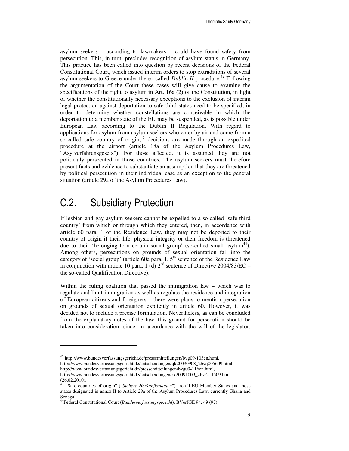asylum seekers – according to lawmakers – could have found safety from persecution. This, in turn, precludes recognition of asylum status in Germany. This practice has been called into question by recent decisions of the Federal Constitutional Court, which issued interim orders to stop extraditions of several asylum seekers to Greece under the so called *Dublin II* procedure.<sup>42</sup> Following the argumentation of the Court these cases will give cause to examine the specifications of the right to asylum in Art. 16a (2) of the Constitution, in light of whether the constitutionally necessary exceptions to the exclusion of interim legal protection against deportation to safe third states need to be specified, in order to determine whether constellations are conceivable in which the deportation to a member state of the EU may be suspended, as is possible under European Law according to the Dublin II Regulation. With regard to applications for asylum from asylum seekers who enter by air and come from a so-called safe country of origin, $43$  decisions are made through an expedited procedure at the airport (article 18a of the Asylum Procedures Law, "Asylverfahrensgesetz"). For those affected, it is assumed they are not politically persecuted in those countries. The asylum seekers must therefore present facts and evidence to substantiate an assumption that they are threatened by political persecution in their individual case as an exception to the general situation (article 29a of the Asylum Procedures Law).

### C.2. Subsidiary Protection

 $\overline{a}$ 

If lesbian and gay asylum seekers cannot be expelled to a so-called 'safe third country' from which or through which they entered, then, in accordance with article 60 para. 1 of the Residence Law, they may not be deported to their country of origin if their life, physical integrity or their freedom is threatened due to their 'belonging to a certain social group' (so-called small asylum<sup>44</sup>). Among others, persecutions on grounds of sexual orientation fall into the category of 'social group' (article 60a para. 1, 5<sup>th</sup> sentence of the Residence Law in conjunction with article 10 para. 1 (d)  $2<sup>nd</sup>$  sentence of Directive 2004/83/EC – the so-called Qualification Directive).

Within the ruling coalition that passed the immigration law – which was to regulate and limit immigration as well as regulate the residence and integration of European citizens and foreigners – there were plans to mention persecution on grounds of sexual orientation explicitly in article 60. However, it was decided not to include a precise formulation. Nevertheless, as can be concluded from the explanatory notes of the law, this ground for persecution should be taken into consideration, since, in accordance with the will of the legislator,

http://www.bundesverfassungsgericht.de/entscheidungen/qk20090908\_2bvq005609.html, http://www.bundesverfassungsgericht.de/pressemitteilungen/bvg09-116en.html,

<sup>42</sup> http://www.bundesverfassungsgericht.de/pressemitteilungen/bvg09-103en.html,

http://www.bundesverfassungsgericht.de/entscheidungen/rk20091009\_2bvr211509.html (26.02.2010).

<sup>&</sup>lt;sup>43</sup> "Safe countries of origin" ("Sichere Herkunftsstaaten") are all EU Member States and those states designated in annex II to Article 29a of the Asylum Procedures Law, currently Ghana and Senegal.

<sup>44</sup>Federal Constitutional Court (*Bundesverfassungsgericht*), BVerfGE 94, 49 (97).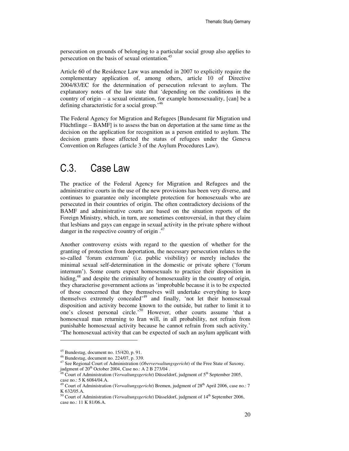persecution on grounds of belonging to a particular social group also applies to persecution on the basis of sexual orientation.<sup>45</sup>

Article 60 of the Residence Law was amended in 2007 to explicitly require the complementary application of, among others, article 10 of Directive 2004/83/EC for the determination of persecution relevant to asylum. The explanatory notes of the law state that 'depending on the conditions in the country of origin – a sexual orientation, for example homosexuality, [can] be a defining characteristic for a social group.'<sup>46</sup>

The Federal Agency for Migration and Refugees [Bundesamt für Migration und Flüchtlinge – BAMF] is to assess the ban on deportation at the same time as the decision on the application for recognition as a person entitled to asylum. The decision grants those affected the status of refugees under the Geneva Convention on Refugees (article 3 of the Asylum Procedures Law).

## C.3. Case Law

The practice of the Federal Agency for Migration and Refugees and the administrative courts in the use of the new provisions has been very diverse, and continues to guarantee only incomplete protection for homosexuals who are persecuted in their countries of origin. The often contradictory decisions of the BAMF and administrative courts are based on the situation reports of the Foreign Ministry, which, in turn, are sometimes controversial, in that they claim that lesbians and gays can engage in sexual activity in the private sphere without danger in the respective country of origin .<sup>47</sup>

Another controversy exists with regard to the question of whether for the granting of protection from deportation, the necessary persecution relates to the so-called 'forum externum' (i.e. public visibility) or merely includes the minimal sexual self-determination in the domestic or private sphere ('forum internum'). Some courts expect homosexuals to practice their disposition in hiding,<sup>48</sup> and despite the criminality of homosexuality in the country of origin, they characterise government actions as 'improbable because it is to be expected of those concerned that they themselves will undertake everything to keep themselves extremely concealed'<sup>49</sup> and finally, 'not let their homosexual disposition and activity become known to the outside, but rather to limit it to one's closest personal circle.'<sup>50</sup> However, other courts assume 'that a homosexual man returning to Iran will, in all probability, not refrain from punishable homosexual activity because he cannot refrain from such activity.' 'The homosexual activity that can be expected of such an asylum applicant with

 $45$  Bundestag, document no. 15/420, p. 91.

<sup>46</sup> Bundestag, document no. 224/07, p. 339.

<sup>47</sup> See Regional Court of Administration (*Oberverwaltungsgericht*) of the Free State of Saxony, judgment of  $20<sup>th</sup>$  October 2004, Case no.: A 2 B 273/04.

<sup>&</sup>lt;sup>48</sup> Court of Administration (*Verwaltungsgericht*) Düsseldorf, judgment of 5<sup>th</sup> September 2005, case no.: 5 K 6084/04.A.

<sup>&</sup>lt;sup>49</sup> Court of Administration (*Verwaltungsgericht*) Bremen, judgment of 28<sup>th</sup> April 2006, case no.: 7 K 632/05.A.

<sup>50</sup> Court of Administration (*Verwaltungsgericht*) Düsseldorf, judgment of 14th September 2006, case no.: 11 K 81/06.A.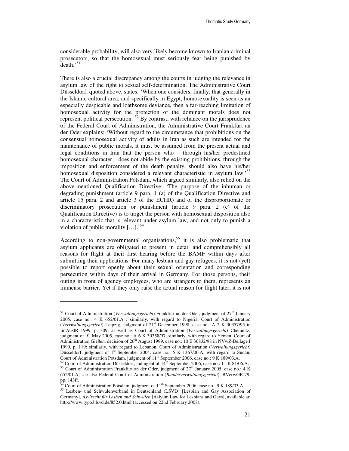considerable probability, will also very likely become known to Iranian criminal prosecutors, so that the homosexual must seriously fear being punished by  $death.^{51}$ 

There is also a crucial discrepancy among the courts in judging the relevance in asylum law of the right to sexual self-determination. The Administrative Court Düsseldorf, quoted above, states: 'When one considers, finally, that generally in the Islamic cultural area, and specifically in Egypt, homosexuality is seen as an especially despicable and loathsome deviance, then a far-reaching limitation of homosexual activity for the protection of the dominant morals does not represent political persecution.'<sup>52</sup> By contrast, with reliance on the jurisprudence of the Federal Court of Administration, the Administrative Court Frankfurt an der Oder explains: 'Without regard to the circumstance that prohibitions on the consensual homosexual activity of adults in Iran as such are intended for the maintenance of public morals, it must be assumed from the present actual and legal conditions in Iran that the person who – through his/her predestined homosexual character – does not abide by the existing prohibitions, through the imposition and enforcement of the death penalty, should also have his/her homosexual disposition considered a relevant characteristic in asylum law.<sup>53</sup> The Court of Administration Potsdam, which argued similarly, also relied on the above-mentioned Qualification Directive: 'The purpose of the inhuman or degrading punishment (article 9 para. 1 (a) of the Qualification Directive and article 15 para. 2 and article 3 of the ECHR) and of the disproportionate or discriminatory prosecution or punishment (article 9 para. 2 (c) of the Qualification Directive) is to target the person with homosexual disposition also in a characteristic that is relevant under asylum law, and not only to punish a violation of public morality  $[\dots]$ .<sup>54</sup>

According to non-governmental organisations,<sup>55</sup> it is also problematic that asylum applicants are obligated to present in detail and comprehensibly all reasons for flight at their first hearing before the BAMF within days after submitting their applications. For many lesbian and gay refugees, it is not (yet) possible to report openly about their sexual orientation and corresponding persecution within days of their arrival in Germany. For those persons, their outing in front of agency employees, who are strangers to them, represents an immense barrier. Yet if they only raise the actual reason for flight later, it is not

<sup>&</sup>lt;sup>51</sup> Court of Administration (*Verwaltungsgericht*) Frankfurt an der Oder, judgment of 27<sup>th</sup> January 2005, case no.: 4 K 652/01.A ; similarly, with regard to Nigeria, Court of Administration (*Verrwaltungsgericht*) Leipzig, judgment of 21st December 1998, case no.: A 2 K 30357/95 in InfAuslR 1999, p. 309; as well as Court of Administration (*Verwaltungsgericht*) Chemnitz, judgment of 9<sup>th</sup> May 2005, case no.: A 6 K 30358/97; similarly, with regard to Yemen, Court of Administration Gießen, decision of  $26<sup>th</sup>$  August 1999, case no.: 10 E 30832/98 in NVwZ-Beilage I 1999, p. 119; similarly, with regard to Lebanon, Court of Administration (*Verwaltungsgericht*) Düsseldorf, judgment of 1<sup>st</sup> September 2004, case no.: 5 K 1367/00.A; with regard to Sudan, Court of Administration Potsdam, judgment of 11th September 2006, case no.: 9 K 189/03.A.

 $52$  Court of Administration Düsseldorf, judmgent of  $14<sup>th</sup>$  September 2006, case no.: 11 K 81/06.A.  $53$  Court of Administration Frankfurt an der Oder, judgment of  $27<sup>th</sup>$  January 2005, case no.: 4 K 652/01.A; see also Federal Court of Administration (*Bundesverwaltungsgericht*), BVerwGE 79, pp. 143ff.

Court of Administration Potsdam, judgment of 11<sup>th</sup> September 2006, case no.: 9 K 189/03.A.

<sup>55</sup> Lesben- und Schwulenverband in Deutschland (LSVD) [Lesbian and Gay Association of Germany], *Asylrecht für Lesben und Schwulen* [Aslyum Law for Lesbians and Gays], available at: http://www.typo3.lsvd.de/852.0.html (accessed on 22nd February 2008).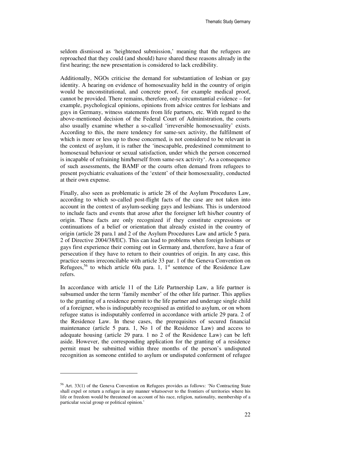seldom dismissed as 'heightened submission,' meaning that the refugees are reproached that they could (and should) have shared these reasons already in the first hearing; the new presentation is considered to lack credibility.

Additionally, NGOs criticise the demand for substantiation of lesbian or gay identity. A hearing on evidence of homosexuality held in the country of origin would be unconstitutional, and concrete proof, for example medical proof, cannot be provided. There remains, therefore, only circumstantial evidence – for example, psychological opinions, opinions from advice centres for lesbians and gays in Germany, witness statements from life partners, etc. With regard to the above-mentioned decision of the Federal Court of Administration, the courts also usually examine whether a so-called 'irreversible homosexuality' exists. According to this, the mere tendency for same-sex activity, the fulfilment of which is more or less up to those concerned, is not considered to be relevant in the context of asylum, it is rather the 'inescapable, predestined commitment to homosexual behaviour or sexual satisfaction, under which the person concerned is incapable of refraining him/herself from same-sex activity'. As a consequence of such assessments, the BAMF or the courts often demand from refugees to present psychiatric evaluations of the 'extent' of their homosexuality, conducted at their own expense.

Finally, also seen as problematic is article 28 of the Asylum Procedures Law, according to which so-called post-flight facts of the case are not taken into account in the context of asylum-seeking gays and lesbians. This is understood to include facts and events that arose after the foreigner left his/her country of origin. These facts are only recognized if they constitute expressions or continuations of a belief or orientation that already existed in the country of origin (article 28 para.1 and 2 of the Asylum Procedures Law and article 5 para. 2 of Directive 2004/38/EC). This can lead to problems when foreign lesbians or gays first experience their coming out in Germany and, therefore, have a fear of persecution if they have to return to their countries of origin. In any case, this practice seems irreconcilable with article 33 par. 1 of the Geneva Convention on Refugees,<sup>56</sup> to which article 60a para. 1,  $1<sup>st</sup>$  sentence of the Residence Law refers.

In accordance with article 11 of the Life Partnership Law, a life partner is subsumed under the term 'family member' of the other life partner. This applies to the granting of a residence permit to the life partner and underage single child of a foreigner, who is indisputably recognised as entitled to asylum, or on whom refugee status is indisputably conferred in accordance with article 29 para. 2 of the Residence Law. In these cases, the prerequisites of secured financial maintenance (article 5 para. 1, No 1 of the Residence Law) and access to adequate housing (article 29 para. 1 no 2 of the Residence Law) can be left aside. However, the corresponding application for the granting of a residence permit must be submitted within three months of the person's undisputed recognition as someone entitled to asylum or undisputed conferment of refugee

<sup>&</sup>lt;sup>56</sup> Art. 33(1) of the Geneva Convention on Refugees provides as follows: 'No Contracting State shall expel or return a refugee in any manner whatsoever to the frontiers of territories where his life or freedom would be threatened on account of his race, religion, nationality, membership of a particular social group or political opinion.'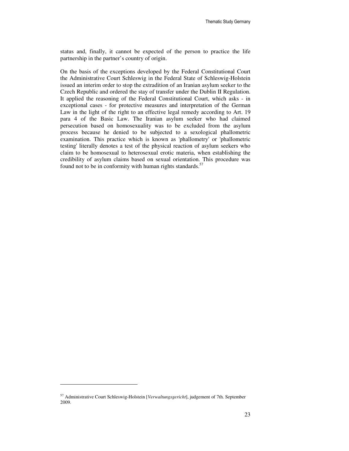status and, finally, it cannot be expected of the person to practice the life partnership in the partner's country of origin.

On the basis of the exceptions developed by the Federal Constitutional Court the Administrative Court Schleswig in the Federal State of Schleswig-Holstein issued an interim order to stop the extradition of an Iranian asylum seeker to the Czech Republic and ordered the stay of transfer under the Dublin II Regulation. It applied the reasoning of the Federal Constitutional Court, which asks - in exceptional cases - for protective measures and interpretation of the German Law in the light of the right to an effective legal remedy according to Art. 19 para 4 of the Basic Law. The Iranian asylum seeker who had claimed persecution based on homosexuality was to be excluded from the asylum process because he denied to be subjected to a sexological phallometric examination. This practice which is known as 'phallometry' or 'phallometric testing' literally denotes a test of the physical reaction of asylum seekers who claim to be homosexual to heterosexual erotic materia, when establishing the credibility of asylum claims based on sexual orientation. This procedure was found not to be in conformity with human rights standards. $57$ 

-

<sup>57</sup> Administrative Court Schleswig-Holstein [*Verwaltungsgericht*], judgement of 7th. September 2009.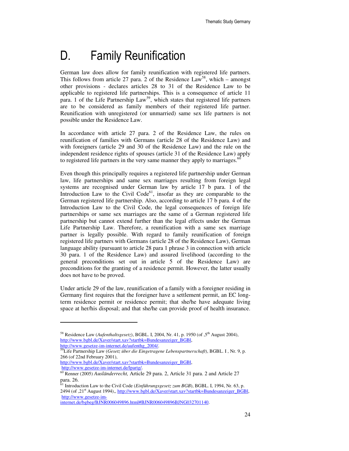# D. Family Reunification

German law does allow for family reunification with registered life partners. This follows from article 27 para. 2 of the Residence Law<sup>58</sup>, which – amongst other provisions - declares articles 28 to 31 of the Residence Law to be applicable to registered life partnerships. This is a consequence of article 11 para. 1 of the Life Partnership Law<sup>59</sup>, which states that registered life partners are to be considered as family members of their registered life partner. Reunification with unregistered (or unmarried) same sex life partners is not possible under the Residence Law.

In accordance with article 27 para. 2 of the Residence Law, the rules on reunification of families with Germans (article 28 of the Residence Law) and with foreigners (article 29 and 30 of the Residence Law) and the rule on the independent residence rights of spouses (article 31 of the Residence Law) apply to registered life partners in the very same manner they apply to marriages.<sup>6</sup>

Even though this principally requires a registered life partnership under German law, life partnerships and same sex marriages resulting from foreign legal systems are recognised under German law by article 17 b para. 1 of the Introduction Law to the Civil Code<sup>61</sup>, insofar as they are comparable to the German registered life partnership. Also, according to article 17 b para. 4 of the Introduction Law to the Civil Code, the legal consequences of foreign life partnerships or same sex marriages are the same of a German registered life partnership but cannot extend further than the legal effects under the German Life Partnership Law. Therefore, a reunification with a same sex marriage partner is legally possible. With regard to family reunification of foreign registered life partners with Germans (article 28 of the Residence Law), German language ability (pursuant to article 28 para 1 phrase 3 in connection with article 30 para. 1 of the Residence Law) and assured livelihood (according to the general preconditions set out in article 5 of the Residence Law) are preconditions for the granting of a residence permit. However, the latter usually does not have to be proved.

Under article 29 of the law, reunification of a family with a foreigner residing in Germany first requires that the foreigner have a settlement permit, an EC longterm residence permit or residence permit; that she/he have adequate living space at her/his disposal; and that she/he can provide proof of health insurance.

http://www.bgbl.de/Xaver/start.xav?startbk=Bundesanzeiger\_BGBl, http://www.gesetze-im-internet.de/lpartg/.

 $\overline{a}$ 

internet.de/bgbeg/BJNR006049896.html#BJNR006049896BJNG032701140.

<sup>&</sup>lt;sup>58</sup> Residence Law (*Aufenthaltsgesetz*), BGBL. I, 2004, Nr. 41, p. 1950 (of ,5<sup>th</sup> August 2004), http://www.bgbl.de/Xaver/start.xav?startbk=Bundesanzeiger\_BGBl, http://www.gesetze-im-internet.de/aufenthg\_2004/.

<sup>59</sup>Life Partnership Law (*Gesetz über die Eingetragene Lebenspartnerschaft*), BGBL. I , Nr. 9, p. 266 (of 22nd February 2001),

<sup>60</sup> Renner (2005) *Ausländerrecht,* Article 29 para. 2, Article 31 para. 2 and Article 27 para. 26.

<sup>61</sup> Introduction Law to the Civil Code (*Einführungsgesetz zum BGB*), BGBL. I, 1994, Nr. 63, p. 2494 (of ,21<sup>st</sup> August 1994),, http://www.bgbl.de/Xaver/start.xav?startbk=Bundesanzeiger\_BGBl, http://www.gesetze-im-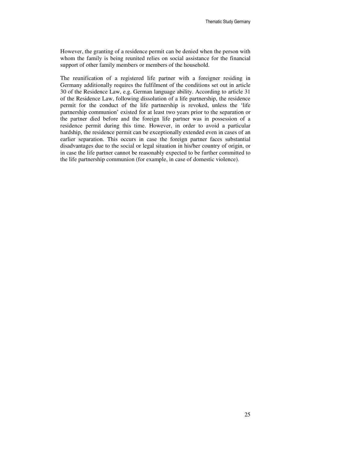However, the granting of a residence permit can be denied when the person with whom the family is being reunited relies on social assistance for the financial support of other family members or members of the household.

The reunification of a registered life partner with a foreigner residing in Germany additionally requires the fulfilment of the conditions set out in article 30 of the Residence Law, e.g. German language ability. According to article 31 of the Residence Law, following dissolution of a life partnership, the residence permit for the conduct of the life partnership is revoked, unless the 'life partnership communion' existed for at least two years prior to the separation or the partner died before and the foreign life partner was in possession of a residence permit during this time. However, in order to avoid a particular hardship, the residence permit can be exceptionally extended even in cases of an earlier separation. This occurs in case the foreign partner faces substantial disadvantages due to the social or legal situation in his/her country of origin, or in case the life partner cannot be reasonably expected to be further committed to the life partnership communion (for example, in case of domestic violence).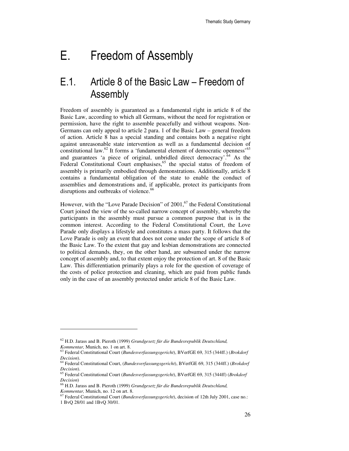# E. Freedom of Assembly

## E.1. Article 8 of the Basic Law – Freedom of Assembly

Freedom of assembly is guaranteed as a fundamental right in article 8 of the Basic Law, according to which all Germans, without the need for registration or permission, have the right to assemble peacefully and without weapons. Non-Germans can only appeal to article 2 para. 1 of the Basic Law – general freedom of action. Article 8 has a special standing and contains both a negative right against unreasonable state intervention as well as a fundamental decision of constitutional law. $^{62}$  It forms a 'fundamental element of democratic openness'<sup>63</sup> and guarantees 'a piece of original, unbridled direct democracy.<sup> $64$ </sup> As the Federal Constitutional Court emphasises,<sup>65</sup> the special status of freedom of assembly is primarily embodied through demonstrations. Additionally, article 8 contains a fundamental obligation of the state to enable the conduct of assemblies and demonstrations and, if applicable, protect its participants from disruptions and outbreaks of violence.<sup>66</sup>

However, with the "Love Parade Decision" of  $2001$ ,  $67$  the Federal Constitutional Court joined the view of the so-called narrow concept of assembly, whereby the participants in the assembly must pursue a common purpose that is in the common interest. According to the Federal Constitutional Court, the Love Parade only displays a lifestyle and constitutes a mass party. It follows that the Love Parade is only an event that does not come under the scope of article 8 of the Basic Law. To the extent that gay and lesbian demonstrations are connected to political demands, they, on the other hand, are subsumed under the narrow concept of assembly and, to that extent enjoy the protection of art. 8 of the Basic Law. This differentiation primarily plays a role for the question of coverage of the costs of police protection and cleaning, which are paid from public funds only in the case of an assembly protected under article 8 of the Basic Law.

<sup>62</sup> H.D. Jarass and B. Pieroth (1999) *Grundgesetz für die Bundesrepublik Deutschland, Kommentar,* Munich, no. 1 on art. 8.

<sup>63</sup> Federal Constitutional Court (*Bundesverfassungsgericht*), BVerfGE 69, 315 (344ff.) (*Brokdorf Decision*).

<sup>64</sup> Federal Constitutional Court, (*Bundesverfassungsgericht*), BVerfGE 69, 315 (344ff.) (*Brokdorf Decision*).

<sup>65</sup> Federal Constitutional Court (*Bundesverfassungsgericht*), BVerfGE 69, 315 (344ff) (*Brokdorf Decision*)

<sup>66</sup> H.D. Jarass and B. Pieroth (1999) *Grundgesetz für die Bundesrepublik Deutschland, Kommentar,* Munich, no. 12 on art. 8.

<sup>67</sup> Federal Constitutional Court (*Bundesverfassungsgericht*), decision of 12th July 2001, case no.: 1 BvQ 28/01 and 1BvQ 30/01.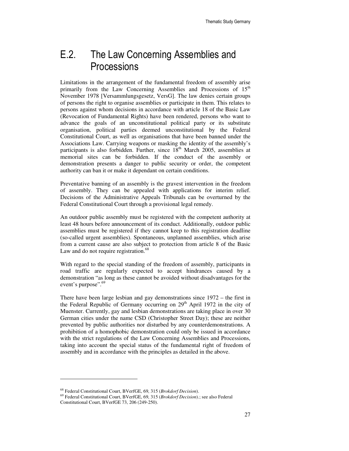## E.2. The Law Concerning Assemblies and **Processions**

Limitations in the arrangement of the fundamental freedom of assembly arise primarily from the Law Concerning Assemblies and Processions of  $15<sup>th</sup>$ November 1978 [Versammlungsgesetz, VersG]. The law denies certain groups of persons the right to organise assemblies or participate in them. This relates to persons against whom decisions in accordance with article 18 of the Basic Law (Revocation of Fundamental Rights) have been rendered, persons who want to advance the goals of an unconstitutional political party or its substitute organisation, political parties deemed unconstitutional by the Federal Constitutional Court, as well as organisations that have been banned under the Associations Law. Carrying weapons or masking the identity of the assembly's participants is also forbidden. Further, since  $18<sup>th</sup>$  March 2005, assemblies at memorial sites can be forbidden. If the conduct of the assembly or demonstration presents a danger to public security or order, the competent authority can ban it or make it dependant on certain conditions.

Preventative banning of an assembly is the gravest intervention in the freedom of assembly. They can be appealed with applications for interim relief. Decisions of the Administrative Appeals Tribunals can be overturned by the Federal Constitutional Court through a provisional legal remedy.

An outdoor public assembly must be registered with the competent authority at least 48 hours before announcement of its conduct. Additionally, outdoor public assemblies must be registered if they cannot keep to this registration deadline (so-called urgent assemblies). Spontaneous, unplanned assemblies, which arise from a current cause are also subject to protection from article 8 of the Basic Law and do not require registration.<sup>68</sup>

With regard to the special standing of the freedom of assembly, participants in road traffic are regularly expected to accept hindrances caused by a demonstration "as long as these cannot be avoided without disadvantages for the event's purpose".<sup>69</sup>

There have been large lesbian and gay demonstrations since 1972 – the first in the Federal Republic of Germany occurring on  $29<sup>th</sup>$  April 1972 in the city of Muenster. Currently, gay and lesbian demonstrations are taking place in over 30 German cities under the name CSD (Christopher Street Day); these are neither prevented by public authorities nor disturbed by any counterdemonstrations. A prohibition of a homophobic demonstration could only be issued in accordance with the strict regulations of the Law Concerning Assemblies and Processions, taking into account the special status of the fundamental right of freedom of assembly and in accordance with the principles as detailed in the above.

<sup>68</sup> Federal Constitutional Court, BVerfGE, 69, 315 (*Brokdorf Decision*).

<sup>69</sup> Federal Constitutional Court, BVerfGE, 69, 315 (*Brokdorf Decision*).; see also Federal Constitutional Court, BVerfGE 73, 206 (249-250).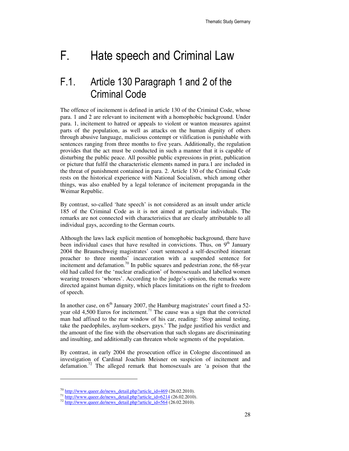# F. Hate speech and Criminal Law

### F.1. Article 130 Paragraph 1 and 2 of the Criminal Code

The offence of incitement is defined in article 130 of the Criminal Code, whose para. 1 and 2 are relevant to incitement with a homophobic background. Under para. 1, incitement to hatred or appeals to violent or wanton measures against parts of the population, as well as attacks on the human dignity of others through abusive language, malicious contempt or vilification is punishable with sentences ranging from three months to five years. Additionally, the regulation provides that the act must be conducted in such a manner that it is capable of disturbing the public peace. All possible public expressions in print, publication or picture that fulfil the characteristic elements named in para.1 are included in the threat of punishment contained in para. 2. Article 130 of the Criminal Code rests on the historical experience with National Socialism, which among other things, was also enabled by a legal tolerance of incitement propaganda in the Weimar Republic.

By contrast, so-called 'hate speech' is not considered as an insult under article 185 of the Criminal Code as it is not aimed at particular individuals. The remarks are not connected with characteristics that are clearly attributable to all individual gays, according to the German courts.

Although the laws lack explicit mention of homophobic background, there have been individual cases that have resulted in convictions. Thus, on  $9<sup>th</sup>$  January 2004 the Braunschweig magistrates' court sentenced a self-described itinerant preacher to three months' incarceration with a suspended sentence for incitement and defamation.<sup>70</sup> In public squares and pedestrian zone, the 68-year old had called for the 'nuclear eradication' of homosexuals and labelled women wearing trousers 'whores'. According to the judge's opinion, the remarks were directed against human dignity, which places limitations on the right to freedom of speech.

In another case, on  $6<sup>th</sup>$  January 2007, the Hamburg magistrates' court fined a 52year old 4,500 Euros for incitement.<sup>71</sup> The cause was a sign that the convicted man had affixed to the rear window of his car, reading: 'Stop animal testing, take the paedophiles, asylum-seekers, gays.' The judge justified his verdict and the amount of the fine with the observation that such slogans are discriminating and insulting, and additionally can threaten whole segments of the population.

By contrast, in early 2004 the prosecution office in Cologne discontinued an investigation of Cardinal Joachim Meisner on suspicion of incitement and defamation.<sup>72</sup> The alleged remark that homosexuals are 'a poison that the

 $^{70}$  http://www.queer.de/news\_detail.php?article\_id=469 (26.02.2010).

 $^{71}$  http://www.queer.de/news\_detail.php?article\_id=6214 (26.02.2010).

 $72 \frac{\text{http://www.quer.de/news detail.php?article id=564 (26.02.2010)}$ .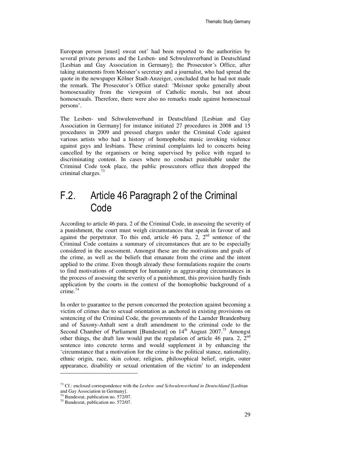European person [must] sweat out' had been reported to the authorities by several private persons and the Lesben- und Schwulenverband in Deutschland [Lesbian and Gay Association in Germany]; the Prosecutor's Office, after taking statements from Meisner's secretary and a journalist, who had spread the quote in the newspaper Kölner Stadt-Anzeiger, concluded that he had not made the remark. The Prosecutor´s Office stated: 'Meisner spoke generally about homosexuality from the viewpoint of Catholic morals, but not about homosexuals. Therefore, there were also no remarks made against homosexual persons'.

The Lesben- und Schwulenverband in Deutschland [Lesbian and Gay Association in Germany] for instance initiated 27 procedures in 2008 and 15 procedures in 2009 and pressed charges under the Criminal Code against various artists who had a history of homophobic music invoking violence against gays and lesbians. These criminal complaints led to concerts being cancelled by the organisers or being supervised by police with regard to discriminating content. In cases where no conduct punishable under the Criminal Code took place, the public prosecutors office then dropped the criminal charges.<sup>73</sup>

### F.2. Article 46 Paragraph 2 of the Criminal Code

According to article 46 para. 2 of the Criminal Code, in assessing the severity of a punishment, the court must weigh circumstances that speak in favour of and against the perpetrator. To this end, article 46 para. 2,  $2<sup>nd</sup>$  sentence of the Criminal Code contains a summary of circumstances that are to be especially considered in the assessment. Amongst these are the motivations and goals of the crime, as well as the beliefs that emanate from the crime and the intent applied to the crime. Even though already these formulations require the courts to find motivations of contempt for humanity as aggravating circumstances in the process of assessing the severity of a punishment, this provision hardly finds application by the courts in the context of the homophobic background of a crime.<sup>74</sup>

In order to guarantee to the person concerned the protection against becoming a victim of crimes due to sexual orientation as anchored in existing provisions on sentencing of the Criminal Code, the governments of the Laender Brandenburg and of Saxony-Anhalt sent a draft amendment to the criminal code to the Second Chamber of Parliament [Bundesrat] on  $14<sup>th</sup>$  August 2007.<sup>75</sup> Amongst other things, the draft law would put the regulation of article 46 para. 2,  $2<sup>nd</sup>$ sentence into concrete terms and would supplement it by enhancing the 'circumstance that a motivation for the crime is the political stance, nationality, ethnic origin, race, skin colour, religion, philosophical belief, origin, outer appearance, disability or sexual orientation of the victim' to an independent

<sup>73</sup> Cf.: enclosed correspondence with the *Lesben- und Schwulenverband in Deutschland* [Lesbian and Gay Association in Germany].

 $74$  Bundesrat, publication no. 572/07.

<sup>75</sup> Bundesrat, publication no. 572/07.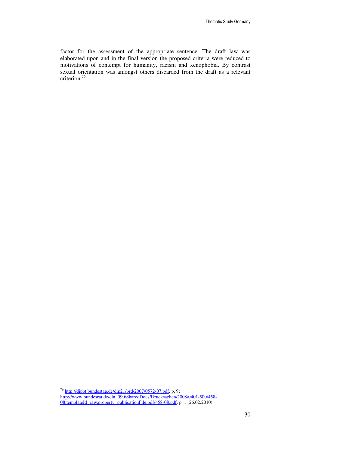factor for the assessment of the appropriate sentence. The draft law was elaborated upon and in the final version the proposed criteria were reduced to motivations of contempt for humanity, racism and xenophobia. By contrast sexual orientation was amongst others discarded from the draft as a relevant criterion.<sup>76</sup>.

<sup>&</sup>lt;sup>76</sup> http://dipbt.bundestag.de/dip21/brd/2007/0572-07.pdf, p. 9; http://www.bundesrat.de/cln\_090/SharedDocs/Drucksachen/2008/0401-500/458- 08,templateId=raw,property=publicationFile.pdf/458-08.pdf, p. 1 (26.02.2010).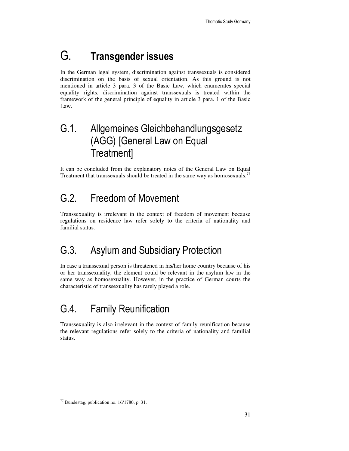## G. Transgender issues

In the German legal system, discrimination against transsexuals is considered discrimination on the basis of sexual orientation. As this ground is not mentioned in article 3 para. 3 of the Basic Law, which enumerates special equality rights, discrimination against transsexuals is treated within the framework of the general principle of equality in article 3 para. 1 of the Basic Law.

## G.1. Allgemeines Gleichbehandlungsgesetz (AGG) [General Law on Equal Treatment]

It can be concluded from the explanatory notes of the General Law on Equal Treatment that transsexuals should be treated in the same way as homosexuals.<sup>77</sup>

## G.2. Freedom of Movement

Transsexuality is irrelevant in the context of freedom of movement because regulations on residence law refer solely to the criteria of nationality and familial status.

## G.3. Asylum and Subsidiary Protection

In case a transsexual person is threatened in his/her home country because of his or her transsexuality, the element could be relevant in the asylum law in the same way as homosexuality. However, in the practice of German courts the characteristic of transsexuality has rarely played a role.

## G.4. Family Reunification

Transsexuality is also irrelevant in the context of family reunification because the relevant regulations refer solely to the criteria of nationality and familial status.

 $77$  Bundestag, publication no. 16/1780, p. 31.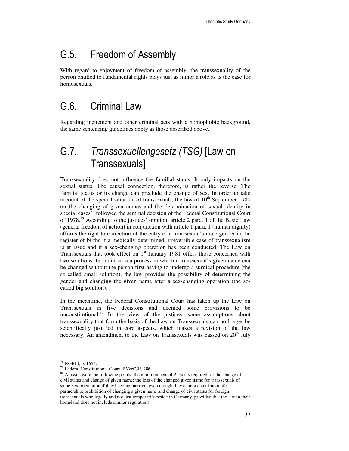### G.5. Freedom of Assembly

With regard to enjoyment of freedom of assembly, the transsexuality of the person entitled to fundamental rights plays just as minor a role as is the case for homosexuals.

### G.6. Criminal Law

Regarding incitement and other criminal acts with a homophobic background, the same sentencing guidelines apply as those described above.

## G.7. Transsexuellengesetz (TSG) [Law on Transsexuals]

Transsexuality does not influence the familial status. It only impacts on the sexual status. The causal connection, therefore, is rather the reverse. The familial status or its change can preclude the change of sex. In order to take account of the special situation of transsexuals, the law of  $10<sup>th</sup>$  September 1980 on the changing of given names and the determination of sexual identity in special cases<sup>78</sup> followed the seminal decision of the Federal Constitutional Court of 1978.<sup>79</sup> According to the justices' opinion, article 2 para. 1 of the Basic Law (general freedom of action) in conjunction with article 1 para. 1 (human dignity) affords the right to correction of the entry of a transsexual's male gender in the register of births if a medically determined, irreversible case of transsexualism is at issue and if a sex-changing operation has been conducted. The Law on Transsexuals that took effect on  $1<sup>st</sup>$  January 1981 offers those concerned with two solutions. In addition to a process in which a transsexual's given name can be changed without the person first having to undergo a surgical procedure (the so-called small solution), the law provides the possibility of determining the gender and changing the given name after a sex-changing operation (the socalled big solution).

In the meantime, the Federal Constitutional Court has taken up the Law on Transsexuals in five decisions and deemed some provisions to be unconstitutional.<sup>80</sup> In the view of the justices, some assumptions about transsexuality that form the basis of the Law on Transsexuals can no longer be scientifically justified in core aspects, which makes a revision of the law necessary. An amendment to the Law on Transsexuals was passed on  $20<sup>th</sup>$  July

<sup>78</sup> BGBl I, p. 1654.

<sup>79</sup> Federal Constitutional Court, BVerfGE, 286.

<sup>&</sup>lt;sup>80</sup> At issue were the following points: the minimum age of 25 years required for the change of civil status and change of given name; the loss of the changed given name for transsexuals of same-sex orientation if they become married, even though they cannot enter into a life partnership; prohibition of changing a given name and change of civil status for foreign transsexuals who legally and not just temporarily reside in Germany, provided that the law in their homeland does not include similar regulations.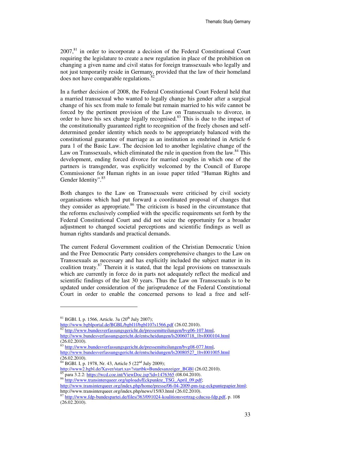$2007<sup>81</sup>$  in order to incorporate a decision of the Federal Constitutional Court requiring the legislature to create a new regulation in place of the prohibition on changing a given name and civil status for foreign transsexuals who legally and not just temporarily reside in Germany, provided that the law of their homeland does not have comparable regulations.<sup>8</sup>

In a further decision of 2008, the Federal Constitutional Court Federal held that a married transsexual who wanted to legally change his gender after a surgical change of his sex from male to female but remain married to his wife cannot be forced by the pertinent provision of the Law on Transsexuals to divorce, in order to have his sex change legally recognised.<sup>83</sup> This is due to the impact of the constitutionally guaranteed right to recognition of the freely chosen and selfdetermined gender identity which needs to be appropriately balanced with the constitutional guarantee of marriage as an institution as enshrined in Article 6 para 1 of the Basic Law. The decision led to another legislative change of the Law on Transsexuals, which eliminated the rule in question from the law.<sup>84</sup> This development, ending forced divorce for married couples in which one of the partners is transgender, was explicitly welcomed by the Council of Europe Commissioner for Human rights in an issue paper titled "Human Rights and Gender Identity".<sup>85</sup>

Both changes to the Law on Transsexuals were criticised by civil society organisations which had put forward a coordinated proposal of changes that they consider as appropriate.<sup>86</sup> The criticism is based in the circumstance that the reforms exclusively complied with the specific requirements set forth by the Federal Constitutional Court and did not seize the opportunity for a broader adjustment to changed societal perceptions and scientific findings as well as human rights standards and practical demands.

The current Federal Government coalition of the Christian Democratic Union and the Free Democratic Party considers comprehensive changes to the Law on Transsexuals as necessary and has explicitly included the subject matter in its coalition treaty. $87$  Therein it is stated, that the legal provisions on transsexuals which are currently in force do in parts not adequately reflect the medical and scientific findings of the last 30 years. Thus the Law on Transsexuals is to be updated under consideration of the jurisprudence of the Federal Constitutional Court in order to enable the concerned persons to lead a free and self-

 $\overline{a}$ 

http://www2.bgbl.de/Xaver/start.xav?startbk=Bundesanzeiger\_BGBI (26.02.2010). para 3.2.2: https://wcd.coe.int/ViewDoc.jsp?id=1476365 (08.04.2010).

 $81$  BGBl. I, p. 1566, Article. 3a (20<sup>th</sup> July 2007);

http://www.bgblportal.de/BGBL/bgbl1f/bgbl107s1566.pdf (26.02.2010). 82 http://www.bundesverfassungsgericht.de/pressemitteilungen/bvg06-107.html,

http://www.bundesverfassungsgericht.de/entscheidungen/ls20060718\_1bvl000104.html (26.02.2010).

<sup>&</sup>lt;sup>3</sup> http://www.bundesverfassungsgericht.de/pressemitteilungen/bvg08-077.html, http://www.bundesverfassungsgericht.de/entscheidungen/ls20080527\_1bvl001005.html (26.02.2010).

 $84$  BGBl. I, p. 1978, Nr. 43, Article 5 (22<sup>nd</sup> July 2009);

<sup>86</sup> http://www.transinterqueer.org/uploads/Eckpunkte\_TSG\_April\_09.pdf; http://www.transinterqueer.org/index.php/home/presse/06-04-2009-pm-tsg-eckpuntepapier.html; http://www.transinterqueer.org/index.php/news/15/83.html (26.02.2010).

<sup>87</sup> http://www.fdp-bundespartei.de/files/363/091024-koalitionsvertrag-cducsu-fdp.pdf, p. 108 (26.02.2010).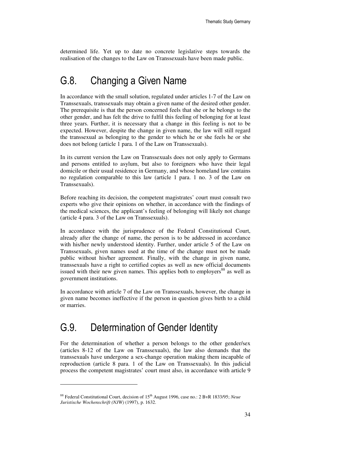determined life. Yet up to date no concrete legislative steps towards the realisation of the changes to the Law on Transsexuals have been made public.

### G.8. Changing a Given Name

In accordance with the small solution, regulated under articles 1-7 of the Law on Transsexuals, transsexuals may obtain a given name of the desired other gender. The prerequisite is that the person concerned feels that she or he belongs to the other gender, and has felt the drive to fulfil this feeling of belonging for at least three years. Further, it is necessary that a change in this feeling is not to be expected. However, despite the change in given name, the law will still regard the transsexual as belonging to the gender to which he or she feels he or she does not belong (article 1 para. 1 of the Law on Transsexuals).

In its current version the Law on Transsexuals does not only apply to Germans and persons entitled to asylum, but also to foreigners who have their legal domicile or their usual residence in Germany, and whose homeland law contains no regulation comparable to this law (article 1 para. 1 no. 3 of the Law on Transsexuals).

Before reaching its decision, the competent magistrates' court must consult two experts who give their opinions on whether, in accordance with the findings of the medical sciences, the applicant's feeling of belonging will likely not change (article 4 para. 3 of the Law on Transsexuals).

In accordance with the jurisprudence of the Federal Constitutional Court, already after the change of name, the person is to be addressed in accordance with his/her newly understood identity. Further, under article 5 of the Law on Transsexuals, given names used at the time of the change must not be made public without his/her agreement. Finally, with the change in given name, transsexuals have a right to certified copies as well as new official documents issued with their new given names. This applies both to employers<sup>88</sup> as well as government institutions.

In accordance with article 7 of the Law on Transsexuals, however, the change in given name becomes ineffective if the person in question gives birth to a child or marries.

#### G.9. Determination of Gender Identity

-

For the determination of whether a person belongs to the other gender/sex (articles 8-12 of the Law on Transsexuals), the law also demands that the transsexuals have undergone a sex-change operation making them incapable of reproduction (article 8 para. 1 of the Law on Transsexuals). In this judicial process the competent magistrates' court must also, in accordance with article 9

<sup>&</sup>lt;sup>88</sup> Federal Constitutional Court, decision of 15<sup>th</sup> August 1996, case no.: 2 BvR 1833/95; *Neue Juristische Wochenschrift (NJW)* (1997), p. 1632.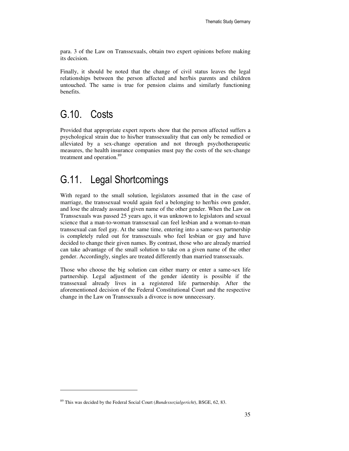para. 3 of the Law on Transsexuals, obtain two expert opinions before making its decision.

Finally, it should be noted that the change of civil status leaves the legal relationships between the person affected and her/his parents and children untouched. The same is true for pension claims and similarly functioning benefits.

## G.10. Costs

 $\overline{a}$ 

Provided that appropriate expert reports show that the person affected suffers a psychological strain due to his/her transsexuality that can only be remedied or alleviated by a sex-change operation and not through psychotherapeutic measures, the health insurance companies must pay the costs of the sex-change treatment and operation.<sup>89</sup>

## G.11. Legal Shortcomings

With regard to the small solution, legislators assumed that in the case of marriage, the transsexual would again feel a belonging to her/his own gender, and lose the already assumed given name of the other gender. When the Law on Transsexuals was passed 25 years ago, it was unknown to legislators and sexual science that a man-to-woman transsexual can feel lesbian and a woman-to-man transsexual can feel gay. At the same time, entering into a same-sex partnership is completely ruled out for transsexuals who feel lesbian or gay and have decided to change their given names. By contrast, those who are already married can take advantage of the small solution to take on a given name of the other gender. Accordingly, singles are treated differently than married transsexuals.

Those who choose the big solution can either marry or enter a same-sex life partnership. Legal adjustment of the gender identity is possible if the transsexual already lives in a registered life partnership. After the aforementioned decision of the Federal Constitutional Court and the respective change in the Law on Transsexuals a divorce is now unnecessary.

<sup>89</sup> This was decided by the Federal Social Court (*Bundessozialgericht*), BSGE, 62, 83.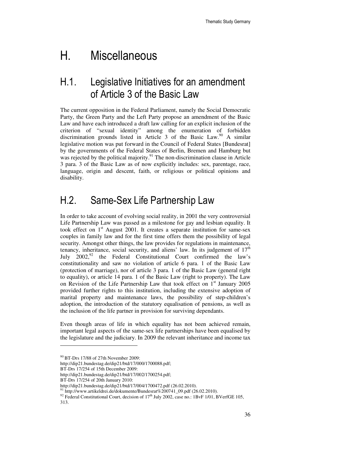## H. Miscellaneous

### H.1. Legislative Initiatives for an amendment of Article 3 of the Basic Law

The current opposition in the Federal Parliament, namely the Social Democratic Party, the Green Party and the Left Party propose an amendment of the Basic Law and have each introduced a draft law calling for an explicit inclusion of the criterion of "sexual identity" among the enumeration of forbidden discrimination grounds listed in Article 3 of the Basic Law.<sup>90</sup> A similar legislative motion was put forward in the Council of Federal States [Bundesrat] by the governments of the Federal States of Berlin, Bremen and Hamburg but was rejected by the political majority.<sup>91</sup> The non-discrimination clause in Article 3 para. 3 of the Basic Law as of now explicitly includes: sex, parentage, race, language, origin and descent, faith, or religious or political opinions and disability.

#### H.2. Same-Sex Life Partnership Law

In order to take account of evolving social reality, in 2001 the very controversial Life Partnership Law was passed as a milestone for gay and lesbian equality. It took effect on  $1<sup>st</sup>$  August 2001. It creates a separate institution for same-sex couples in family law and for the first time offers them the possibility of legal security. Amongst other things, the law provides for regulations in maintenance, tenancy, inheritance, social security, and aliens' law. In its judgement of  $17<sup>th</sup>$ July  $2002<sup>92</sup>$  the Federal Constitutional Court confirmed the law's constitutionality and saw no violation of article 6 para. 1 of the Basic Law (protection of marriage), nor of article 3 para. 1 of the Basic Law (general right to equality), or article 14 para. 1 of the Basic Law (right to property). The Law on Revision of the Life Partnership Law that took effect on  $1<sup>st</sup>$  January 2005 provided further rights to this institution, including the extensive adoption of marital property and maintenance laws, the possibility of step-children's adoption, the introduction of the statutory equalisation of pensions, as well as the inclusion of the life partner in provision for surviving dependants.

Even though areas of life in which equality has not been achieved remain, important legal aspects of the same-sex life partnerships have been equalised by the legislature and the judiciary. In 2009 the relevant inheritance and income tax

<sup>&</sup>lt;sup>90</sup> BT-Drs 17/88 of 27th November 2009:

http://dip21.bundestag.de/dip21/btd/17/000/1700088.pdf;

BT-Drs 17/254 of 15th December 2009:

http://dip21.bundestag.de/dip21/btd/17/002/1700254.pdf;

BT-Drs 17/254 of 20th January 2010:

http://dip21.bundestag.de/dip21/btd/17/004/1700472.pdf (26.02.2010).

 $^{1}$  http://www.artikeldrei.de/dokumente/Bundesrat%200741\_09.pdf (26.02.2010).

<sup>&</sup>lt;sup>92</sup> Federal Constitutional Court, decision of  $17<sup>th</sup>$  July 2002, case no.: 1BvF 1/01, BVerfGE 105,

<sup>313.</sup>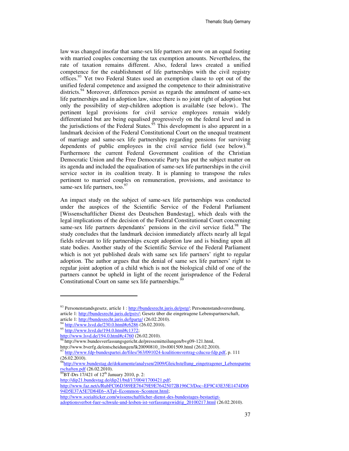law was changed insofar that same-sex life partners are now on an equal footing with married couples concerning the tax exemption amounts. Nevertheless, the rate of taxation remains different. Also, federal laws created a unified competence for the establishment of life partnerships with the civil registry offices.<sup>93</sup> Yet two Federal States used an exemption clause to opt out of the unified federal competence and assigned the competence to their administrative districts.<sup>94</sup> Moreover, differences persist as regards the annulment of same-sex life partnerships and in adoption law, since there is no joint right of adoption but only the possibility of step-children adoption is available (see below).. The pertinent legal provisions for civil service employees remain widely differentiated but are being equalised progressively on the federal level and in the jurisdictions of the Federal States.<sup>95</sup> This development is also apparent in a landmark decision of the Federal Constitutional Court on the unequal treatment of marriage and same-sex life partnerships regarding pensions for surviving dependents of public employees in the civil service field (see below).  $\frac{96}{6}$ Furthermore the current Federal Government coalition of the Christian Democratic Union and the Free Democratic Party has put the subject matter on its agenda and included the equalisation of same-sex life partnerships in the civil service sector in its coalition treaty. It is planning to transpose the rules pertinent to married couples on remuneration, provisions, and assistance to same-sex life partners, too. $97$ 

An impact study on the subject of same-sex life partnerships was conducted under the auspices of the Scientific Service of the Federal Parliament [Wissenschaftlicher Dienst des Deutschen Bundestag], which deals with the legal implications of the decision of the Federal Constitutional Court concerning same-sex life partners dependants' pensions in the civil service field.<sup>98</sup> The study concludes that the landmark decision immediately affects nearly all legal fields relevant to life partnerships except adoption law and is binding upon all state bodies. Another study of the Scientific Service of the Federal Parliament which is not yet published deals with same sex life partners' right to regular adoption. The author argues that the denial of same sex life partners' right to regular joint adoption of a child which is not the biological child of one of the partners cannot be upheld in light of the recent jurisprudence of the Federal Constitutional Court on same sex life partnerships.<sup>9</sup>

 $\overline{a}$ 

 $^{99}$ BT-Drs 17/421 of 12<sup>th</sup> January 2010, p. 2:

<sup>93</sup> Personenstandsgesetz, article 1 : http://bundesrecht.juris.de/pstg/; Personenstandsverordnung, article 1: http://bundesrecht.juris.de/pstv/; Gesetz über die eingetragene Lebenspartnerschaft, article 1: http://bundesrecht.juris.de/lpartg/ (26.02.2010).

 $^{1}$  http://www.lsvd.de/230.0.html#c6286 (26.02.2010).

<sup>95</sup> http://www.lsvd.de/194.0.html#c1372;

http://www.lsvd.de/194.0.html#c4760 (26.02.2010).

<sup>&</sup>lt;sup>96</sup>http://www.bundesverfassungsgericht.de/pressemitteilungen/bvg09-121.html, http://www.bverfg.de/entscheidungen/lk20090810\_1bvl001509.html (26.02.2010).

 $^{97}$  http://www.fdp-bundespartei.de/files/363/091024-koalitionsvertrag-cducsu-fdp.pdf, p. 111 (26.02.2010).

<sup>98</sup>http://www.bundestag.de/dokumente/analysen/2009/Gleichstellung\_eingetragener\_Lebenspartne  $rschaffen.pdf$  (26.02.2010).

http://dip21.bundestag.de/dip21/btd/17/004/1700421.pdf;

http://www.faz.net/s/RubFC06D389EE76479E9E76425072B196C3/Doc~EF9C43E35E1474D06 94D5E37A5E7D84E6~ATpl~Ecommon~Scontent.html;

http://www.sozialticker.com/wissenschaftlicher-dienst-des-bundestages-bestaetigt-

adoptionsverbot-fuer-schwule-und-lesben-ist-verfassungswidrig\_20100217.html (26.02.2010).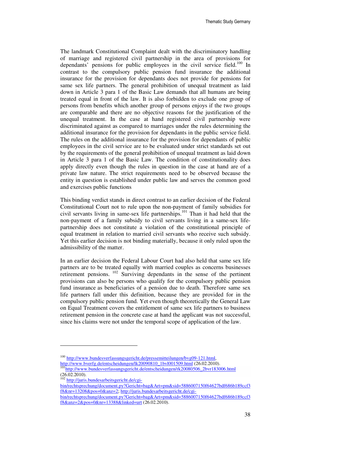The landmark Constitutional Complaint dealt with the discriminatory handling of marriage and registered civil partnership in the area of provisions for dependants' pensions for public employees in the civil service field.<sup>100</sup> In contrast to the compulsory public pension fund insurance the additional insurance for the provision for dependants does not provide for pensions for same sex life partners. The general prohibition of unequal treatment as laid down in Article 3 para 1 of the Basic Law demands that all humans are being treated equal in front of the law. It is also forbidden to exclude one group of persons from benefits which another group of persons enjoys if the two groups are comparable and there are no objective reasons for the justification of the unequal treatment. In the case at hand registered civil partnership were discriminated against as compared to marriages under the rules determining the additional insurance for the provision for dependants in the public service field. The rules on the additional insurance for the provision for dependants of public employees in the civil service are to be evaluated under strict standards set out by the requirements of the general prohibition of unequal treatment as laid down in Article 3 para 1 of the Basic Law. The condition of constitutionality does apply directly even though the rules in question in the case at hand are of a private law nature. The strict requirements need to be observed because the entity in question is established under public law and serves the common good and exercises public functions

This binding verdict stands in direct contrast to an earlier decision of the Federal Constitutional Court not to rule upon the non-payment of family subsidies for civil servants living in same-sex life partnerships. <sup>101</sup> Than it had held that the non-payment of a family subsidy to civil servants living in a same-sex lifepartnership does not constitute a violation of the constitutional principle of equal treatment in relation to married civil servants who receive such subsidy. Yet this earlier decision is not binding materially, because it only ruled upon the admissibility of the matter.

In an earlier decision the Federal Labour Court had also held that same sex life partners are to be treated equally with married couples as concerns businesses retirement pensions.<sup>102</sup> Surviving dependants in the sense of the pertinent provisions can also be persons who qualify for the compulsory public pension fund insurance as beneficiaries of a pension due to death. Therefore same sex life partners fall under this definition, because they are provided for in the compulsory public pension fund. Yet even though theoretically the General Law on Equal Treatment covers the entitlement of same sex life partners to business retirement pension in the concrete case at hand the applicant was not successful, since his claims were not under the temporal scope of application of the law.

<sup>102</sup> http://juris.bundesarbeitsgericht.de/cgi-

 $\overline{a}$ 

- bin/rechtsprechung/document.py?Gericht=bag&Art=pm&sid=5886007150f64627bdf686b189ccf3 f8&nr=13208&pos=0&anz=2; http://juris.bundesarbeitsgericht.de/cgi-
- bin/rechtsprechung/document.py?Gericht=bag&Art=pm&sid=5886007150f64627bdf686b189ccf3 f8&anz=2&pos=0&nr=13388&linked=urt (26.02.2010).

<sup>100</sup> http://www.bundesverfassungsgericht.de/pressemitteilungen/bvg09-121.html,

http://www.bverfg.de/entscheidungen/lk20090810\_1bvl001509.html (26.02.2010). <sup>101</sup>http://www.bundesverfassungsgericht.de/entscheidungen/rk20080506\_2bvr183006.html (26.02.2010).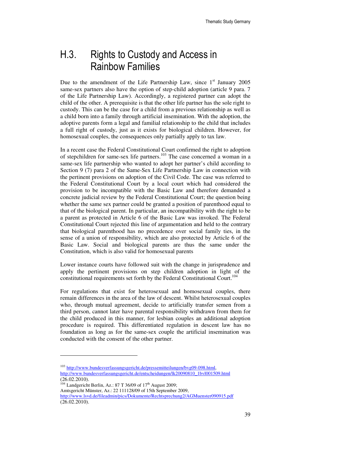## H.3. Rights to Custody and Access in Rainbow Families

Due to the amendment of the Life Partnership Law, since  $1<sup>st</sup>$  January 2005 same-sex partners also have the option of step-child adoption (article 9 para. 7 of the Life Partnership Law). Accordingly, a registered partner can adopt the child of the other. A prerequisite is that the other life partner has the sole right to custody. This can be the case for a child from a previous relationship as well as a child born into a family through artificial insemination. With the adoption, the adoptive parents form a legal and familial relationship to the child that includes a full right of custody, just as it exists for biological children. However, for homosexual couples, the consequences only partially apply to tax law.

In a recent case the Federal Constitutional Court confirmed the right to adoption of stepchildren for same-sex life partners.<sup>103</sup> The case concerned a woman in a same-sex life partnership who wanted to adopt her partner's child according to Section 9 (7) para 2 of the Same-Sex Life Partnership Law in connection with the pertinent provisions on adoption of the Civil Code. The case was referred to the Federal Constitutional Court by a local court which had considered the provision to be incompatible with the Basic Law and therefore demanded a concrete judicial review by the Federal Constitutional Court; the question being whether the same sex partner could be granted a position of parenthood equal to that of the biological parent. In particular, an incompatibility with the right to be a parent as protected in Article 6 of the Basic Law was invoked. The Federal Constitutional Court rejected this line of argumentation and held to the contrary that biological parenthood has no precedence over social family ties, in the sense of a union of responsibility, which are also protected by Article 6 of the Basic Law. Social and biological parents are thus the same under the Constitution, which is also valid for homosexual parents

Lower instance courts have followed suit with the change in jurisprudence and apply the pertinent provisions on step children adoption in light of the constitutional requirements set forth by the Federal Constitutional Court.<sup>104</sup>

For regulations that exist for heterosexual and homosexual couples, there remain differences in the area of the law of descent. Whilst heterosexual couples who, through mutual agreement, decide to artificially transfer semen from a third person, cannot later have parental responsibility withdrawn from them for the child produced in this manner, for lesbian couples an additional adoption procedure is required. This differentiated regulation in descent law has no foundation as long as for the same-sex couple the artificial insemination was conducted with the consent of the other partner.

 $\overline{a}$ 

<sup>&</sup>lt;sup>103</sup> http://www.bundesverfassungsgericht.de/pressemitteilungen/bvg09-098.html, http://www.bundesverfassungsgericht.de/entscheidungen/lk20090810\_1bvl001509.html (26.02.2010).

 $104$  Landgericht Berlin, Az.: 87 T 36/09 of 17<sup>th</sup> August 2009; Amtsgericht Münster, Az.: 22 111128/09 of 15th September 2009,

http://www.lsvd.de/fileadmin/pics/Dokumente/Rechtsprechung2/AGMuenster090915.pdf (26.02.2010).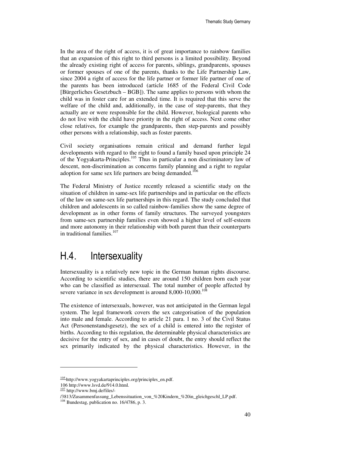In the area of the right of access, it is of great importance to rainbow families that an expansion of this right to third persons is a limited possibility. Beyond the already existing right of access for parents, siblings, grandparents, spouses or former spouses of one of the parents, thanks to the Life Partnership Law, since 2004 a right of access for the life partner or former life partner of one of the parents has been introduced (article 1685 of the Federal Civil Code [Bürgerliches Gesetzbuch – BGB]). The same applies to persons with whom the child was in foster care for an extended time. It is required that this serve the welfare of the child and, additionally, in the case of step-parents, that they actually are or were responsible for the child. However, biological parents who do not live with the child have priority in the right of access. Next come other close relatives, for example the grandparents, then step-parents and possibly other persons with a relationship, such as foster parents.

Civil society organisations remain critical and demand further legal developments with regard to the right to found a family based upon principle 24 of the Yogyakarta-Principles.<sup>105</sup> Thus in particular a non discriminatory law of descent, non-discrimination as concerns family planning and a right to regular adoption for same sex life partners are being demanded.<sup>106</sup>

The Federal Ministry of Justice recently released a scientific study on the situation of children in same-sex life partnerships and in particular on the effects of the law on same-sex life partnerships in this regard. The study concluded that children and adolescents in so called rainbow-families show the same degree of development as in other forms of family structures. The surveyed youngsters from same-sex partnership families even showed a higher level of self-esteem and more autonomy in their relationship with both parent than their counterparts in traditional families.<sup>107</sup>

### H.4. Intersexuality

Intersexuality is a relatively new topic in the German human rights discourse. According to scientific studies, there are around 150 children born each year who can be classified as intersexual. The total number of people affected by severe variance in sex development is around  $8,000-10,000$ .<sup>108</sup>

The existence of intersexuals, however, was not anticipated in the German legal system. The legal framework covers the sex categorisation of the population into male and female. According to article 21 para. 1 no. 3 of the Civil Status Act (Personenstandsgesetz), the sex of a child is entered into the register of births. According to this regulation, the determinable physical characteristics are decisive for the entry of sex, and in cases of doubt, the entry should reflect the sex primarily indicated by the physical characteristics. However, in the

<sup>105</sup> http://www.yogyakartaprinciples.org/principles\_en.pdf.

<sup>106</sup> http://www.lsvd.de/914.0.html.

<sup>107</sup> http://www.bmj.de/files/-

<sup>/3813/</sup>Zusammenfassung\_Lebenssituation\_von\_%20Kindern\_%20in\_gleichgeschl\_LP.pdf.

<sup>&</sup>lt;sup>108</sup> Bundestag, publication no. 16/4786, p. 3.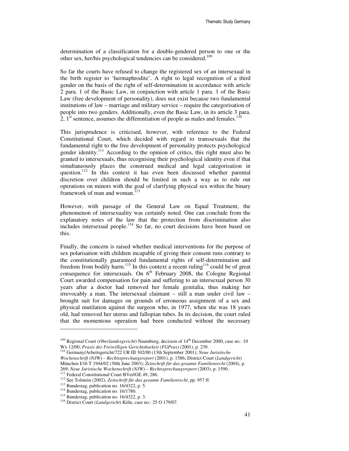determination of a classification for a double-gendered person to one or the other sex, her/his psychological tendencies can be considered.<sup>109</sup>

So far the courts have refused to change the registered sex of an intersexual in the birth register to 'hermaphrodite'. A right to legal recognition of a third gender on the basis of the right of self-determination in accordance with article 2 para. 1 of the Basic Law, in conjunction with article 1 para. 1 of the Basic Law (free development of personality), does not exist because two fundamental institutions of law – marriage and military service – require the categorisation of people into two genders. Additionally, even the Basic Law, in its article 3 para. 2,  $1<sup>st</sup>$  sentence, assumes the differentiation of people as males and females.

This jurisprudence is criticised, however, with reference to the Federal Constitutional Court, which decided with regard to transsexuals that the fundamental right to the free development of personality protects psychological gender identity.<sup>111</sup> According to the opinion of critics, this right must also be granted to intersexuals, thus recognising their psychological identity even if that simultaneously places the construed medical and legal categorisation in question.<sup>112</sup> In this context it has even been discussed whether parental discretion over children should be limited in such a way as to rule out operations on minors with the goal of clarifying physical sex within the binary framework of man and woman.<sup> $113$ </sup>

However, with passage of the General Law on Equal Treatment, the phenomenon of intersexuality was certainly noted. One can conclude from the explanatory notes of the law that the protection from discrimination also includes intersexual people.<sup>114</sup> So far, no court decisions have been based on this.

Finally, the concern is raised whether medical interventions for the purpose of sex polarisation with children incapable of giving their consent runs contrary to the constitutionally guaranteed fundamental rights of self-determination and freedom from bodily harm.<sup>115</sup> In this context a recent ruling<sup>116</sup> could be of great consequence for intersexuals. On  $6<sup>th</sup>$  February 2008, the Cologne Regional Court awarded compensation for pain and suffering to an intersexual person 30 years after a doctor had removed her female genitalia, thus making her irrevocably a man. The intersexual claimant – still a man under civil law – brought suit for damages on grounds of erroneous assignment of a sex and physical mutilation against the surgeon who, in 1977, when she was 18 years old, had removed her uterus and fallopian tubes. In its decision, the court ruled that the momentous operation had been conducted without the necessary

<sup>&</sup>lt;sup>109</sup> Regional Court (*Oberlandesgericht*) Naumburg, decision of 14<sup>th</sup> December 2000, case no.: 10 Wx 12/00; *Praxis der Freiwilligen Gerichtsbarkeit (FGPrax)* (2001), p. 239.

<sup>110</sup> Germany/Arbeitsgericht/722 UR III 302/00 (13th September 2001); *Neue Juristische Wochenschrift (NJW) – Rechtssprechungsreport* (2001), p. 1586; District Court (*Landgericht*) München I/16 T 1944/02 (30th June 2003); *Zeitschrift für das gesamte Familienrecht* (2004), p. 269; *Neue Juristische Wochenschrift (NJW) – Rechtssprechungsreport* (2003), p. 1590.

<sup>&</sup>lt;sup>111</sup> Federal Constitutional Court BVerfGE 49, 286.

<sup>112</sup> See Tolmein (2002), *Zeitschrift für das gesamte Familienrecht*, pp. 957 ff.

<sup>&</sup>lt;sup>113</sup> Bundestag, publication no. 16/4322, p. 5.

<sup>&</sup>lt;sup>114</sup> Bundestag, publication no. 16/1780.

<sup>&</sup>lt;sup>115</sup> Bundestag, publication no. 16/4322, p. 3.

<sup>116</sup> District Court (*Landgericht*) Köln, case no.: 25 O 179/07.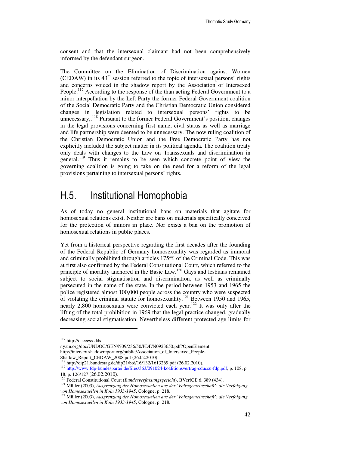consent and that the intersexual claimant had not been comprehensively informed by the defendant surgeon.

The Committee on the Elimination of Discrimination against Women (CEDAW) in its  $43<sup>rd</sup>$  session referred to the topic of intersexual persons' rights and concerns voiced in the shadow report by the Association of Intersexed People.<sup>117</sup> According to the response of the than acting Federal Government to a minor interpellation by the Left Party the former Federal Government coalition of the Social Democratic Party and the Christian Democratic Union considered changes in legislation related to intersexual persons' rights to be unnecessary,.<sup>118</sup> Pursuant to the former Federal Government's position, changes in the legal provisions concerning first name, civil status as well as marriage and life partnership were deemed to be unnecessary. The now ruling coalition of the Christian Democratic Union and the Free Democratic Party has not explicitly included the subject matter in its political agenda. The coalition treaty only deals with changes to the Law on Transsexuals and discrimination in general.<sup>119</sup> Thus it remains to be seen which concrete point of view the governing coalition is going to take on the need for a reform of the legal provisions pertaining to intersexual persons' rights.

### H.5. Institutional Homophobia

As of today no general institutional bans on materials that agitate for homosexual relations exist. Neither are bans on materials specifically conceived for the protection of minors in place. Nor exists a ban on the promotion of homosexual relations in public places.

Yet from a historical perspective regarding the first decades after the founding of the Federal Republic of Germany homosexuality was regarded as immoral and criminally prohibited through articles 175ff. of the Criminal Code. This was at first also confirmed by the Federal Constitutional Court, which referred to the principle of morality anchored in the Basic Law.<sup>120</sup> Gays and lesbians remained subject to social stigmatisation and discrimination, as well as criminally persecuted in the name of the state. In the period between 1953 and 1965 the police registered almost 100,000 people across the country who were suspected of violating the criminal statute for homosexuality.<sup>121</sup> Between 1950 and 1965, nearly 2,800 homosexuals were convicted each year.<sup>122</sup> It was only after the lifting of the total prohibition in 1969 that the legal practice changed, gradually decreasing social stigmatisation. Nevertheless different protected age limits for

 $\overline{a}$ 

Shadow\_Report\_CEDAW\_2008.pdf (26.02.2010).

<sup>117</sup> http://daccess-dds-

ny.un.org/doc/UNDOC/GEN/N09/236/50/PDF/N0923650.pdf?OpenElement; http://intersex.shadowreport.org/public/Association\_of\_Intersexed\_People-

<sup>118</sup> http://dip21.bundestag.de/dip21/btd/16/132/1613269.pdf (26.02.2010).

<sup>&</sup>lt;sup>119</sup> http://www.fdp-bundespartei.de/files/363/091024-koalitionsvertrag-cducsu-fdp.pdf, p. 108, p. 18, p. 126/127 (26.02.2010).

<sup>120</sup> Federal Constitutional Court (*Bundesverfassungsgericht*), BVerfGE 6, 389 (434).

<sup>121</sup> Müller (2003), *Ausgrenzung der Homosexuellen aus der 'Volksgemeinschaft': die Verfolgung von Homosexuellen in Köln 1933-1945*, Cologne, p. 218.

<sup>122</sup> Müller (2003), *Ausgrenzung der Homosexuellen aus der 'Volksgemeinschaft': die Verfolgung von Homosexuellen in Köln 1933-1945*, Cologne, p. 218.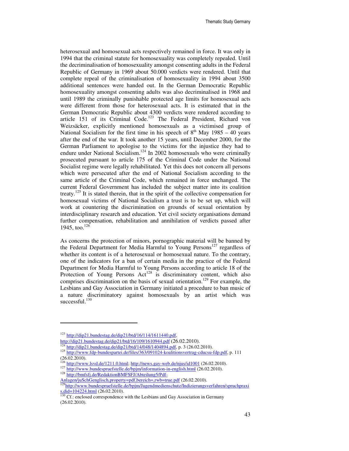heterosexual and homosexual acts respectively remained in force. It was only in 1994 that the criminal statute for homosexuality was completely repealed. Until the decriminalisation of homosexuality amongst consenting adults in the Federal Republic of Germany in 1969 about 50.000 verdicts were rendered. Until that complete repeal of the criminalisation of homosexuality in 1994 about 3500 additional sentences were handed out. In the German Democratic Republic homosexuality amongst consenting adults was also decriminalised in 1968 and until 1989 the criminally punishable protected age limits for homosexual acts were different from those for heterosexual acts. It is estimated that in the German Democratic Republic about 4300 verdicts were rendered according to article 151 of its Criminal Code.<sup>123</sup> The Federal President, Richard von Weizsäcker, explicitly mentioned homosexuals as a victimised group of National Socialism for the first time in his speech of  $8<sup>th</sup>$  May 1985 – 40 years after the end of the war. It took another 15 years, until December 2000, for the German Parliament to apologise to the victims for the injustice they had to endure under National Socialism.<sup>124</sup> In 2002 homosexuals who were criminally prosecuted pursuant to article 175 of the Criminal Code under the National Socialist regime were legally rehabilitated. Yet this does not concern all persons which were persecuted after the end of National Socialism according to the same article of the Criminal Code, which remained in force unchanged. The current Federal Government has included the subject matter into its coalition treaty.<sup>125</sup> It is stated therein, that in the spirit of the collective compensation for homosexual victims of National Socialism a trust is to be set up, which will work at countering the discrimination on grounds of sexual orientation by interdisciplinary research and education. Yet civil society organisations demand further compensation, rehabilitation and annihilation of verdicts passed after 1945, too. $126$ 

As concerns the protection of minors, pornographic material will be banned by the Federal Department for Media Harmful to Young Persons<sup>127</sup> regardless of whether its content is of a heterosexual or homosexual nature. To the contrary, one of the indicators for a ban of certain media in the practice of the Federal Department for Media Harmful to Young Persons according to article 18 of the Protection of Young Persons  $Act^{128}$  is discriminatory content, which also comprises discrimination on the basis of sexual orientation.<sup>129</sup> For example, the Lesbians and Gay Association in Germany initiated a procedure to ban music of a nature discriminatory against homosexuals by an artist which was successful.<sup>130</sup>

 $\overline{a}$ 

<sup>123</sup> http://dip21.bundestag.de/dip21/btd/16/114/1611440.pdf,

http://dip21.bundestag.de/dip21/btd/16/109/1610944.pdf (26.02.2010).

http://dip21.bundestag.de/dip21/btd/14/048/1404894.pdf, p. 3 (26.02.2010).

<sup>&</sup>lt;sup>125</sup> http://www.fdp-bundespartei.de/files/363/091024-koalitionsvertrag-cducsu-fdp.pdf, p. 111  $(26.02.2010).$ 

<sup>126</sup> http://www.lsvd.de/1211.0.html; http://news.gay-web.de/njus/id1001 (26.02.2010).

<sup>&</sup>lt;sup>127</sup> http://www.bundespruefstelle.de/bpjm/information-in-english.html (26.02.2010). <sup>128</sup> http://bmfsfj.de/RedaktionBMFSFJ/Abteilung5/Pdf-

Anlagen/juSchGenglisch,property=pdf,bereich=,rwb=true.pdf (26.02.2010).

<sup>&</sup>lt;sup>129</sup>http://www.bundespruefstelle.de/bpjm/Jugendmedienschutz/Indizierungsverfahren/spruchpraxi s,did=104224.html (26.02.2010).

 $130$  Cf.: enclosed correspondence with the Lesbians and Gay Association in Germany (26.02.2010).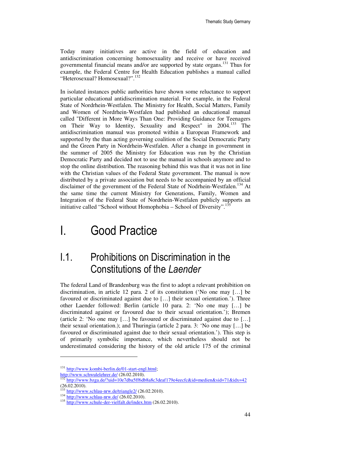Today many initiatives are active in the field of education and antidiscrimination concerning homosexuality and receive or have received governmental financial means and/or are supported by state organs.<sup>131</sup> Thus for example, the Federal Centre for Health Education publishes a manual called "Heterosexual? Homosexual?".<sup>132</sup>

In isolated instances public authorities have shown some reluctance to support particular educational antidiscrimination material. For example, in the Federal State of Nordrhein-Westfalen. The Ministry for Health, Social Matters, Family and Women of Nordrhein-Westfalen had published an educational manual called "Different in More Ways Than One: Providing Guidance for Teenagers on Their Way to Identity, Sexuality and Respect" in 2004.<sup>133</sup> The antidiscrimination manual was promoted within a European Framework and supported by the than acting governing coalition of the Social Democratic Party and the Green Party in Nordrhein-Westfalen. After a change in government in the summer of 2005 the Ministry for Education was run by the Christian Democratic Party and decided not to use the manual in schools anymore and to stop the online distribution. The reasoning behind this was that it was not in line with the Christian values of the Federal State government. The manual is now distributed by a private association but needs to be accompanied by an official disclaimer of the government of the Federal State of Nodrhein-Westfalen.<sup>134</sup> At the same time the current Ministry for Generations, Family, Women and Integration of the Federal State of Nordrhein-Westfalen publicly supports an initiative called "School without Homophobia – School of Diversity".<sup>135</sup>

## I. Good Practice

## I.1. Prohibitions on Discrimination in the Constitutions of the Laender

The federal Land of Brandenburg was the first to adopt a relevant prohibition on discrimination, in article 12 para. 2 of its constitution ('No one may […] be favoured or discriminated against due to […] their sexual orientation.'). Three other Laender followed: Berlin (article 10 para. 2: 'No one may […] be discriminated against or favoured due to their sexual orientation.'); Bremen (article 2: 'No one may […] be favoured or discriminated against due to […] their sexual orientation.); and Thuringia (article 2 para. 3: 'No one may […] be favoured or discriminated against due to their sexual orientation.'). This step is of primarily symbolic importance, which nevertheless should not be underestimated considering the history of the old article 175 of the criminal

<sup>&</sup>lt;sup>131</sup> http://www.kombi-berlin.de/01-start-engl.html; http://www.schwulelehrer.de/ (26.02.2010).<br>
<sup>132</sup> http://www.schwulelehrer.de/ (26.02.2010).

<sup>132</sup> http://www.bzga.de/?uid=10e7dba5ff6db8a8c3deaf179e4eecfc&id=medien&sid=71&idx=42 (26.02.2010).

 $\frac{133 \text{ http://www.schlau-nrw.de/triangle2/ (26.02.2010)}$ .

 $134 \frac{\text{http://www.schlau-nrw.de/} (26.02.2010).$ 

<sup>&</sup>lt;sup>135</sup> http://www.schule-der-vielfalt.de/index.htm (26.02.2010).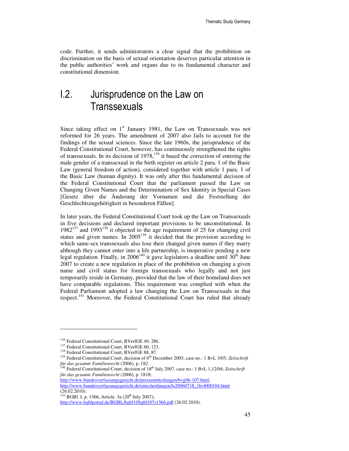code. Further, it sends administrators a clear signal that the prohibition on discrimination on the basis of sexual orientation deserves particular attention in the public authorities' work and organs due to its fundamental character and constitutional dimension.

## I.2. Jurisprudence on the Law on **Transsexuals**

Since taking effect on  $1<sup>st</sup>$  January 1981, the Law on Transsexuals was not reformed for 26 years. The amendment of 2007 also fails to account for the findings of the sexual sciences. Since the late 1960s, the jurisprudence of the Federal Constitutional Court, however, has continuously strengthened the rights of transsexuals. In its decision of  $1978$ ,<sup>136</sup> it based the correction of entering the male gender of a transsexual in the birth register on article 2 para. 1 of the Basic Law (general freedom of action), considered together with article 1 para. 1 of the Basic Law (human dignity). It was only after this fundamental decision of the Federal Constitutional Court that the parliament passed the Law on Changing Given Names and the Determination of Sex Identity in Special Cases [Gesetz über die Änderung der Vornamen und die Feststellung der Geschlechtszugehörigkeit in besonderen Fällen].

In later years, the Federal Constitutional Court took up the Law on Transsexuals in five decisions and declared important provisions to be unconstitutional. In  $1982^{137}$  and  $1993^{138}$  it objected to the age requirement of 25 for changing civil status and given names. In  $2005^{139}$  it decided that the provision according to which same-sex transsexuals also lose their changed given names if they marry although they cannot enter into a life partnership, is inoperative pending a new legal regulation. Finally, in  $2006^{140}$  it gave legislators a deadline until  $30^{th}$  June 2007 to create a new regulation in place of the prohibition on changing a given name and civil status for foreign transsexuals who legally and not just temporarily reside in Germany, provided that the law of their homeland does not have comparable regulations. This requirement was complied with when the Federal Parliament adopted a law changing the Law on Transsexuals in that respect.<sup>141</sup> Moreover, the Federal Constitutional Court has ruled that already

l

http://www.bundesverfassungsgericht.de/pressemitteilungen/bvg06-107.html,

http://www.bundesverfassungsgericht.de/entscheidungen/ls20060718\_1bvl000104.html (26.02.2010).

<sup>141</sup> BGBl. I, p. 1566, Article. 3a (20<sup>th</sup> July 2007);

<sup>136</sup> Federal Constitutional Court, BVerfGE 49, 286.

<sup>&</sup>lt;sup>137</sup> Federal Constitutional Court, BVerfGE 60, 123.

<sup>138</sup> Federal Constitutional Court, BVerfGE 88, 87.

<sup>&</sup>lt;sup>139</sup> Federal Constitutional Court, decision of 6<sup>th</sup> December 2005, case no.: 1 BvL 3/03; Zeitschrift *für das gesamte Familienrecht* (2006), p. 182.

<sup>&</sup>lt;sup>140</sup> Federal Constitutional Court, decision of 18<sup>th</sup> July 2007, case no.: 1 BvL 1,12/04; Zeitschrift *für das gesamte Familienrecht* (2006), p. 1818;

http://www.bgblportal.de/BGBL/bgbl1f/bgbl107s1566.pdf (26.02.2010).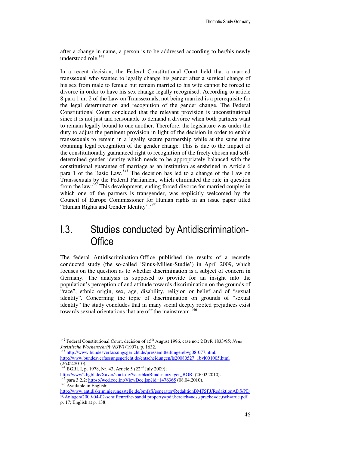after a change in name, a person is to be addressed according to her/his newly understood role. $142$ 

In a recent decision, the Federal Constitutional Court held that a married transsexual who wanted to legally change his gender after a surgical change of his sex from male to female but remain married to his wife cannot be forced to divorce in order to have his sex change legally recognised. According to article 8 para 1 nr. 2 of the Law on Transsexuals, not being married is a prerequisite for the legal determination and recognition of the gender change. The Federal Constitutional Court concluded that the relevant provision is unconstitutional since it is not just and reasonable to demand a divorce when both partners want to remain legally bound to one another. Therefore, the legislature was under the duty to adjust the pertinent provision in light of the decision in order to enable transsexuals to remain in a legally secure partnership while at the same time obtaining legal recognition of the gender change. This is due to the impact of the constitutionally guaranteed right to recognition of the freely chosen and selfdetermined gender identity which needs to be appropriately balanced with the constitutional guarantee of marriage as an institution as enshrined in Article 6 para 1 of the Basic Law.*<sup>143</sup>* The decision has led to a change of the Law on Transsexuals by the Federal Parliament, which eliminated the rule in question from the law.*<sup>144</sup>* This development, ending forced divorce for married couples in which one of the partners is transgender, was explicitly welcomed by the Council of Europe Commissioner for Human rights in an issue paper titled "Human Rights and Gender Identity".*<sup>145</sup>*

### I.3. Studies conducted by Antidiscrimination-**Office**

The federal Antidiscrimination-Office published the results of a recently conducted study (the so-called 'Sinus-Milieu-Studie') in April 2009, which focuses on the question as to whether discrimination is a subject of concern in Germany. The analysis is supposed to provide for an insight into the population's perception of and attitude towards discrimination on the grounds of "race", ethnic origin, sex, age, disability, religion or belief and of "sexual identity". Concerning the topic of discrimination on grounds of "sexual identity" the study concludes that in many social deeply rooted prejudices exist towards sexual orientations that are off the mainstream.<sup>146</sup>

<sup>&</sup>lt;sup>142</sup> Federal Constitutional Court, decision of 15<sup>th</sup> August 1996, case no.: 2 BvR 1833/95; *Neue Juristische Wochenschrift (NJW)* (1997), p. 1632.

<sup>&</sup>lt;sup>143</sup> http://www.bundesverfassungsgericht.de/pressemitteilungen/bvg08-077.html, http://www.bundesverfassungsgericht.de/entscheidungen/ls20080527\_1bvl001005.html (26.02.2010).

<sup>&</sup>lt;sup>144</sup> BGBl. I, p. 1978, Nr. 43, Article 5 (22<sup>nd</sup> July 2009);

http://www2.bgbl.de/Xaver/start.xav?startbk=Bundesanzeiger\_BGBl (26.02.2010). <sup>145</sup> para 3.2.2: https://wcd.coe.int/ViewDoc.jsp?id=1476365 (08.04.2010).  $146$  Available in English:

http://www.antidiskriminierungsstelle.de/bmfsfj/generator/RedaktionBMFSFJ/RedaktionADS/PD F-Anlagen/2009-04-02-schriftenreihe-band4,property=pdf,bereich=ads,sprache=de,rwb=true.pdf, p. 17; English at p. 138;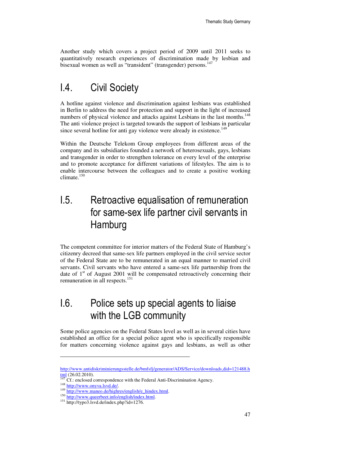Another study which covers a project period of 2009 until 2011 seeks to quantitatively research experiences of discrimination made by lesbian and bisexual women as well as "transident" (transgender) persons.<sup>147</sup>

## I.4. Civil Society

A hotline against violence and discrimination against lesbians was established in Berlin to address the need for protection and support in the light of increased numbers of physical violence and attacks against Lesbians in the last months.<sup>148</sup> The anti violence project is targeted towards the support of lesbians in particular since several hotline for anti gay violence were already in existence.<sup>149</sup>

Within the Deutsche Telekom Group employees from different areas of the company and its subsidiaries founded a network of heterosexuals, gays, lesbians and transgender in order to strengthen tolerance on every level of the enterprise and to promote acceptance for different variations of lifestyles. The aim is to enable intercourse between the colleagues and to create a positive working climate.<sup>150</sup>

## I.5. Retroactive equalisation of remuneration for same-sex life partner civil servants in **Hamburg**

The competent committee for interior matters of the Federal State of Hamburg's citizenry decreed that same-sex life partners employed in the civil service sector of the Federal State are to be remunerated in an equal manner to married civil servants. Civil servants who have entered a same-sex life partnership from the date of  $1<sup>st</sup>$  of August 2001 will be compensated retroactively concerning their remuneration in all respects.<sup>151</sup>

## I.6. Police sets up special agents to liaise with the LGB community

Some police agencies on the Federal States level as well as in several cities have established an office for a special police agent who is specifically responsible for matters concerning violence against gays and lesbians, as well as other

http://www.antidiskriminierungsstelle.de/bmfsfj/generator/ADS/Service/downloads,did=121488.h tml (26.02.2010).

Cf.: enclosed correspondence with the Federal Anti-Discrimination Agency.

<sup>&</sup>lt;sup>148</sup> http://www.onyva.lsvd.de/.

<sup>&</sup>lt;sup>149</sup> http://www.maneo.de/highres/english/e\_hindex.html.

<sup>&</sup>lt;sup>150</sup> http://www.queerbeet.info/english/index.html.

<sup>151</sup> http://typo3.lsvd.de/index.php?id=1276.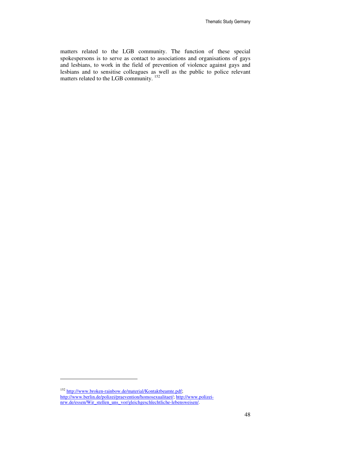matters related to the LGB community. The function of these special spokespersons is to serve as contact to associations and organisations of gays and lesbians, to work in the field of prevention of violence against gays and lesbians and to sensitise colleagues as well as the public to police relevant matters related to the LGB community.<sup>152</sup>

<sup>&</sup>lt;sup>152</sup> http://www.broken-rainbow.de/material/Kontaktbeamte.pdf; http://www.berlin.de/polizei/praevention/homosexualitaet/; http://www.polizeinrw.de/essen/Wir\_stellen\_uns\_vor/gleichgeschlechtliche-lebensweisen/.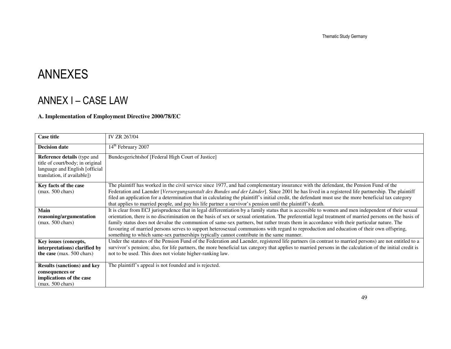Thematic Study Germany

# ANNEXES

## ANNEX I – CASE LAW

### **A. Implementation of Employment Directive 2000/78/EC**

| <b>Case title</b>                                                                                                                        | IV ZR 267/04                                                                                                                                                                                                                                                                                                                                                                                                                                                                                                                                                                                                                                                                                       |
|------------------------------------------------------------------------------------------------------------------------------------------|----------------------------------------------------------------------------------------------------------------------------------------------------------------------------------------------------------------------------------------------------------------------------------------------------------------------------------------------------------------------------------------------------------------------------------------------------------------------------------------------------------------------------------------------------------------------------------------------------------------------------------------------------------------------------------------------------|
| <b>Decision date</b>                                                                                                                     | 14 <sup>th</sup> February 2007                                                                                                                                                                                                                                                                                                                                                                                                                                                                                                                                                                                                                                                                     |
| <b>Reference details</b> (type and<br>title of court/body; in original<br>language and English [official]<br>translation, if available]) | Bundesgerichtshof [Federal High Court of Justice]                                                                                                                                                                                                                                                                                                                                                                                                                                                                                                                                                                                                                                                  |
| Key facts of the case<br>$(max. 500 \text{ chars})$                                                                                      | The plaintiff has worked in the civil service since 1977, and had complementary insurance with the defendant, the Pension Fund of the<br>Federation and Laender [Versorgungsanstalt des Bundes und der Länder]. Since 2001 he has lived in a registered life partnership. The plaintiff<br>filed an application for a determination that in calculating the plaintiff's initial credit, the defendant must use the more beneficial tax category<br>that applies to married people, and pay his life partner a survivor's pension until the plaintiff's death.                                                                                                                                      |
| Main<br>reasoning/argumentation<br>$(max. 500 \text{ chars})$                                                                            | It is clear from ECJ jurisprudence that in legal differentiation by a family status that is accessible to women and men independent of their sexual<br>orientation, there is no discrimination on the basis of sex or sexual orientation. The preferential legal treatment of married persons on the basis of<br>family status does not devalue the communion of same-sex partners, but rather treats them in accordance with their particular nature. The<br>favouring of married persons serves to support heterosexual communions with regard to reproduction and education of their own offspring,<br>something to which same-sex partnerships typically cannot contribute in the same manner. |
| Key issues (concepts,<br>interpretations) clarified by<br>the case (max. 500 chars)                                                      | Under the statutes of the Pension Fund of the Federation and Laender, registered life partners (in contrast to married persons) are not entitled to a<br>survivor's pension; also, for life partners, the more beneficial tax category that applies to married persons in the calculation of the initial credit is<br>not to be used. This does not violate higher-ranking law.                                                                                                                                                                                                                                                                                                                    |
| <b>Results (sanctions) and key</b><br>consequences or<br>implications of the case<br>$(max. 500 \text{ chars})$                          | The plaintiff's appeal is not founded and is rejected.                                                                                                                                                                                                                                                                                                                                                                                                                                                                                                                                                                                                                                             |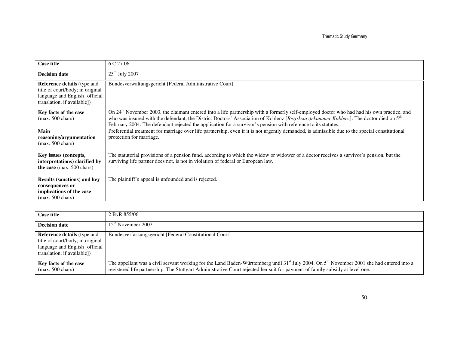| <b>Case title</b>                                                                                                                       | 6 C 27.06                                                                                                                                                                                                                                                                                                                                                                                                                     |
|-----------------------------------------------------------------------------------------------------------------------------------------|-------------------------------------------------------------------------------------------------------------------------------------------------------------------------------------------------------------------------------------------------------------------------------------------------------------------------------------------------------------------------------------------------------------------------------|
| <b>Decision date</b>                                                                                                                    | $25th$ July 2007                                                                                                                                                                                                                                                                                                                                                                                                              |
| <b>Reference details</b> (type and<br>title of court/body; in original<br>language and English [official<br>translation, if available]) | Bundesverwaltungsgericht [Federal Administrative Court]                                                                                                                                                                                                                                                                                                                                                                       |
| Key facts of the case<br>$(max. 500 \text{ chars})$                                                                                     | On 24 <sup>th</sup> November 2003, the claimant entered into a life partnership with a formerly self-employed doctor who had had his own practice, and<br>who was insured with the defendant, the District Doctors' Association of Koblenz [Bezirksärztekammer Koblenz]. The doctor died on 5 <sup>th</sup><br>February 2004. The defendant rejected the application for a survivor's pension with reference to its statutes. |
| Main<br>reasoning/argumentation<br>$(max. 500 \text{ chars})$                                                                           | Preferential treatment for marriage over life partnership, even if it is not urgently demanded, is admissible due to the special constitutional<br>protection for marriage.                                                                                                                                                                                                                                                   |
| Key issues (concepts,<br>interpretations) clarified by<br>the case (max. 500 chars)                                                     | The statutorial provisions of a pension fund, according to which the widow or widower of a doctor receives a survivor's pension, but the<br>surviving life partner does not, is not in violation of federal or European law.                                                                                                                                                                                                  |
| <b>Results (sanctions) and key</b><br>consequences or<br>implications of the case<br>$(max. 500 \text{ chars})$                         | The plaintiff's appeal is unfounded and is rejected.                                                                                                                                                                                                                                                                                                                                                                          |

| <b>Case title</b>                                                                                                                        | 2 ByR 855/06                                                                                                                                                                                                                                                                          |
|------------------------------------------------------------------------------------------------------------------------------------------|---------------------------------------------------------------------------------------------------------------------------------------------------------------------------------------------------------------------------------------------------------------------------------------|
| <b>Decision date</b>                                                                                                                     | $15th$ November 2007                                                                                                                                                                                                                                                                  |
| <b>Reference details</b> (type and<br>title of court/body; in original<br>language and English [official]<br>translation, if available]) | Bundesverfassungsgericht [Federal Constitutional Court]                                                                                                                                                                                                                               |
| Key facts of the case<br>$(max. 500 \text{ chars})$                                                                                      | The appellant was a civil servant working for the Land Baden-Württemberg until $31^{st}$ July 2004. On $5^{th}$ November 2001 she had entered into a<br>registered life partnership. The Stuttgart Administrative Court rejected her suit for payment of family subsidy at level one. |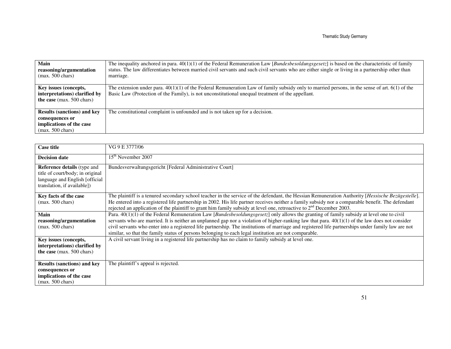| Main<br>reasoning/argumentation<br>$(max. 500 \text{ chars})$                                                   | The inequality anchored in para. $40(1)(1)$ of the Federal Remuneration Law [ <i>Bundesbesoldungsgesetz</i> ] is based on the characteristic of family<br>status. The law differentiates between married civil servants and such civil servants who are either single or living in a partnership other than<br>marriage. |
|-----------------------------------------------------------------------------------------------------------------|--------------------------------------------------------------------------------------------------------------------------------------------------------------------------------------------------------------------------------------------------------------------------------------------------------------------------|
| Key issues (concepts,<br>interpretations) clarified by<br>the case $(max. 500 \text{ chars})$                   | The extension under para. $40(1)(1)$ of the Federal Remuneration Law of family subsidy only to married persons, in the sense of art. 6(1) of the<br>Basic Law (Protection of the Family), is not unconstitutional unequal treatment of the appellant.                                                                    |
| <b>Results (sanctions) and key</b><br>consequences or<br>implications of the case<br>$(max. 500 \text{ chars})$ | The constitutional complaint is unfounded and is not taken up for a decision.                                                                                                                                                                                                                                            |

| <b>Case title</b>                                                                                                                       | VG 9 E 3777/06                                                                                                                                                                                                                                                                                                                                                                                                                                                                                                                                                         |
|-----------------------------------------------------------------------------------------------------------------------------------------|------------------------------------------------------------------------------------------------------------------------------------------------------------------------------------------------------------------------------------------------------------------------------------------------------------------------------------------------------------------------------------------------------------------------------------------------------------------------------------------------------------------------------------------------------------------------|
| <b>Decision date</b>                                                                                                                    | 15 <sup>th</sup> November 2007                                                                                                                                                                                                                                                                                                                                                                                                                                                                                                                                         |
| <b>Reference details</b> (type and<br>title of court/body; in original<br>language and English [official<br>translation, if available]) | Bundesverwaltungsgericht [Federal Administrative Court]                                                                                                                                                                                                                                                                                                                                                                                                                                                                                                                |
| Key facts of the case<br>$(max. 500 \text{ chars})$                                                                                     | The plaintiff is a tenured secondary school teacher in the service of the defendant, the Hessian Remuneration Authority [Hessische Bezügestelle].<br>He entered into a registered life partnership in 2002. His life partner receives neither a family subsidy nor a comparable benefit. The defendant<br>rejected an application of the plaintiff to grant him family subsidy at level one, retroactive to $2nd$ December 2003.                                                                                                                                       |
| Main<br>reasoning/argumentation<br>$(max. 500 \text{ chars})$                                                                           | Para. 40(1)(1) of the Federal Remuneration Law [ <i>Bundesbesoldungsgesetz</i> ] only allows the granting of family subsidy at level one to civil<br>servants who are married. It is neither an unplanned gap nor a violation of higher-ranking law that para. $40(1)(1)$ of the law does not consider<br>civil servants who enter into a registered life partnership. The institutions of marriage and registered life partnerships under family law are not<br>similar, so that the family status of persons belonging to each legal institution are not comparable. |
| Key issues (concepts,<br>interpretations) clarified by<br>the case (max. 500 chars)                                                     | A civil servant living in a registered life partnership has no claim to family subsidy at level one.                                                                                                                                                                                                                                                                                                                                                                                                                                                                   |
| <b>Results (sanctions) and key</b><br>consequences or<br>implications of the case<br>$(max. 500 \text{ chars})$                         | The plaintiff's appeal is rejected.                                                                                                                                                                                                                                                                                                                                                                                                                                                                                                                                    |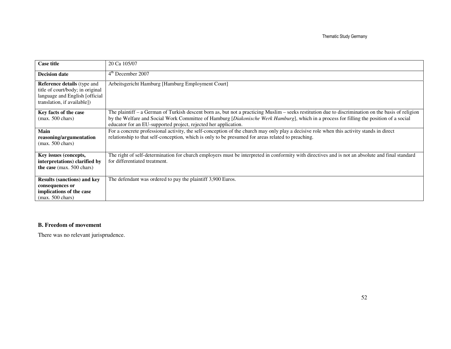| <b>Case title</b>                                                                                                                       | 20 Ca 105/07                                                                                                                                                                                                                                                                                                                                                      |
|-----------------------------------------------------------------------------------------------------------------------------------------|-------------------------------------------------------------------------------------------------------------------------------------------------------------------------------------------------------------------------------------------------------------------------------------------------------------------------------------------------------------------|
| <b>Decision date</b>                                                                                                                    | $4th$ December 2007                                                                                                                                                                                                                                                                                                                                               |
| <b>Reference details</b> (type and<br>title of court/body; in original<br>language and English [official<br>translation, if available]) | Arbeitsgericht Hamburg [Hamburg Employment Court]                                                                                                                                                                                                                                                                                                                 |
| Key facts of the case<br>$(max. 500 \text{ chars})$                                                                                     | The plaintiff - a German of Turkish descent born as, but not a practicing Muslim - seeks restitution due to discrimination on the basis of religion<br>by the Welfare and Social Work Committee of Hamburg [Diakonische Werk Hamburg], which in a process for filling the position of a social<br>educator for an EU-supported project, rejected her application. |
| Main<br>reasoning/argumentation<br>$(max. 500 \text{ chars})$                                                                           | For a concrete professional activity, the self-conception of the church may only play a decisive role when this activity stands in direct<br>relationship to that self-conception, which is only to be presumed for areas related to preaching.                                                                                                                   |
| Key issues (concepts,<br>interpretations) clarified by<br>the case (max. 500 chars)                                                     | The right of self-determination for church employers must be interpreted in conformity with directives and is not an absolute and final standard<br>for differentiated treatment.                                                                                                                                                                                 |
| <b>Results (sanctions) and key</b><br>consequences or<br>implications of the case<br>$(max. 500 \text{ chars})$                         | The defendant was ordered to pay the plaintiff 3,900 Euros.                                                                                                                                                                                                                                                                                                       |

### **B. Freedom of movement**

There was no relevant jurisprudence.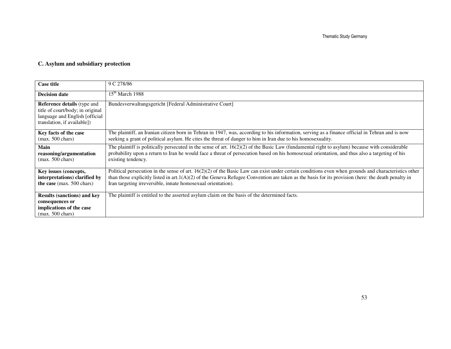### **C. Asylum and subsidiary protection**

| <b>Case title</b>                                                                                                                       | 9 C 278/86                                                                                                                                                                                                                                                                                                                                                                    |
|-----------------------------------------------------------------------------------------------------------------------------------------|-------------------------------------------------------------------------------------------------------------------------------------------------------------------------------------------------------------------------------------------------------------------------------------------------------------------------------------------------------------------------------|
| <b>Decision date</b>                                                                                                                    | $15th$ March 1988                                                                                                                                                                                                                                                                                                                                                             |
| <b>Reference details</b> (type and<br>title of court/body; in original<br>language and English [official<br>translation, if available]) | Bundesverwaltungsgericht [Federal Administrative Court]                                                                                                                                                                                                                                                                                                                       |
| Key facts of the case<br>$(max. 500 \text{ chars})$                                                                                     | The plaintiff, an Iranian citizen born in Tehran in 1947, was, according to his information, serving as a finance official in Tehran and is now<br>seeking a grant of political asylum. He cites the threat of danger to him in Iran due to his homosexuality.                                                                                                                |
| Main<br>reasoning/argumentation<br>$(max. 500 \text{ chars})$                                                                           | The plaintiff is politically persecuted in the sense of art. $16(2)(2)$ of the Basic Law (fundamental right to asylum) because with considerable<br>probability upon a return to Iran he would face a threat of persecution based on his homosexual orientation, and thus also a targeting of his<br>existing tendency.                                                       |
| Key issues (concepts,<br>interpretations) clarified by<br>the case (max. 500 chars)                                                     | Political persecution in the sense of art. $16(2)(2)$ of the Basic Law can exist under certain conditions even when grounds and characteristics other<br>than those explicitly listed in art. $1(A)(2)$ of the Geneva Refugee Convention are taken as the basis for its provision (here: the death penalty in<br>Iran targeting irreversible, innate homosexual orientation). |
| <b>Results (sanctions) and key</b><br>consequences or<br>implications of the case<br>$(max. 500 \text{ chars})$                         | The plaintiff is entitled to the asserted asylum claim on the basis of the determined facts.                                                                                                                                                                                                                                                                                  |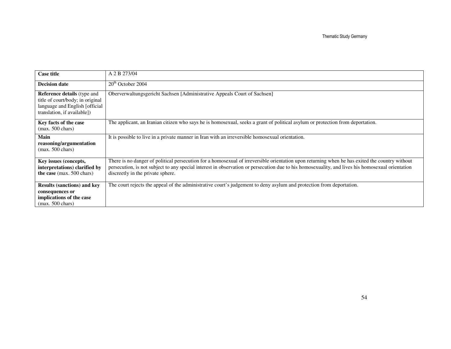| <b>Case title</b>                                                                                                                       | A 2 B 273/04                                                                                                                                                                                                                                                                                                                            |
|-----------------------------------------------------------------------------------------------------------------------------------------|-----------------------------------------------------------------------------------------------------------------------------------------------------------------------------------------------------------------------------------------------------------------------------------------------------------------------------------------|
| <b>Decision date</b>                                                                                                                    | $20th$ October 2004                                                                                                                                                                                                                                                                                                                     |
| <b>Reference details</b> (type and<br>title of court/body; in original<br>language and English [official<br>translation, if available]) | Oberverwaltungsgericht Sachsen [Administrative Appeals Court of Sachsen]                                                                                                                                                                                                                                                                |
| Key facts of the case<br>$(max. 500 \text{ chars})$                                                                                     | The applicant, an Iranian citizen who says he is homosexual, seeks a grant of political asylum or protection from deportation.                                                                                                                                                                                                          |
| Main<br>reasoning/argumentation<br>$(max. 500 \text{ chars})$                                                                           | It is possible to live in a private manner in Iran with an irreversible homosexual orientation.                                                                                                                                                                                                                                         |
| Key issues (concepts,<br>interpretations) clarified by<br>the case (max. 500 chars)                                                     | There is no danger of political persecution for a homosexual of irreversible orientation upon returning when he has exited the country without<br>persecution, is not subject to any special interest in observation or persecution due to his homosexuality, and lives his homosexual orientation<br>discreetly in the private sphere. |
| <b>Results (sanctions) and key</b><br>consequences or<br>implications of the case<br>$(max. 500 \text{ chars})$                         | The court rejects the appeal of the administrative court's judgement to deny asylum and protection from deportation.                                                                                                                                                                                                                    |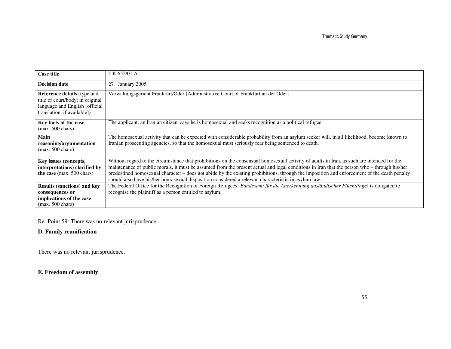| <b>Case title</b>                                                                                                                       | 4 K 652/01.A                                                                                                                                                                                                                                                                                                                                                                                                                                                                                                                                    |
|-----------------------------------------------------------------------------------------------------------------------------------------|-------------------------------------------------------------------------------------------------------------------------------------------------------------------------------------------------------------------------------------------------------------------------------------------------------------------------------------------------------------------------------------------------------------------------------------------------------------------------------------------------------------------------------------------------|
| <b>Decision date</b>                                                                                                                    | $27th$ January 2005                                                                                                                                                                                                                                                                                                                                                                                                                                                                                                                             |
| <b>Reference details</b> (type and<br>title of court/body; in original<br>language and English [official<br>translation, if available]) | Verwaltungsgericht Frankfurt/Oder [Administrative Court of Frankfurt an der Oder]                                                                                                                                                                                                                                                                                                                                                                                                                                                               |
| Key facts of the case<br>$(max. 500 \text{ chars})$                                                                                     | The applicant, an Iranian citizen, says he is homosexual and seeks recognition as a political refugee.                                                                                                                                                                                                                                                                                                                                                                                                                                          |
| Main<br>reasoning/argumentation<br>$(max. 500 \text{ chars})$                                                                           | The homosexual activity that can be expected with considerable probability from an asylum seeker will, in all likelihood, become known to<br>Iranian prosecuting agencies, so that the homosexual must seriously fear being sentenced to death.                                                                                                                                                                                                                                                                                                 |
| Key issues (concepts,<br>interpretations) clarified by<br>the case (max. 500 chars)                                                     | Without regard to the circumstance that prohibitions on the consensual homosexual activity of adults in Iran, as such are intended for the<br>maintenance of public morals, it must be assumed from the present actual and legal conditions in Iran that the person who – through his/her<br>predestined homosexual character – does not abide by the existing prohibitions, through the imposition and enforcement of the death penalty<br>should also have his/her homosexual disposition considered a relevant characteristic in asylum law. |
| <b>Results (sanctions) and key</b><br>consequences or<br>implications of the case<br>$(max. 500 \text{ chars})$                         | The Federal Office for the Recognition of Foreign Refugees [Bundesamt für die Anerkennung ausländischer Flüchtlinge] is obligated to<br>recognise the plaintiff as a person entitled to asylum.                                                                                                                                                                                                                                                                                                                                                 |

Re: Point 59: There was no relevant jurisprudence.

### **D. Family reunification**

There was no relevant jurisprudence.

### **E. Freedom of assembly**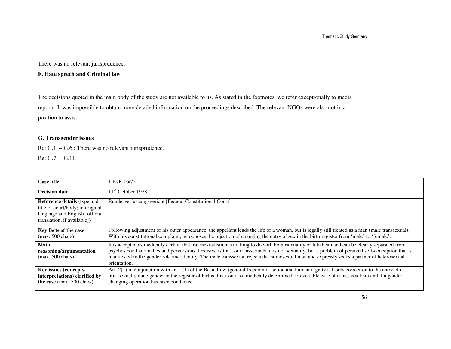Thematic Study Germany

There was no relevant jurisprudence.

### **F. Hate speech and Criminal law**

The decisions quoted in the main body of the study are not available to us. As stated in the footnotes, we refer exceptionally to media reports. It was impossible to obtain more detailed information on the proceedings described. The relevant NGOs were also not in a position to assist.

### **G. Transgender issues**

Re: G.1. – G.6.: There was no relevant jurisprudence. Re: G.7. – G.11.

| <b>Case title</b>                                                                                                                       | ByR 16/72                                                                                                                                                                                                                                                                                                                                                                                                                                                     |
|-----------------------------------------------------------------------------------------------------------------------------------------|---------------------------------------------------------------------------------------------------------------------------------------------------------------------------------------------------------------------------------------------------------------------------------------------------------------------------------------------------------------------------------------------------------------------------------------------------------------|
| <b>Decision date</b>                                                                                                                    | $11^{\text{th}}$ October 1978                                                                                                                                                                                                                                                                                                                                                                                                                                 |
| <b>Reference details</b> (type and<br>title of court/body; in original<br>language and English [official<br>translation, if available]) | Bundesverfassungsgericht [Federal Constitutional Court]                                                                                                                                                                                                                                                                                                                                                                                                       |
| Key facts of the case<br>$(max. 500 \text{ chars})$                                                                                     | Following adjustment of his outer appearance, the appellant leads the life of a woman, but is legally still treated as a man (male transsexual).<br>With his constitutional complaint, he opposes the rejection of changing the entry of sex in the birth register from 'male' to 'female'.                                                                                                                                                                   |
| Main<br>reasoning/argumentation<br>$(max. 500 \text{ chars})$                                                                           | It is accepted as medically certain that transsexualism has nothing to do with homosexuality or fetishism and can be clearly separated from<br>psychosexual anomalies and perversions. Decisive is that for transsexuals, it is not sexuality, but a problem of personal self-conception that is<br>manifested in the gender role and identity. The male transsexual rejects the homosexual man and expressly seeks a partner of heterosexual<br>orientation. |
| Key issues (concepts,<br>interpretations) clarified by<br>the case (max. 500 chars)                                                     | Art. $2(1)$ in conjunction with art. $1(1)$ of the Basic Law (general freedom of action and human dignity) affords correction to the entry of a<br>transsexual's male gender in the register of births if at issue is a medically determined, irreversible case of transsexualism and if a gender-<br>changing operation has been conducted.                                                                                                                  |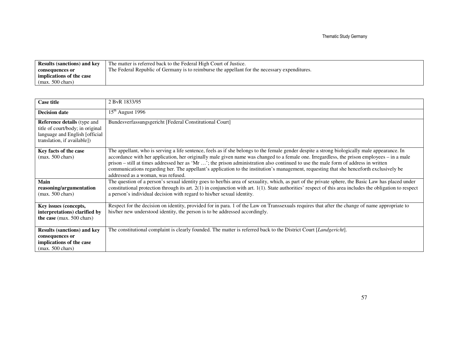| <b>Results (sanctions) and key</b> | The matter is referred back to the Federal High Court of Justice.                             |
|------------------------------------|-----------------------------------------------------------------------------------------------|
| consequences or                    | The Federal Republic of Germany is to reimburse the appellant for the necessary expenditures. |
| implications of the case           |                                                                                               |
| $(max. 500 \text{ chars})$         |                                                                                               |

| <b>Case title</b>                                                                                                                       | 2 ByR 1833/95                                                                                                                                                                                                                                                                                                                                                                                                                                                                                                                                                                                                         |
|-----------------------------------------------------------------------------------------------------------------------------------------|-----------------------------------------------------------------------------------------------------------------------------------------------------------------------------------------------------------------------------------------------------------------------------------------------------------------------------------------------------------------------------------------------------------------------------------------------------------------------------------------------------------------------------------------------------------------------------------------------------------------------|
| <b>Decision date</b>                                                                                                                    | $15th$ August 1996                                                                                                                                                                                                                                                                                                                                                                                                                                                                                                                                                                                                    |
| <b>Reference details</b> (type and<br>title of court/body; in original<br>language and English [official<br>translation, if available]) | Bundesverfassungsgericht [Federal Constitutional Court]                                                                                                                                                                                                                                                                                                                                                                                                                                                                                                                                                               |
| Key facts of the case<br>$(max. 500 \text{ chars})$                                                                                     | The appellant, who is serving a life sentence, feels as if she belongs to the female gender despite a strong biologically male appearance. In<br>accordance with her application, her originally male given name was changed to a female one. Irregardless, the prison employees – in a male<br>prison – still at times addressed her as 'Mr '; the prison administration also continued to use the male form of address in written<br>communications regarding her. The appellant's application to the institution's management, requesting that she henceforth exclusively be<br>addressed as a woman, was refused. |
| Main<br>reasoning/argumentation<br>$(max. 500 \text{ chars})$                                                                           | The question of a person's sexual identity goes to her/his area of sexuality, which, as part of the private sphere, the Basic Law has placed under<br>constitutional protection through its art. $2(1)$ in conjunction with art. $1(1)$ . State authorities' respect of this area includes the obligation to respect<br>a person's individual decision with regard to his/her sexual identity.                                                                                                                                                                                                                        |
| Key issues (concepts,<br>interpretations) clarified by<br>the case (max. 500 chars)                                                     | Respect for the decision on identity, provided for in para. 1 of the Law on Transsexuals requires that after the change of name appropriate to<br>his/her new understood identity, the person is to be addressed accordingly.                                                                                                                                                                                                                                                                                                                                                                                         |
| <b>Results (sanctions) and key</b><br>consequences or<br>implications of the case<br>$(max. 500 \text{ chars})$                         | The constitutional complaint is clearly founded. The matter is referred back to the District Court [Landgericht].                                                                                                                                                                                                                                                                                                                                                                                                                                                                                                     |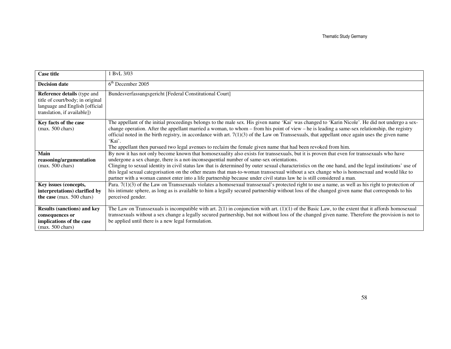| <b>Case title</b>                                                                                                                       | 1 BvL 3/03                                                                                                                                                                                                                                                                                                                                                                                                                                                                                                                                                                                                                                                             |
|-----------------------------------------------------------------------------------------------------------------------------------------|------------------------------------------------------------------------------------------------------------------------------------------------------------------------------------------------------------------------------------------------------------------------------------------------------------------------------------------------------------------------------------------------------------------------------------------------------------------------------------------------------------------------------------------------------------------------------------------------------------------------------------------------------------------------|
| <b>Decision date</b>                                                                                                                    | $6th$ December 2005                                                                                                                                                                                                                                                                                                                                                                                                                                                                                                                                                                                                                                                    |
| <b>Reference details</b> (type and<br>title of court/body; in original<br>language and English [official<br>translation, if available]) | Bundesverfassungsgericht [Federal Constitutional Court]                                                                                                                                                                                                                                                                                                                                                                                                                                                                                                                                                                                                                |
| Key facts of the case<br>$(max. 500 \text{ chars})$                                                                                     | The appellant of the initial proceedings belongs to the male sex. His given name 'Kai' was changed to 'Karin Nicole'. He did not undergo a sex-<br>change operation. After the appellant married a woman, to whom $-$ from his point of view $-$ he is leading a same-sex relationship, the registry<br>official noted in the birth registry, in accordance with art. $7(1)(3)$ of the Law on Transsexuals, that appellant once again uses the given name<br>'Kai'.<br>The appellant then pursued two legal avenues to reclaim the female given name that had been revoked from him.                                                                                   |
| Main<br>reasoning/argumentation<br>$(max. 500 \text{ chars})$                                                                           | By now it has not only become known that homosexuality also exists for transsexuals, but it is proven that even for transsexuals who have<br>undergone a sex change, there is a not-inconsequential number of same-sex orientations.<br>Clinging to sexual identity in civil status law that is determined by outer sexual characteristics on the one hand, and the legal institutions' use of<br>this legal sexual categorisation on the other means that man-to-woman transsexual without a sex change who is homosexual and would like to<br>partner with a woman cannot enter into a life partnership because under civil status law he is still considered a man. |
| Key issues (concepts,<br>interpretations) clarified by<br>the case (max. 500 chars)                                                     | Para. $7(1)(3)$ of the Law on Transsexuals violates a homosexual transsexual's protected right to use a name, as well as his right to protection of<br>his intimate sphere, as long as is available to him a legally secured partnership without loss of the changed given name that corresponds to his<br>perceived gender.                                                                                                                                                                                                                                                                                                                                           |
| <b>Results (sanctions) and key</b><br>consequences or<br>implications of the case<br>$(max. 500 \text{ chars})$                         | The Law on Transsexuals is incompatible with art. $2(1)$ in conjunction with art. $(1)(1)$ of the Basic Law, to the extent that it affords homosexual<br>transsexuals without a sex change a legally secured partnership, but not without loss of the changed given name. Therefore the provision is not to<br>be applied until there is a new legal formulation.                                                                                                                                                                                                                                                                                                      |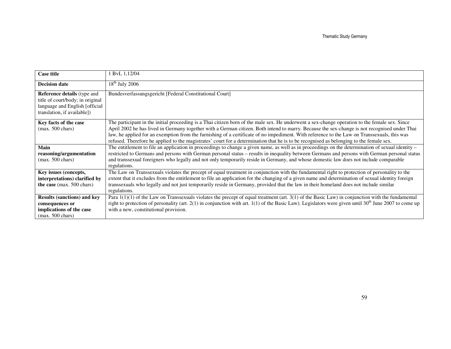| <b>Case title</b>                                                                                                                       | 1 BvL 1,12/04                                                                                                                                                                                                                                                                                                                                                                                                                                                                                                                                                                            |
|-----------------------------------------------------------------------------------------------------------------------------------------|------------------------------------------------------------------------------------------------------------------------------------------------------------------------------------------------------------------------------------------------------------------------------------------------------------------------------------------------------------------------------------------------------------------------------------------------------------------------------------------------------------------------------------------------------------------------------------------|
| <b>Decision date</b>                                                                                                                    | $18th$ July 2006                                                                                                                                                                                                                                                                                                                                                                                                                                                                                                                                                                         |
| <b>Reference details</b> (type and<br>title of court/body; in original<br>language and English [official<br>translation, if available]) | Bundesverfassungsgericht [Federal Constitutional Court]                                                                                                                                                                                                                                                                                                                                                                                                                                                                                                                                  |
| Key facts of the case<br>$(max. 500 \text{ chars})$                                                                                     | The participant in the initial proceeding is a Thai citizen born of the male sex. He underwent a sex-change operation to the female sex. Since<br>April 2002 he has lived in Germany together with a German citizen. Both intend to marry. Because the sex-change is not recognised under Thai<br>law, he applied for an exemption from the furnishing of a certificate of no impediment. With reference to the Law on Transsexuals, this was<br>refused. Therefore he applied to the magistrates' court for a determination that he is to be recognised as belonging to the female sex. |
| Main<br>reasoning/argumentation<br>$(max. 500 \text{ chars})$                                                                           | The entitlement to file an application in proceedings to change a given name, as well as in proceedings on the determination of sexual identity –<br>restricted to Germans and persons with German personal status – results in inequality between Germans and persons with German personal status<br>and transsexual foreigners who legally and not only temporarily reside in Germany, and whose domestic law does not include comparable<br>regulations.                                                                                                                              |
| Key issues (concepts,<br>interpretations) clarified by<br>the case (max. 500 chars)                                                     | The Law on Transsexuals violates the precept of equal treatment in conjunction with the fundamental right to protection of personality to the<br>extent that it excludes from the entitlement to file an application for the changing of a given name and determination of sexual identity foreign<br>transsexuals who legally and not just temporarily reside in Germany, provided that the law in their homeland does not include similar<br>regulations.                                                                                                                              |
| <b>Results (sanctions) and key</b><br>consequences or<br>implications of the case<br>$(max. 500 \text{ chars})$                         | Para 1(1)(1) of the Law on Transsexuals violates the precept of equal treatment (art. 3(1) of the Basic Law) in conjunction with the fundamental<br>right to protection of personality (art. 2(1) in conjunction with art. 1(1) of the Basic Law). Legislators were given until 30 <sup>th</sup> June 2007 to come up<br>with a new, constitutional provision.                                                                                                                                                                                                                           |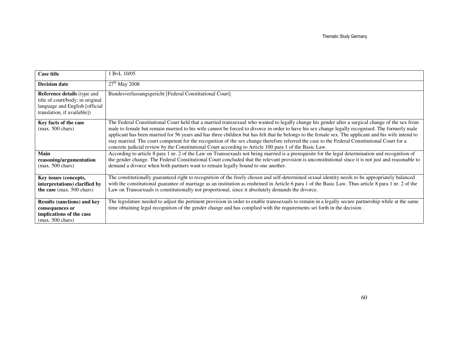| <b>Case title</b>                                                                                                                       | ByL 10/05                                                                                                                                                                                                                                                                                                                                                                                                                                                                                                                                                                                                                                                                                                             |
|-----------------------------------------------------------------------------------------------------------------------------------------|-----------------------------------------------------------------------------------------------------------------------------------------------------------------------------------------------------------------------------------------------------------------------------------------------------------------------------------------------------------------------------------------------------------------------------------------------------------------------------------------------------------------------------------------------------------------------------------------------------------------------------------------------------------------------------------------------------------------------|
| <b>Decision date</b>                                                                                                                    | $27th$ May 2008                                                                                                                                                                                                                                                                                                                                                                                                                                                                                                                                                                                                                                                                                                       |
| <b>Reference details</b> (type and<br>title of court/body; in original<br>language and English [official<br>translation, if available]) | Bundesverfassungsgericht [Federal Constitutional Court]                                                                                                                                                                                                                                                                                                                                                                                                                                                                                                                                                                                                                                                               |
| Key facts of the case<br>$(max. 500 \text{ chars})$                                                                                     | The Federal Constitutional Court held that a married transsexual who wanted to legally change his gender after a surgical change of the sex from<br>male to female but remain married to his wife cannot be forced to divorce in order to have his sex change legally recognised. The formerly male<br>applicant has been married for 56 years and has three children but has felt that he belongs to the female sex. The applicant and his wife intend to<br>stay married. The court competent for the recognition of the sex change therefore referred the case to the Federal Constitutional Court for a<br>concrete judicial review by the Constitutional Court according to Article 100 para 1 of the Basic Law. |
| Main<br>reasoning/argumentation<br>$(max. 500 \text{ chars})$                                                                           | According to article 8 para 1 nr. 2 of the Law on Transsexuals not being married is a prerequisite for the legal determination and recognition of<br>the gender change. The Federal Constitutional Court concluded that the relevant provision is unconstitutional since it is not just and reasonable to<br>demand a divorce when both partners want to remain legally bound to one another.                                                                                                                                                                                                                                                                                                                         |
| Key issues (concepts,<br>interpretations) clarified by<br>the case (max. 500 chars)                                                     | The constitutionally guaranteed right to recognition of the freely chosen and self-determined sexual identity needs to be appropriately balanced<br>with the constitutional guarantee of marriage as an institution as enshrined in Article 6 para 1 of the Basic Law. Thus article 8 para 1 nr. 2 of the<br>Law on Transsexuals is constitutionally not proportional, since it absolutely demands the divorce.                                                                                                                                                                                                                                                                                                       |
| <b>Results (sanctions) and key</b><br>consequences or<br>implications of the case<br>$(max. 500 \text{ chars})$                         | The legislature needed to adjust the pertinent provision in order to enable transsexuals to remain in a legally secure partnership while at the same<br>time obtaining legal recognition of the gender change and has complied with the requirements set forth in the decision.                                                                                                                                                                                                                                                                                                                                                                                                                                       |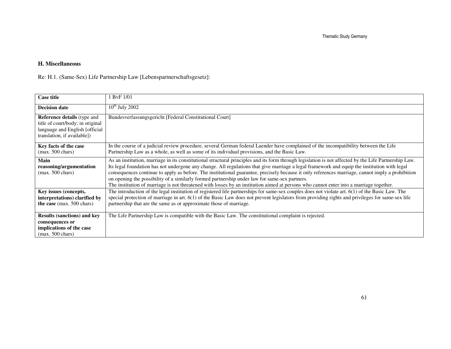### **H. Miscellaneous**

Re: H.1. (Same-Sex) Life Partnership Law [Lebenspartnerschaftsgesetz]:

| <b>Case title</b>                                                                                                                       | 1 BvF 1/01                                                                                                                                                                                                                                                                                                                                                                                                                                                                                                                                                                                                                                                                                            |
|-----------------------------------------------------------------------------------------------------------------------------------------|-------------------------------------------------------------------------------------------------------------------------------------------------------------------------------------------------------------------------------------------------------------------------------------------------------------------------------------------------------------------------------------------------------------------------------------------------------------------------------------------------------------------------------------------------------------------------------------------------------------------------------------------------------------------------------------------------------|
| <b>Decision date</b>                                                                                                                    | $10^{th}$ July 2002                                                                                                                                                                                                                                                                                                                                                                                                                                                                                                                                                                                                                                                                                   |
| <b>Reference details</b> (type and<br>title of court/body; in original<br>language and English [official<br>translation, if available]) | Bundesverfassungsgericht [Federal Constitutional Court]                                                                                                                                                                                                                                                                                                                                                                                                                                                                                                                                                                                                                                               |
| Key facts of the case<br>$(max. 500 \text{ chars})$                                                                                     | In the course of a judicial review procedure, several German federal Laender have complained of the incompatibility between the Life<br>Partnership Law as a whole, as well as some of its individual provisions, and the Basic Law.                                                                                                                                                                                                                                                                                                                                                                                                                                                                  |
| Main<br>reasoning/argumentation<br>$(max. 500 \text{ chars})$                                                                           | As an institution, marriage in its constitutional structural principles and its form through legislation is not affected by the Life Partnership Law.<br>Its legal foundation has not undergone any change. All regulations that give marriage a legal framework and equip the institution with legal<br>consequences continue to apply as before. The institutional guarantee, precisely because it only references marriage, cannot imply a prohibition<br>on opening the possibility of a similarly formed partnership under law for same-sex partners.<br>The institution of marriage is not threatened with losses by an institution aimed at persons who cannot enter into a marriage together. |
| Key issues (concepts,<br>interpretations) clarified by<br>the case (max. 500 chars)                                                     | The introduction of the legal institution of registered life partnerships for same-sex couples does not violate art. 6(1) of the Basic Law. The<br>special protection of marriage in art. 6(1) of the Basic Law does not prevent legislators from providing rights and privileges for same-sex life<br>partnership that are the same as or approximate those of marriage.                                                                                                                                                                                                                                                                                                                             |
| <b>Results (sanctions) and key</b><br>consequences or<br>implications of the case<br>$(max. 500 \text{ chars})$                         | The Life Partnership Law is compatible with the Basic Law. The constitutional complaint is rejected.                                                                                                                                                                                                                                                                                                                                                                                                                                                                                                                                                                                                  |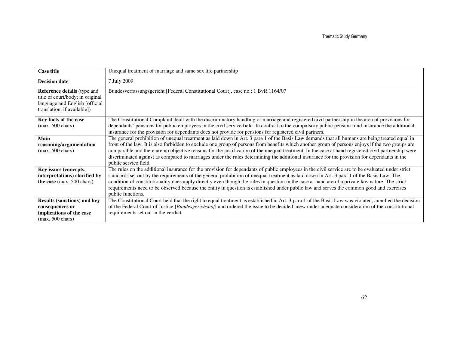| <b>Case title</b>                                                                                                                       | Unequal treatment of marriage and same sex life partnership                                                                                                                                                                                                                                                                                                                                                   |
|-----------------------------------------------------------------------------------------------------------------------------------------|---------------------------------------------------------------------------------------------------------------------------------------------------------------------------------------------------------------------------------------------------------------------------------------------------------------------------------------------------------------------------------------------------------------|
|                                                                                                                                         |                                                                                                                                                                                                                                                                                                                                                                                                               |
| <b>Decision date</b>                                                                                                                    | 7 July 2009                                                                                                                                                                                                                                                                                                                                                                                                   |
| <b>Reference details</b> (type and<br>title of court/body; in original<br>language and English [official<br>translation, if available]) | Bundesverfassungsgericht [Federal Constitutional Court], case no.: 1 BvR 1164/07                                                                                                                                                                                                                                                                                                                              |
| Key facts of the case<br>$(max. 500 \text{ chars})$                                                                                     | The Constitutional Complaint dealt with the discriminatory handling of marriage and registered civil partnership in the area of provisions for<br>dependants' pensions for public employees in the civil service field. In contrast to the compulsory public pension fund insurance the additional<br>insurance for the provision for dependants does not provide for pensions for registered civil partners. |
| Main                                                                                                                                    | The general prohibition of unequal treatment as laid down in Art. 3 para 1 of the Basis Law demands that all humans are being treated equal in                                                                                                                                                                                                                                                                |
| reasoning/argumentation                                                                                                                 | front of the law. It is also forbidden to exclude one group of persons from benefits which another group of persons enjoys if the two groups are                                                                                                                                                                                                                                                              |
| $(max. 500 \text{ chars})$                                                                                                              | comparable and there are no objective reasons for the justification of the unequal treatment. In the case at hand registered civil partnership were                                                                                                                                                                                                                                                           |
|                                                                                                                                         | discriminated against as compared to marriages under the rules determining the additional insurance for the provision for dependants in the                                                                                                                                                                                                                                                                   |
|                                                                                                                                         | public service field.                                                                                                                                                                                                                                                                                                                                                                                         |
| Key issues (concepts,                                                                                                                   | The rules on the additional insurance for the provision for dependants of public employees in the civil service are to be evaluated under strict                                                                                                                                                                                                                                                              |
| interpretations) clarified by                                                                                                           | standards set out by the requirements of the general prohibition of unequal treatment as laid down in Art. 3 para 1 of the Basis Law. The                                                                                                                                                                                                                                                                     |
| the case (max. 500 chars)                                                                                                               | condition of constitutionality does apply directly even though the rules in question in the case at hand are of a private law nature. The strict                                                                                                                                                                                                                                                              |
|                                                                                                                                         | requirements need to be observed because the entity in question is established under public law and serves the common good and exercises                                                                                                                                                                                                                                                                      |
|                                                                                                                                         | public functions.                                                                                                                                                                                                                                                                                                                                                                                             |
| <b>Results (sanctions) and key</b>                                                                                                      | The Constitutional Court held that the right to equal treatment as established in Art. 3 para 1 of the Basis Law was violated, annulled the decision                                                                                                                                                                                                                                                          |
| consequences or                                                                                                                         | of the Federal Court of Justice [ <i>Bundesgerichshof</i> ] and ordered the issue to be decided anew under adequate consideration of the constitutional                                                                                                                                                                                                                                                       |
| implications of the case                                                                                                                | requirements set out in the verdict.                                                                                                                                                                                                                                                                                                                                                                          |
| $(max. 500 \text{ chars})$                                                                                                              |                                                                                                                                                                                                                                                                                                                                                                                                               |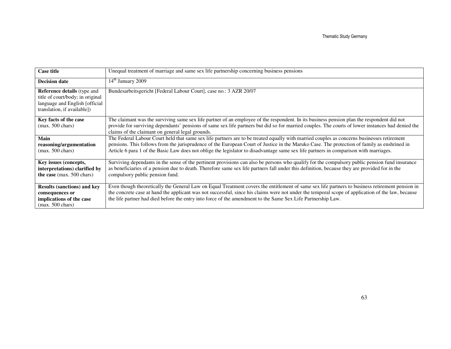| <b>Case title</b>                                                                                                                       | Unequal treatment of marriage and same sex life partnership concerning business pensions                                                                                                                                                                                                                                                                                                                                           |
|-----------------------------------------------------------------------------------------------------------------------------------------|------------------------------------------------------------------------------------------------------------------------------------------------------------------------------------------------------------------------------------------------------------------------------------------------------------------------------------------------------------------------------------------------------------------------------------|
| <b>Decision date</b>                                                                                                                    | $14th$ January 2009                                                                                                                                                                                                                                                                                                                                                                                                                |
| <b>Reference details</b> (type and<br>title of court/body; in original<br>language and English [official<br>translation, if available]) | Bundesarbeitsgericht [Federal Labour Court], case no.: 3 AZR 20/07                                                                                                                                                                                                                                                                                                                                                                 |
| Key facts of the case<br>$(max. 500 \text{ chars})$                                                                                     | The claimant was the surviving same sex life partner of an employee of the respondent. In its business pension plan the respondent did not<br>provide for surviving dependants' pensions of same sex life partners but did so for married couples. The courts of lower instances had denied the<br>claims of the claimant on general legal grounds.                                                                                |
| Main<br>reasoning/argumentation<br>$(max. 500 \text{ chars})$                                                                           | The Federal Labour Court held that same sex life partners are to be treated equally with married couples as concerns businesses retirement<br>pensions. This follows from the jurisprudence of the European Court of Justice in the Maruko Case. The protection of family as enshrined in<br>Article 6 para 1 of the Basic Law does not oblige the legislator to disadvantage same sex life partners in comparison with marriages. |
| Key issues (concepts,<br>interpretations) clarified by<br>the case (max. 500 chars)                                                     | Surviving dependants in the sense of the pertinent provisions can also be persons who qualify for the compulsory public pension fund insurance<br>as beneficiaries of a pension due to death. Therefore same sex life partners fall under this definition, because they are provided for in the<br>compulsory public pension fund.                                                                                                 |
| <b>Results (sanctions) and key</b><br>consequences or<br>implications of the case<br>$(max. 500 \text{ chars})$                         | Even though theoretically the General Law on Equal Treatment covers the entitlement of same sex life partners to business retirement pension in<br>the concrete case at hand the applicant was not successful, since his claims were not under the temporal scope of application of the law, because<br>the life partner had died before the entry into force of the amendment to the Same Sex Life Partnership Law.               |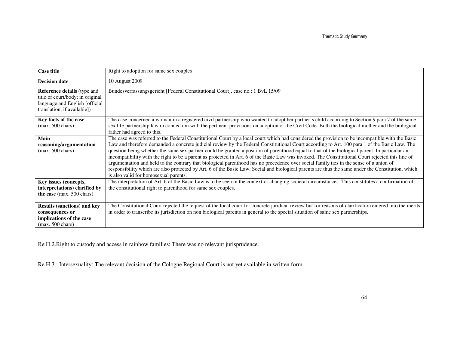| <b>Case title</b>                                                                                                                       | Right to adoption for same sex couples                                                                                                                                                                                                                                                                                                                                                                                                                                                                                                                                                                                                                                                                                                                                                                                                                                                                                                         |
|-----------------------------------------------------------------------------------------------------------------------------------------|------------------------------------------------------------------------------------------------------------------------------------------------------------------------------------------------------------------------------------------------------------------------------------------------------------------------------------------------------------------------------------------------------------------------------------------------------------------------------------------------------------------------------------------------------------------------------------------------------------------------------------------------------------------------------------------------------------------------------------------------------------------------------------------------------------------------------------------------------------------------------------------------------------------------------------------------|
| <b>Decision date</b>                                                                                                                    | 10 August 2009                                                                                                                                                                                                                                                                                                                                                                                                                                                                                                                                                                                                                                                                                                                                                                                                                                                                                                                                 |
| <b>Reference details</b> (type and<br>title of court/body; in original<br>language and English [official<br>translation, if available]) | Bundesverfassungsgericht [Federal Constitutional Court], case no.: 1 BvL 15/09                                                                                                                                                                                                                                                                                                                                                                                                                                                                                                                                                                                                                                                                                                                                                                                                                                                                 |
| Key facts of the case<br>$(max. 500 \text{ chars})$                                                                                     | The case concerned a woman in a registered civil partnership who wanted to adopt her partner's child according to Section 9 para 7 of the same<br>sex life partnership law in connection with the pertinent provisions on adoption of the Civil Code. Both the biological mother and the biological<br>father had agreed to this.                                                                                                                                                                                                                                                                                                                                                                                                                                                                                                                                                                                                              |
| Main<br>reasoning/argumentation<br>$(max. 500 \text{ chars})$                                                                           | The case was referred to the Federal Constitutional Court by a local court which had considered the provision to be incompatible with the Basic<br>Law and therefore demanded a concrete judicial review by the Federal Constitutional Court according to Art. 100 para 1 of the Basic Law. The<br>question being whether the same sex partner could be granted a position of parenthood equal to that of the biological parent. In particular an<br>incompatibility with the right to be a parent as protected in Art. 6 of the Basic Law was invoked. The Constitutional Court rejected this line of<br>argumentation and held to the contrary that biological parenthood has no precedence over social family ties in the sense of a union of<br>responsibility which are also protected by Art. 6 of the Basic Law. Social and biological parents are thus the same under the Constitution, which<br>is also valid for homosexual parents. |
| Key issues (concepts,<br>interpretations) clarified by<br>the case (max. 500 chars)                                                     | The interpretation of Art. 6 of the Basic Law is to be seen in the context of changing societal circumstances. This constitutes a confirmation of<br>the constitutional right to parenthood for same sex couples.                                                                                                                                                                                                                                                                                                                                                                                                                                                                                                                                                                                                                                                                                                                              |
| <b>Results (sanctions) and key</b><br>consequences or<br>implications of the case<br>$(max. 500 \text{ chars})$                         | The Constitutional Court rejected the request of the local court for concrete juridical review but for reasons of clarification entered into the merits<br>in order to transcribe its jurisdiction on non biological parents in general to the special situation of same sex partnerships.                                                                                                                                                                                                                                                                                                                                                                                                                                                                                                                                                                                                                                                     |

Re H.2.Right to custody and access in rainbow families: There was no relevant jurisprudence.

Re H.3.: Intersexuality: The relevant decision of the Cologne Regional Court is not yet available in written form.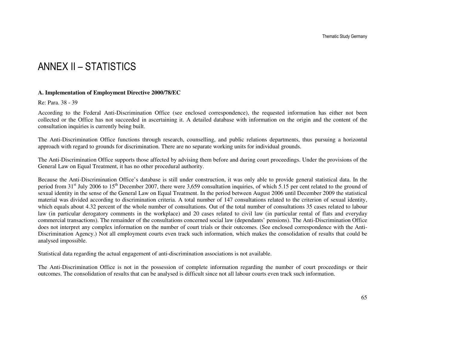## ANNEX II – STATISTICS

#### **A. Implementation of Employment Directive 2000/78/EC**

Re: Para. 38 - 39

According to the Federal Anti-Discrimination Office (see enclosed correspondence), the requested information has either not been collected or the Office has not succeeded in ascertaining it. A detailed database with information on the origin and the content of the consultation inquiries is currently being built.

The Anti-Discrimination Office functions through research, counselling, and public relations departments, thus pursuing a horizontal approach with regard to grounds for discrimination. There are no separate working units for individual grounds.

The Anti-Discrimination Office supports those affected by advising them before and during court proceedings. Under the provisions of the General Law on Equal Treatment, it has no other procedural authority.

Because the Anti-Discrimination Office's database is still under construction, it was only able to provide general statistical data. In the period from  $31<sup>st</sup>$  July 2006 to  $15<sup>th</sup>$  December 2007, there were 3,659 consultation inquiries, of which 5.15 per cent related to the ground of sexual identity in the sense of the General Law on Equal Treatment. In the period between August 2006 until December 2009 the statistical material was divided according to discrimination criteria. A total number of 147 consultations related to the criterion of sexual identity, which equals about 4.32 percent of the whole number of consultations. Out of the total number of consultations 35 cases related to labour law (in particular derogatory comments in the workplace) and 20 cases related to civil law (in particular rental of flats and everyday commercial transactions). The remainder of the consultations concerned social law (dependants' pensions). The Anti-Discrimination Office does not interpret any complex information on the number of court trials or their outcomes. (See enclosed correspondence with the Anti-Discrimination Agency.) Not all employment courts even track such information, which makes the consolidation of results that could be analysed impossible.

Statistical data regarding the actual engagement of anti-discrimination associations is not available.

The Anti-Discrimination Office is not in the possession of complete information regarding the number of court proceedings or their outcomes. The consolidation of results that can be analysed is difficult since not all labour courts even track such information.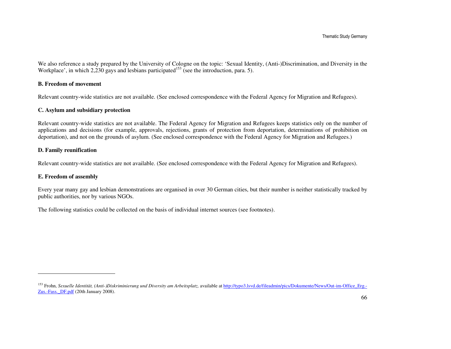We also reference a study prepared by the University of Cologne on the topic: 'Sexual Identity, (Anti-)Discrimination, and Diversity in the Workplace', in which 2,230 gays and lesbians participated<sup>153</sup> (see the introduction, para. 5).

#### **B. Freedom of movement**

Relevant country-wide statistics are not available. (See enclosed correspondence with the Federal Agency for Migration and Refugees).

#### **C. Asylum and subsidiary protection**

Relevant country-wide statistics are not available. The Federal Agency for Migration and Refugees keeps statistics only on the number of applications and decisions (for example, approvals, rejections, grants of protection from deportation, determinations of prohibition on deportation), and not on the grounds of asylum. (See enclosed correspondence with the Federal Agency for Migration and Refugees.)

#### **D. Family reunification**

Relevant country-wide statistics are not available. (See enclosed correspondence with the Federal Agency for Migration and Refugees).

#### **E. Freedom of assembly**

Every year many gay and lesbian demonstrations are organised in over 30 German cities, but their number is neither statistically tracked by public authorities, nor by various NGOs.

The following statistics could be collected on the basis of individual internet sources (see footnotes).

<sup>&</sup>lt;sup>153</sup> Frohn, *Sexuelle Identität, (Anti-)Diskriminierung und Diversity am Arbeitsplatz, available at http://typo3.lsvd.de/fileadmin/pics/Dokumente/News/Out-im-Office\_Erg.-*Zus.-Fass.\_DF.pdf (20th January 2008).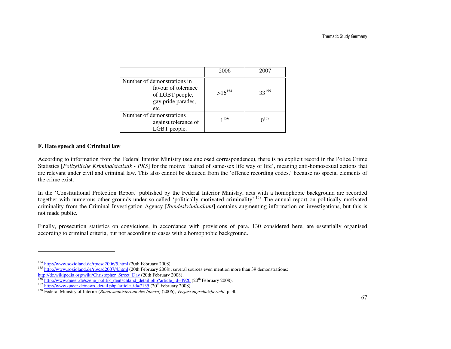|                                                                                                    | 2006        | 2007           |
|----------------------------------------------------------------------------------------------------|-------------|----------------|
| Number of demonstrations in<br>favour of tolerance<br>of LGBT people,<br>gay pride parades,<br>etc | $>16^{154}$ | $33^{155}$     |
| Number of demonstrations<br>against tolerance of<br>LGBT people.                                   | 1156        | $\Omega^{157}$ |

### **F. Hate speech and Criminal law**

According to information from the Federal Interior Ministry (see enclosed correspondence), there is no explicit record in the Police Crime Statistics [*Polizeiliche Kriminalstatistik - PKS*] for the motive 'hatred of same-sex life way of life', meaning anti-homosexual actions that are relevant under civil and criminal law. This also cannot be deduced from the 'offence recording codes,' because no special elements of the crime exist.

In the 'Constitutional Protection Report' published by the Federal Interior Ministry, acts with a homophobic background are recorded together with numerous other grounds under so-called 'politically motivated criminality'.<sup>158</sup> The annual report on politically motivated criminality from the Criminal Investigation Agency [*Bundeskriminalamt*] contains augmenting information on investigations, but this is not made public.

Finally, prosecution statistics on convictions, in accordance with provisions of para. 130 considered here, are essentially organised according to criminal criteria, but not according to cases with a homophobic background.

<sup>&</sup>lt;sup>154</sup> http://www.sozioland.de/rp/csd2006/5.html (20th February 2008).<br><sup>155</sup> http://www.sozioland.de/rp/csd2007/4.html (20th February 2008); several sources even mention more than 39 demonstrations:<br>http://de.wikipedia.org/

<sup>&</sup>lt;sup>157</sup> http://www.queer.de/news\_detail.php?article\_id=7135 (20<sup>th</sup> February 2008).

<sup>158</sup> Federal Ministry of Interior (*Bundesministerium des Innern*) (2006), *Verfassungschutzbericht*, p. 30.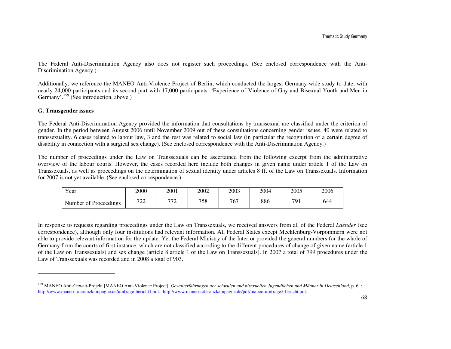The Federal Anti-Discrimination Agency also does not register such proceedings. (See enclosed correspondence with the Anti-Discrimination Agency.)

Additionally, we reference the MANEO Anti-Violence Project of Berlin, which conducted the largest Germany-wide study to date, with nearly 24,000 participants and its second part with 17,000 participants: 'Experience of Violence of Gay and Bisexual Youth and Men in Germany'.<sup>159</sup> (See introduction, above.)

#### **G. Transgender issues**

The Federal Anti-Discrimination Agency provided the information that consultations by transsexual are classified under the criterion of gender. In the period between August 2006 until November 2009 out of these consultations concerning gender issues, 40 were related to transsexuality. 6 cases related to labour law, 3 and the rest was related to social law (in particular the recognition of a certain degree of disability in connection with a surgical sex change). (See enclosed correspondence with the Anti-Discrimination Agency.)

The number of proceedings under the Law on Transsexuals can be ascertained from the following excerpt from the administrative overview of the labour courts. However, the cases recorded here include both changes in given name under article 1 of the Law on Transsexuals, as well as proceedings on the determination of sexual identity under articles 8 ff. of the Law on Transsexuals. Information for 2007 is not yet available. (See enclosed correspondence.)

| Year                  | 2000                                       | 2001                                   | 2002 | 2003 | 2004 | 2005 | 2006 |
|-----------------------|--------------------------------------------|----------------------------------------|------|------|------|------|------|
| Number of Proceedings | $\overline{z}$<br>$\overline{\phantom{a}}$ | $\overline{\phantom{a}}$<br><u>، س</u> | 758  | 767  | 886  | 791  | 644  |

In response to requests regarding proceedings under the Law on Transsexuals, we received answers from all of the Federal *Laender* (see correspondence), although only four institutions had relevant information. All Federal States except Mecklenburg-Vorpommern were not able to provide relevant information for the update. Yet the Federal Ministry of the Interior provided the general numbers for the whole of Germany from the courts of first instance, which are not classified according to the different procedures of change of given name (article 1 of the Law on Transsexuals) and sex change (article 8 article 1 of the Law on Transsexuals). In 2007 a total of 799 procedures under the Law of Transsexuals was recorded and in 2008 a total of 903.

<sup>159</sup> MANEO Anti-Gewalt-Projekt [MANEO Anti-Violence Project], *Gewalterfahrungen der schwulen und bisexuellen Jugendlichen und Männer in Deutschland*, p. 6. ; http://www.maneo-toleranzkampagne.de/umfrage-bericht1.pdf.; http://www.maneo-toleranzkampagne.de/pdf/maneo-umfrage2-bericht.pdf.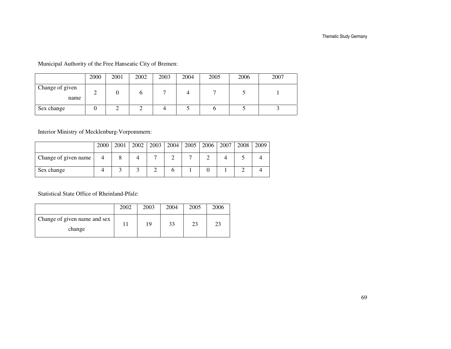Municipal Authority of the Free Hanseatic City of Bremen:

|                         | 2000 | 2001 | 2002 | 2003 | 2004 | 2005 | 2006 | 2007 |
|-------------------------|------|------|------|------|------|------|------|------|
| Change of given<br>name | ∸    |      |      |      |      |      |      |      |
| Sex change              |      |      |      |      |      |      |      |      |

Interior Ministry of Mecklenburg-Vorpommern:

|                      | 2000 | 2001 | 2002 | 2003 | 2004 | 2005 | 2006 | 2007 | 2008 | 2009 |
|----------------------|------|------|------|------|------|------|------|------|------|------|
| Change of given name |      |      |      |      |      |      |      |      |      |      |
| Sex change           |      |      |      |      |      |      |      |      |      |      |

Statistical State Office of Rheinland-Pfalz:

|                                        | 2002 | 2003 | 2004 | 2005 | 2006 |
|----------------------------------------|------|------|------|------|------|
| Change of given name and sex<br>change |      | 19   | 33   | 23   |      |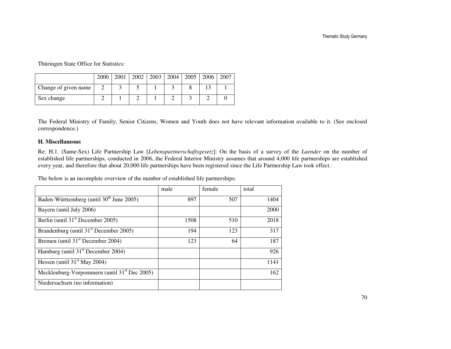Thüringen State Office for Statistics:

|                      | 2000 | 2001 | 2002   2003 | 2004 | 2005   2006 | 2007 |
|----------------------|------|------|-------------|------|-------------|------|
| Change of given name |      |      |             |      |             |      |
| Sex change           |      |      |             |      |             |      |

The Federal Ministry of Family, Senior Citizens, Women and Youth does not have relevant information available to it. (See enclosed correspondence.)

#### **H. Miscellaneous**

Re: H.1. (Same-Sex) Life Partnership Law [*Lebenspartnerschaftsgesetz*]: On the basis of a survey of the *Laender* on the number of established life partnerships, conducted in 2006, the Federal Interior Ministry assumes that around 4,000 life partnerships are established every year, and therefore that about 20,000 life partnerships have been registered since the Life Partnership Law took effect.

The below is an incomplete overview of the number of established life partnerships:

|                                                          | male | female | total |
|----------------------------------------------------------|------|--------|-------|
| Baden-Württemberg (until 30 <sup>th</sup> June 2005)     | 897  | 507    | 1404  |
| Bayern (until July 2006)                                 |      |        | 2000  |
| Berlin (until $31st$ December 2005)                      | 1508 | 510    | 2018  |
| Brandenburg (until 31 <sup>st</sup> December 2005)       | 194  | 123    | 317   |
| Bremen (until $31st$ December 2004)                      | 123  | 64     | 187   |
| Hamburg (until $31st$ December 2004)                     |      |        | 926   |
| Hessen (until $31st$ May 2004)                           |      |        | 1141  |
| Mecklenburg-Vorpommern (until 31 <sup>st</sup> Dec 2005) |      |        | 162   |
| Niedersachsen (no information)                           |      |        |       |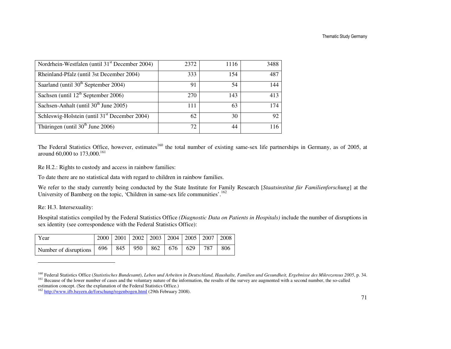| Nordrhein-Westfalen (until 31 <sup>st</sup> December 2004) | 2372 | 1116 | 3488 |
|------------------------------------------------------------|------|------|------|
| Rheinland-Pfalz (until 3st December 2004)                  | 333  | 154  | 487  |
| Saarland (until 30 <sup>th</sup> September 2004)           | 91   | 54   | 144  |
| Sachsen (until $12th$ September 2006)                      | 270  | 143  | 413  |
| Sachsen-Anhalt (until $30th$ June 2005)                    | 111  | 63   | 174  |
| Schleswig-Holstein (until 31 <sup>st</sup> December 2004)  | 62   | 30   | 92   |
| Thüringen (until $30th$ June 2006)                         | 72   | 44   | 116  |

The Federal Statistics Office, however, estimates<sup>160</sup> the total number of existing same-sex life partnerships in Germany, as of 2005, at around 60,000 to 173,000.<sup>161</sup>

Re H.2.: Rights to custody and access in rainbow families:

To date there are no statistical data with regard to children in rainbow families.

We refer to the study currently being conducted by the State Institute for Family Research [*Staatsinstitut für Familienforschung*] at the University of Bamberg on the topic, 'Children in same-sex life communities'.<sup>162</sup>

Re: H.3. Intersexuality:

Hospital statistics compiled by the Federal Statistics Office *(Diagnostic Data on Patients in Hospitals)* include the number of disruptions in sex identity (see correspondence with the Federal Statistics Office):

| Year                                                              |  |  |  | 2000   2001   2002   2003   2004   2005   2007   2008 |     |
|-------------------------------------------------------------------|--|--|--|-------------------------------------------------------|-----|
| Number of disruptions   $696$   845   950   862   676   629   787 |  |  |  |                                                       | 806 |

<sup>160</sup> Federal Statistics Office (*Statistisches Bundesamt*), *Leben und Arbeiten in Deutschland, Haushalte, Familien und Gesundheit, Ergebnisse des Mikrozensus 2005*, p. 34. <sup>161</sup> Because of the lower number of cases and the voluntary nature of the information, the results of the survey are augmented with a second number, the so-called estimation concept. (See the explanation of the Federal Statistics Office.)

<sup>&</sup>lt;sup>162</sup> http://www.ifb.bayern.de/forschung/regenbogen.html (29th February 2008).